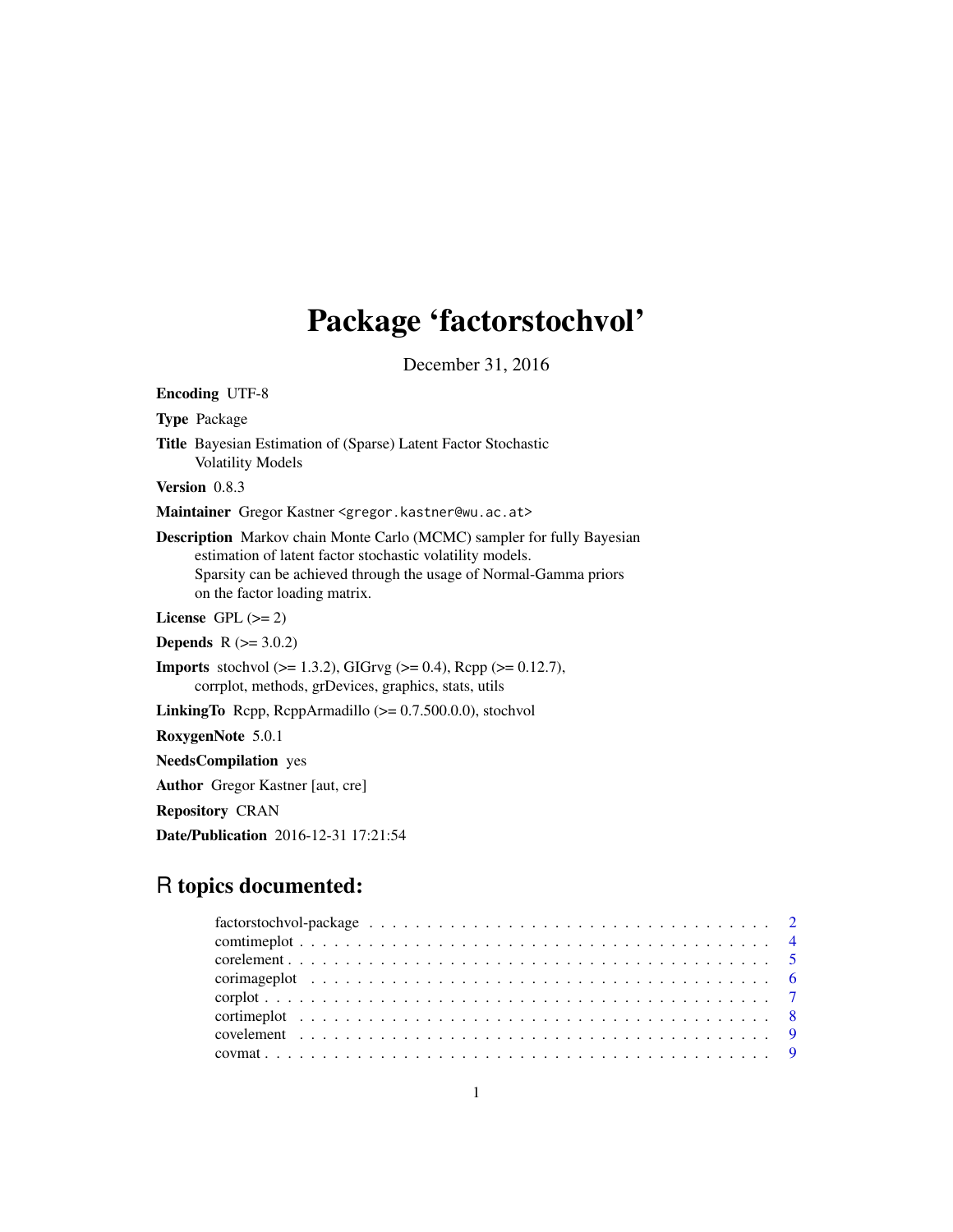# Package 'factorstochvol'

December 31, 2016

<span id="page-0-0"></span>Encoding UTF-8 Type Package Title Bayesian Estimation of (Sparse) Latent Factor Stochastic Volatility Models Version 0.8.3 Maintainer Gregor Kastner <gregor.kastner@wu.ac.at> Description Markov chain Monte Carlo (MCMC) sampler for fully Bayesian estimation of latent factor stochastic volatility models. Sparsity can be achieved through the usage of Normal-Gamma priors on the factor loading matrix. License GPL  $(>= 2)$ **Depends**  $R (= 3.0.2)$ **Imports** stochvol ( $>= 1.3.2$ ), GIGrvg ( $>= 0.4$ ), Rcpp ( $>= 0.12.7$ ), corrplot, methods, grDevices, graphics, stats, utils LinkingTo Rcpp, RcppArmadillo  $(>= 0.7.500.0.0)$ , stochvol RoxygenNote 5.0.1 NeedsCompilation yes Author Gregor Kastner [aut, cre]

Repository CRAN

Date/Publication 2016-12-31 17:21:54

# R topics documented: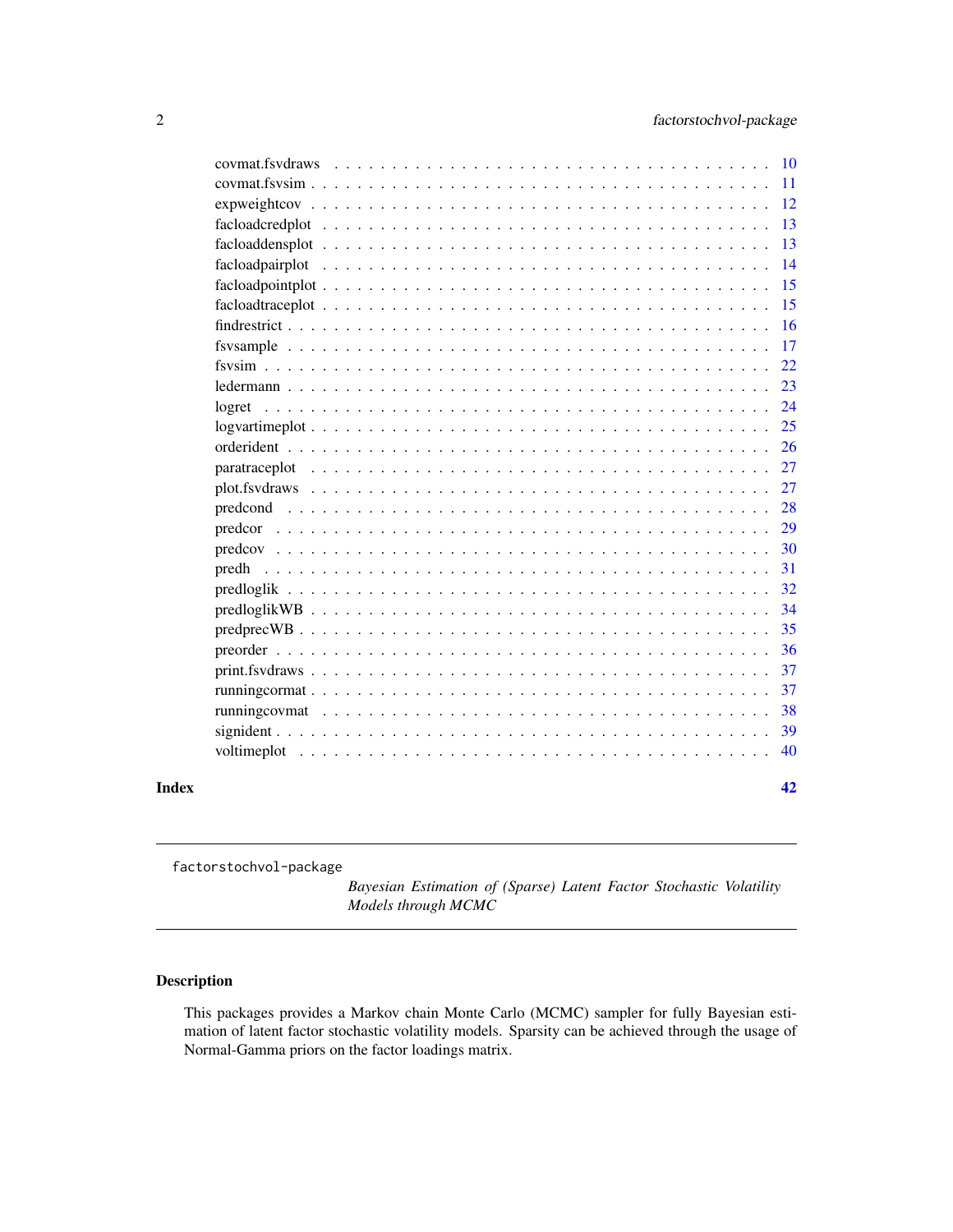<span id="page-1-0"></span>

|       | covmat.fsydraws | <b>10</b> |
|-------|-----------------|-----------|
|       |                 | <b>11</b> |
|       |                 | 12        |
|       |                 | 13        |
|       |                 | 13        |
|       |                 | 14        |
|       |                 | 15        |
|       |                 | 15        |
|       |                 | 16        |
|       |                 | 17        |
|       |                 | 22        |
|       |                 | 23        |
|       | logret          | 24        |
|       |                 | 25        |
|       |                 | 26        |
|       |                 | 27        |
|       |                 | 27        |
|       |                 | 28        |
|       |                 | 29        |
|       |                 | 30        |
|       | predh           | 31        |
|       |                 | 32        |
|       |                 | 34        |
|       |                 | 35        |
|       |                 | 36        |
|       |                 | 37        |
|       |                 | 37        |
|       |                 | 38        |
|       |                 | 39        |
|       |                 | 40        |
| Index |                 | 42        |
|       |                 |           |

factorstochvol-package

*Bayesian Estimation of (Sparse) Latent Factor Stochastic Volatility Models through MCMC*

# Description

This packages provides a Markov chain Monte Carlo (MCMC) sampler for fully Bayesian estimation of latent factor stochastic volatility models. Sparsity can be achieved through the usage of Normal-Gamma priors on the factor loadings matrix.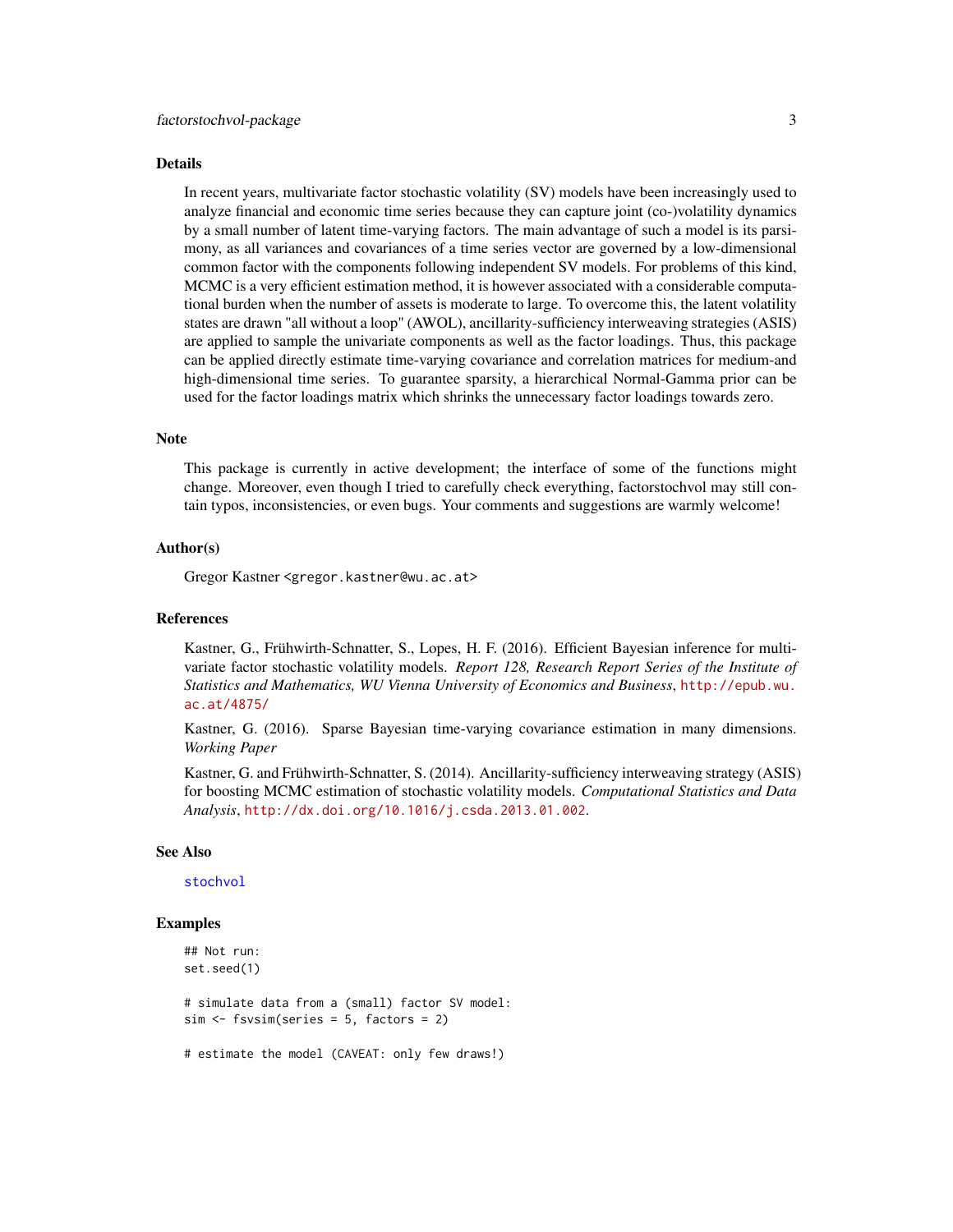#### <span id="page-2-0"></span>Details

In recent years, multivariate factor stochastic volatility (SV) models have been increasingly used to analyze financial and economic time series because they can capture joint (co-)volatility dynamics by a small number of latent time-varying factors. The main advantage of such a model is its parsimony, as all variances and covariances of a time series vector are governed by a low-dimensional common factor with the components following independent SV models. For problems of this kind, MCMC is a very efficient estimation method, it is however associated with a considerable computational burden when the number of assets is moderate to large. To overcome this, the latent volatility states are drawn "all without a loop" (AWOL), ancillarity-sufficiency interweaving strategies (ASIS) are applied to sample the univariate components as well as the factor loadings. Thus, this package can be applied directly estimate time-varying covariance and correlation matrices for medium-and high-dimensional time series. To guarantee sparsity, a hierarchical Normal-Gamma prior can be used for the factor loadings matrix which shrinks the unnecessary factor loadings towards zero.

#### **Note**

This package is currently in active development; the interface of some of the functions might change. Moreover, even though I tried to carefully check everything, factorstochvol may still contain typos, inconsistencies, or even bugs. Your comments and suggestions are warmly welcome!

#### Author(s)

Gregor Kastner <gregor.kastner@wu.ac.at>

#### References

Kastner, G., Frühwirth-Schnatter, S., Lopes, H. F. (2016). Efficient Bayesian inference for multivariate factor stochastic volatility models. *Report 128, Research Report Series of the Institute of Statistics and Mathematics, WU Vienna University of Economics and Business*, [http://epub.wu.](http://epub.wu.ac.at/4875/) [ac.at/4875/](http://epub.wu.ac.at/4875/)

Kastner, G. (2016). Sparse Bayesian time-varying covariance estimation in many dimensions. *Working Paper*

Kastner, G. and Frühwirth-Schnatter, S. (2014). Ancillarity-sufficiency interweaving strategy (ASIS) for boosting MCMC estimation of stochastic volatility models. *Computational Statistics and Data Analysis*, <http://dx.doi.org/10.1016/j.csda.2013.01.002>.

#### See Also

[stochvol](#page-0-0)

# Examples

```
## Not run:
set.seed(1)
# simulate data from a (small) factor SV model:
sim <- fsvsim(series = 5, factors = 2)
```
# estimate the model (CAVEAT: only few draws!)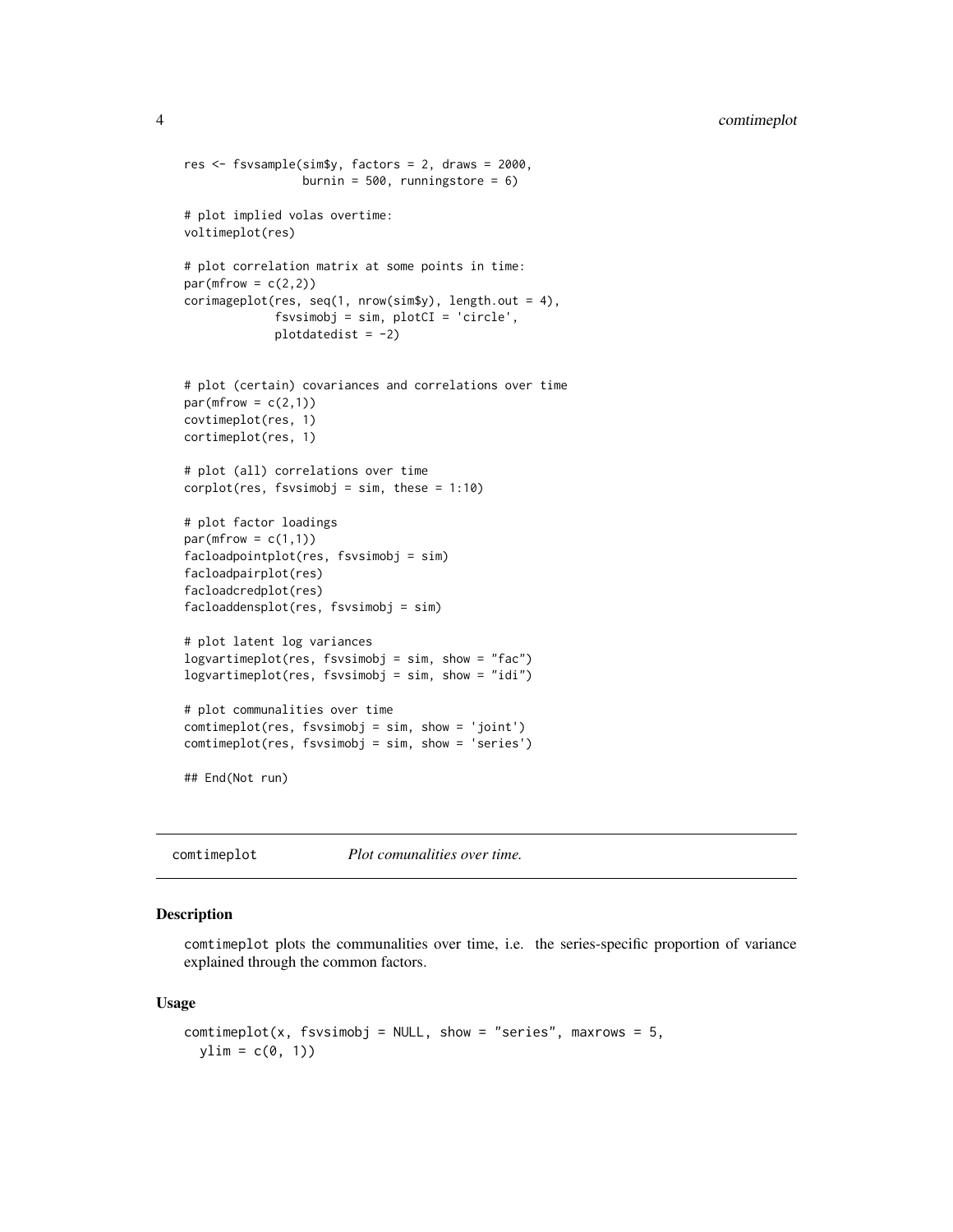```
res <- fsvsample(sim$y, factors = 2, draws = 2000,
                 burnin = 500, runningstore = 6)
# plot implied volas overtime:
voltimeplot(res)
# plot correlation matrix at some points in time:
par(mfrow = c(2,2))corimageplot(res, seq(1, nrow(sim$y), length.out = 4),
             fsvsimobj = sim, plotCI = 'circle',
             plotdatedist = -2)
# plot (certain) covariances and correlations over time
par(mfrow = c(2,1))covtimeplot(res, 1)
cortimeplot(res, 1)
# plot (all) correlations over time
corplot(res, fsvsimobj = sim, these = 1:10)# plot factor loadings
par(mfrow = c(1,1))facloadpointplot(res, fsvsimobj = sim)
facloadpairplot(res)
facloadcredplot(res)
facloaddensplot(res, fsvsimobj = sim)
# plot latent log variances
logvartimeplot(res, fsvsimobj = sim, show = "fac")
logvartimeplot(res, fsvsimobj = sim, show = "idi")
# plot communalities over time
comtimeplot(res, fsvsimobj = sim, show = 'joint')
comtimeplot(res, fsvsimobj = sim, show = 'series')
## End(Not run)
```
<span id="page-3-1"></span>comtimeplot *Plot comunalities over time.*

#### **Description**

comtimeplot plots the communalities over time, i.e. the series-specific proportion of variance explained through the common factors.

#### Usage

```
comtimeplot(x, fsvsimobj = NULL, show = "series", maxrows = 5,
 ylim = c(0, 1)
```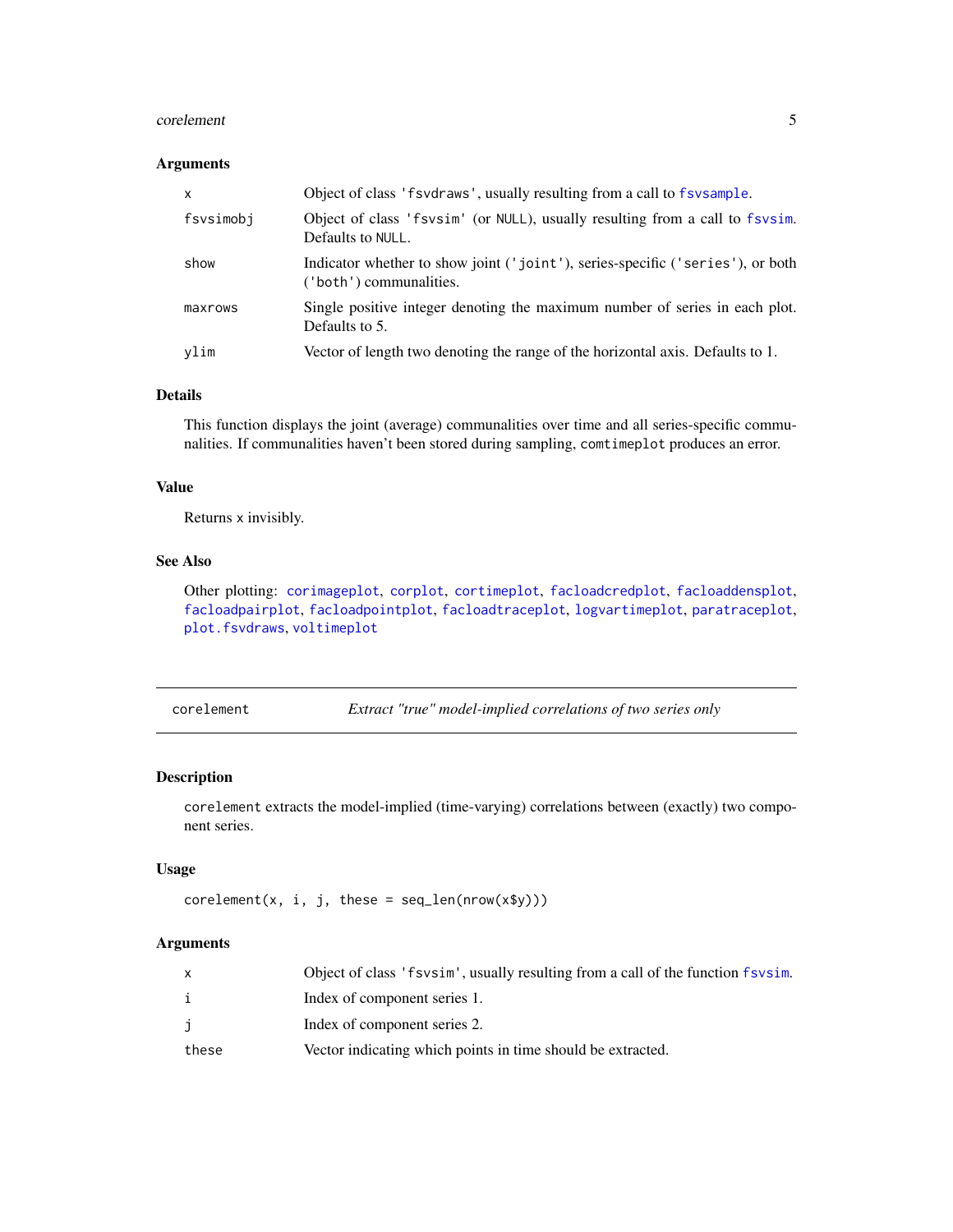#### <span id="page-4-0"></span>corelement 5

# Arguments

| $\mathsf{x}$ | Object of class 'f svd raws', usually resulting from a call to f sv sample.                               |
|--------------|-----------------------------------------------------------------------------------------------------------|
| fsvsimobj    | Object of class 'fsvsim' (or NULL), usually resulting from a call to fsvsim.<br>Defaults to NULL.         |
| show         | Indicator whether to show joint ('joint'), series-specific ('series'), or both<br>('both') communalities. |
| maxrows      | Single positive integer denoting the maximum number of series in each plot.<br>Defaults to 5.             |
| vlim         | Vector of length two denoting the range of the horizontal axis. Defaults to 1.                            |

# Details

This function displays the joint (average) communalities over time and all series-specific communalities. If communalities haven't been stored during sampling, comtimeplot produces an error.

#### Value

Returns x invisibly.

# See Also

Other plotting: [corimageplot](#page-5-1), [corplot](#page-6-1), [cortimeplot](#page-7-1), [facloadcredplot](#page-12-1), [facloaddensplot](#page-12-2), [facloadpairplot](#page-13-1), [facloadpointplot](#page-14-1), [facloadtraceplot](#page-14-2), [logvartimeplot](#page-24-1), [paratraceplot](#page-26-1), [plot.fsvdraws](#page-26-2), [voltimeplot](#page-39-1)

<span id="page-4-1"></span>corelement *Extract "true" model-implied correlations of two series only*

# Description

corelement extracts the model-implied (time-varying) correlations between (exactly) two component series.

#### Usage

```
corelement(x, i, j, these = seq_length(nrow(x\y)))
```

|       | Object of class 'f svsim', usually resulting from a call of the function f svsim. |
|-------|-----------------------------------------------------------------------------------|
|       | Index of component series 1.                                                      |
|       | Index of component series 2.                                                      |
| these | Vector indicating which points in time should be extracted.                       |
|       |                                                                                   |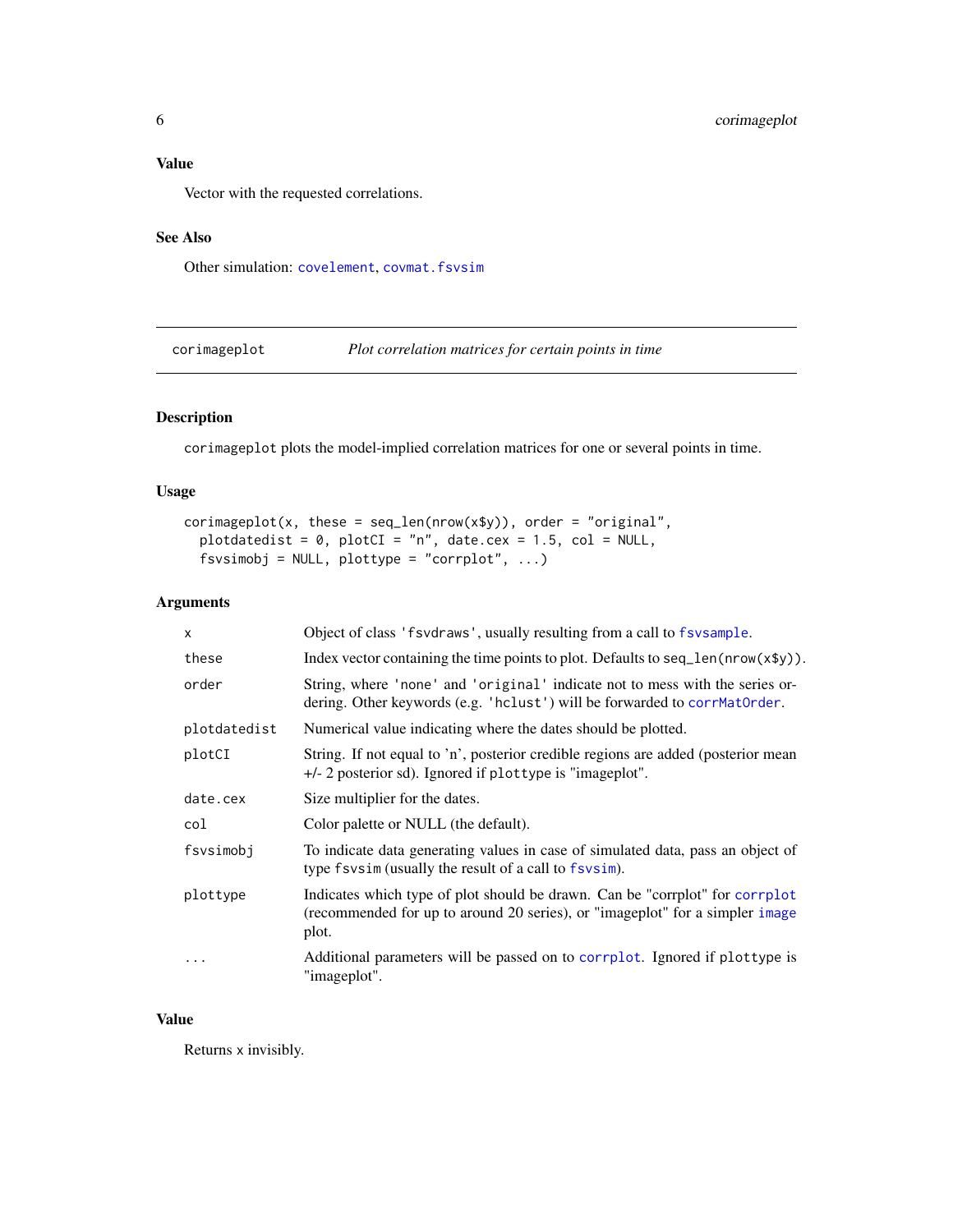# <span id="page-5-0"></span>Value

Vector with the requested correlations.

#### See Also

Other simulation: [covelement](#page-8-1), [covmat.fsvsim](#page-10-1)

<span id="page-5-1"></span>corimageplot *Plot correlation matrices for certain points in time*

# Description

corimageplot plots the model-implied correlation matrices for one or several points in time.

# Usage

```
corimageplot(x, these = seq\_len(nrow(x\ y)), order = "original",
  plotdatedist = \theta, plotCI = "n", date.cex = 1.5, col = NULL,
  fsvsimobj = NULL, plottype = "corrplot", ...)
```
# Arguments

| $\mathsf{x}$ | Object of class 'f svdraws', usually resulting from a call to f svsample.                                                                                             |
|--------------|-----------------------------------------------------------------------------------------------------------------------------------------------------------------------|
| these        | Index vector containing the time points to plot. Defaults to seq_len( $nrow(x\$ y)).                                                                                  |
| order        | String, where 'none' and 'original' indicate not to mess with the series or-<br>dering. Other keywords (e.g. 'hclust') will be forwarded to corrMatOrder.             |
| plotdatedist | Numerical value indicating where the dates should be plotted.                                                                                                         |
| plotCI       | String. If not equal to 'n', posterior credible regions are added (posterior mean<br>$+/-$ 2 posterior sd). Ignored if plottype is "imageplot".                       |
| date.cex     | Size multiplier for the dates.                                                                                                                                        |
| col          | Color palette or NULL (the default).                                                                                                                                  |
| fsvsimobj    | To indicate data generating values in case of simulated data, pass an object of<br>type fsvsim (usually the result of a call to fsvsim).                              |
| plottype     | Indicates which type of plot should be drawn. Can be "corrplot" for corrplot<br>(recommended for up to around 20 series), or "imageplot" for a simpler image<br>plot. |
| $\ddots$     | Additional parameters will be passed on to corrplot. Ignored if plottype is<br>"imageplot".                                                                           |

# Value

Returns x invisibly.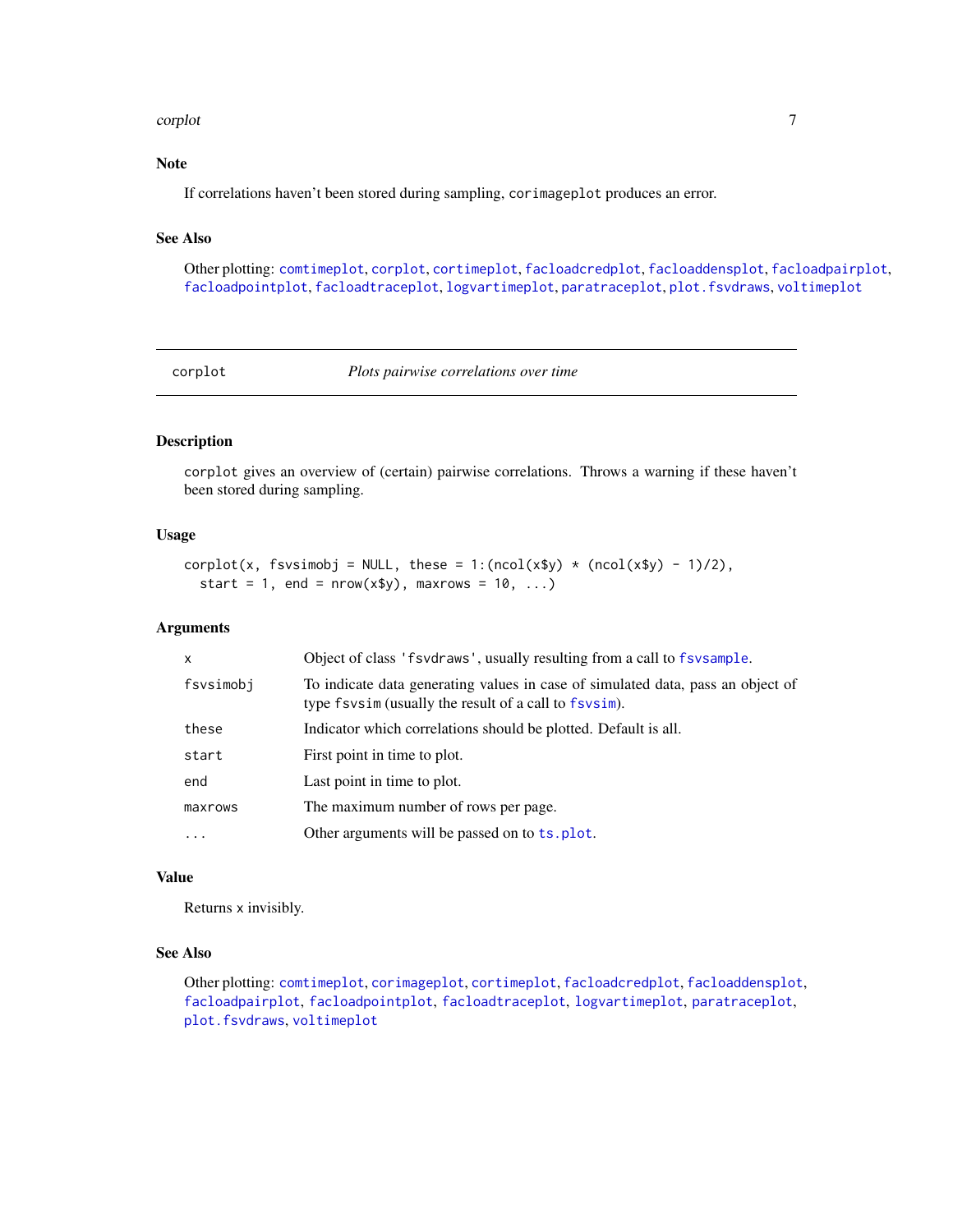#### <span id="page-6-0"></span>corplot that the control of the control of the control of the control of the control of the control of the control of the control of the control of the control of the control of the control of the control of the control of

# Note

If correlations haven't been stored during sampling, corimageplot produces an error.

# See Also

Other plotting: [comtimeplot](#page-3-1), [corplot](#page-6-1), [cortimeplot](#page-7-1), [facloadcredplot](#page-12-1), [facloaddensplot](#page-12-2), [facloadpairplot](#page-13-1), [facloadpointplot](#page-14-1), [facloadtraceplot](#page-14-2), [logvartimeplot](#page-24-1), [paratraceplot](#page-26-1), [plot.fsvdraws](#page-26-2), [voltimeplot](#page-39-1)

<span id="page-6-1"></span>corplot *Plots pairwise correlations over time*

# Description

corplot gives an overview of (certain) pairwise correlations. Throws a warning if these haven't been stored during sampling.

#### Usage

```
corplot(x, fsvsimobj = NULL, these = 1:(ncol(x$y) * (ncol(x$y) - 1)/2),
  start = 1, end = nrow(x\ y), maxrows = 10, ...)
```
#### Arguments

| x         | Object of class 'fsvdraws', usually resulting from a call to fsvsample.                                                                  |  |  |  |  |
|-----------|------------------------------------------------------------------------------------------------------------------------------------------|--|--|--|--|
| fsvsimobj | To indicate data generating values in case of simulated data, pass an object of<br>type fsvsim (usually the result of a call to fsvsim). |  |  |  |  |
| these     | Indicator which correlations should be plotted. Default is all.                                                                          |  |  |  |  |
| start     | First point in time to plot.                                                                                                             |  |  |  |  |
| end       | Last point in time to plot.                                                                                                              |  |  |  |  |
| maxrows   | The maximum number of rows per page.                                                                                                     |  |  |  |  |
|           | Other arguments will be passed on to ts. plot.                                                                                           |  |  |  |  |
|           |                                                                                                                                          |  |  |  |  |

#### Value

Returns x invisibly.

#### See Also

Other plotting: [comtimeplot](#page-3-1), [corimageplot](#page-5-1), [cortimeplot](#page-7-1), [facloadcredplot](#page-12-1), [facloaddensplot](#page-12-2), [facloadpairplot](#page-13-1), [facloadpointplot](#page-14-1), [facloadtraceplot](#page-14-2), [logvartimeplot](#page-24-1), [paratraceplot](#page-26-1), [plot.fsvdraws](#page-26-2), [voltimeplot](#page-39-1)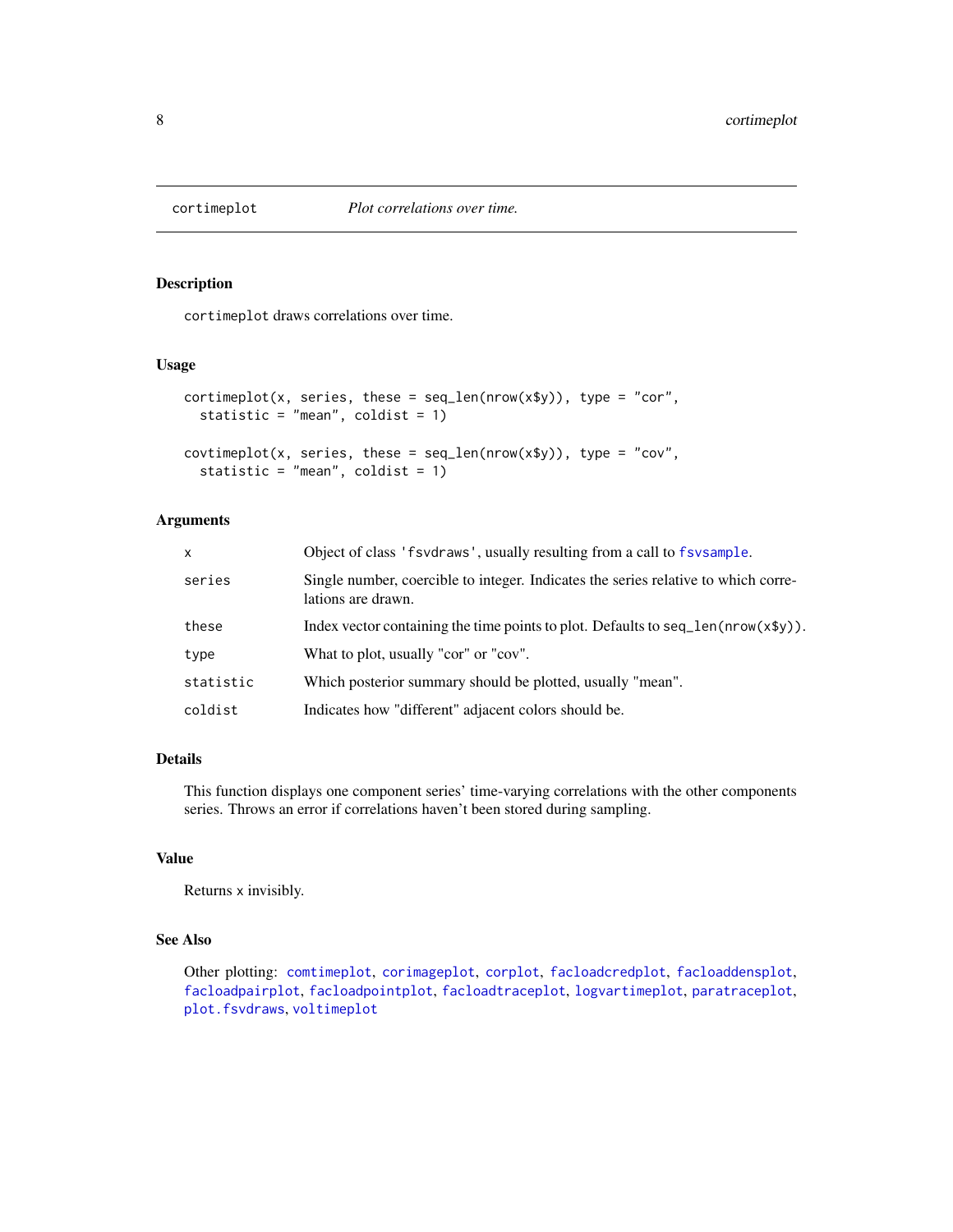<span id="page-7-1"></span><span id="page-7-0"></span>

# Description

cortimeplot draws correlations over time.

#### Usage

```
cortimeplot(x, series, these = seq\_len(nrow(x\y)), type = "cor",
  statistic = "mean", coldist = 1)
covtimeplot(x, series, these = seq_length(nrow(x$y)), type = "cov",statistic = "mean", coldist = 1)
```
# Arguments

| X         | Object of class 'f svd raws', usually resulting from a call to f sy sample.                              |
|-----------|----------------------------------------------------------------------------------------------------------|
| series    | Single number, coercible to integer. Indicates the series relative to which corre-<br>lations are drawn. |
| these     | Index vector containing the time points to plot. Defaults to seq $len(nrow(x\$ y)).                      |
| type      | What to plot, usually "cor" or "cov".                                                                    |
| statistic | Which posterior summary should be plotted, usually "mean".                                               |
| coldist   | Indicates how "different" adjacent colors should be.                                                     |

#### Details

This function displays one component series' time-varying correlations with the other components series. Throws an error if correlations haven't been stored during sampling.

#### Value

Returns x invisibly.

#### See Also

Other plotting: [comtimeplot](#page-3-1), [corimageplot](#page-5-1), [corplot](#page-6-1), [facloadcredplot](#page-12-1), [facloaddensplot](#page-12-2), [facloadpairplot](#page-13-1), [facloadpointplot](#page-14-1), [facloadtraceplot](#page-14-2), [logvartimeplot](#page-24-1), [paratraceplot](#page-26-1), [plot.fsvdraws](#page-26-2), [voltimeplot](#page-39-1)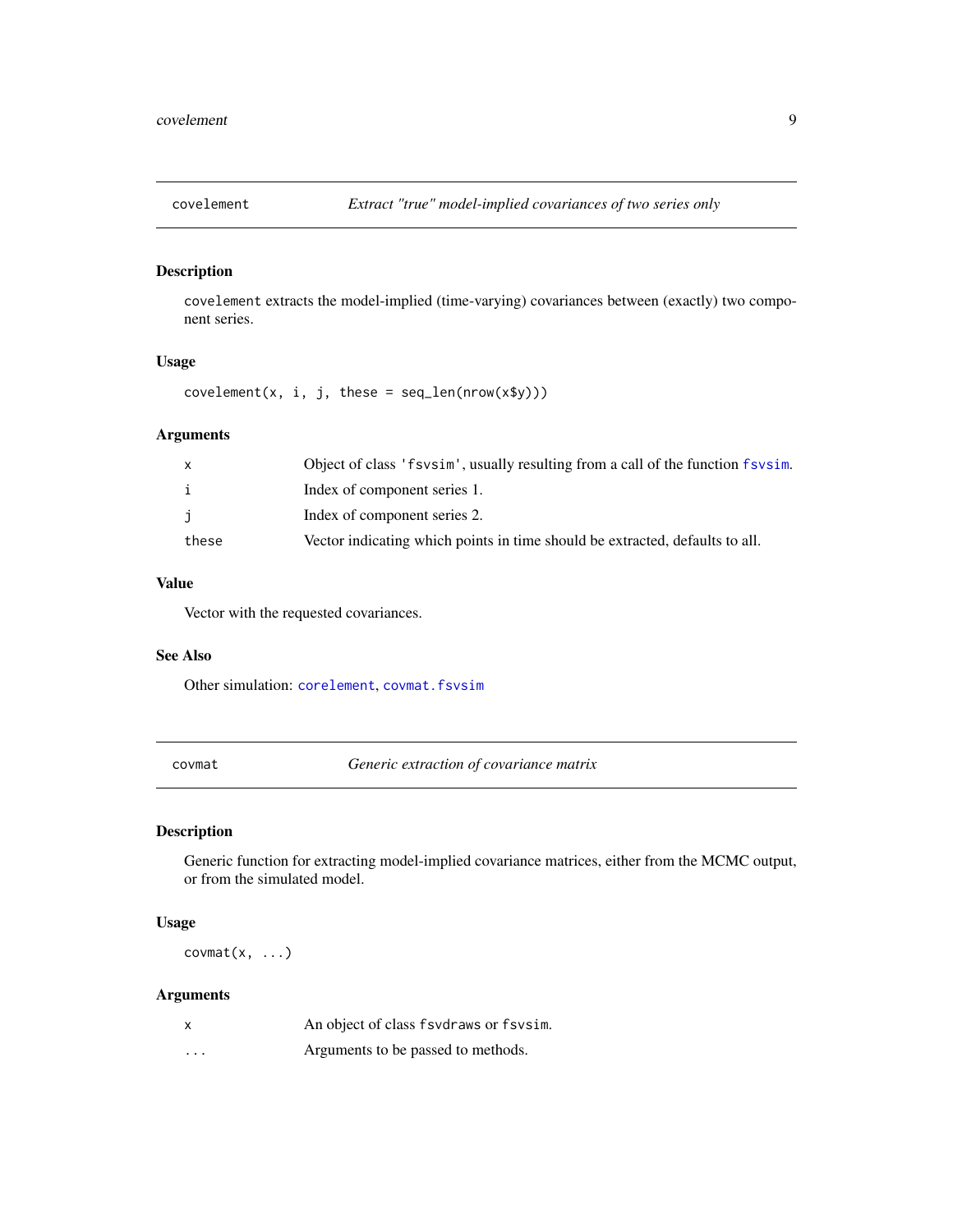<span id="page-8-1"></span><span id="page-8-0"></span>

#### Description

covelement extracts the model-implied (time-varying) covariances between (exactly) two component series.

# Usage

 $covelement(x, i, j, these = seq_length(nrow(x\$ y)))

# Arguments

| X     | Object of class 'f svsim', usually resulting from a call of the function f svsim. |
|-------|-----------------------------------------------------------------------------------|
| i.    | Index of component series 1.                                                      |
| Ĵ.    | Index of component series 2.                                                      |
| these | Vector indicating which points in time should be extracted, defaults to all.      |

# Value

Vector with the requested covariances.

#### See Also

Other simulation: [corelement](#page-4-1), [covmat.fsvsim](#page-10-1)

covmat *Generic extraction of covariance matrix*

# Description

Generic function for extracting model-implied covariance matrices, either from the MCMC output, or from the simulated model.

#### Usage

 $covmat(x, \ldots)$ 

| X        | An object of class fsvdraws or fsvsim. |
|----------|----------------------------------------|
| $\cdots$ | Arguments to be passed to methods.     |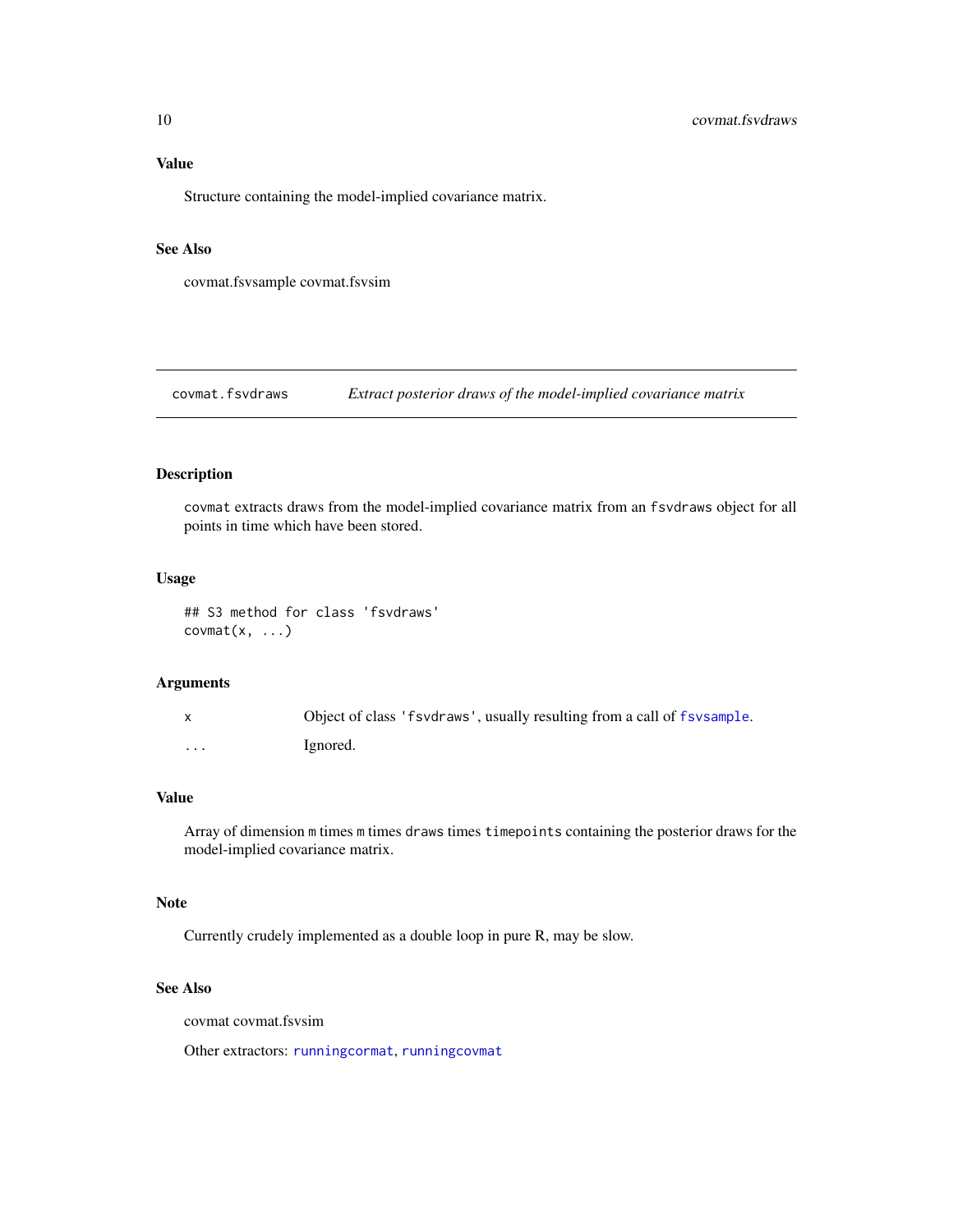# <span id="page-9-0"></span>Value

Structure containing the model-implied covariance matrix.

# See Also

covmat.fsvsample covmat.fsvsim

<span id="page-9-1"></span>covmat.fsvdraws *Extract posterior draws of the model-implied covariance matrix*

# Description

covmat extracts draws from the model-implied covariance matrix from an fsvdraws object for all points in time which have been stored.

#### Usage

## S3 method for class 'fsvdraws'  $covmat(x, \ldots)$ 

# Arguments

|   | Object of class 'f svd raws', usually resulting from a call of f sv sample. |
|---|-----------------------------------------------------------------------------|
| . | Ignored.                                                                    |

#### Value

Array of dimension m times m times draws times timepoints containing the posterior draws for the model-implied covariance matrix.

# Note

Currently crudely implemented as a double loop in pure R, may be slow.

#### See Also

covmat covmat.fsvsim

Other extractors: [runningcormat](#page-36-1), [runningcovmat](#page-37-1)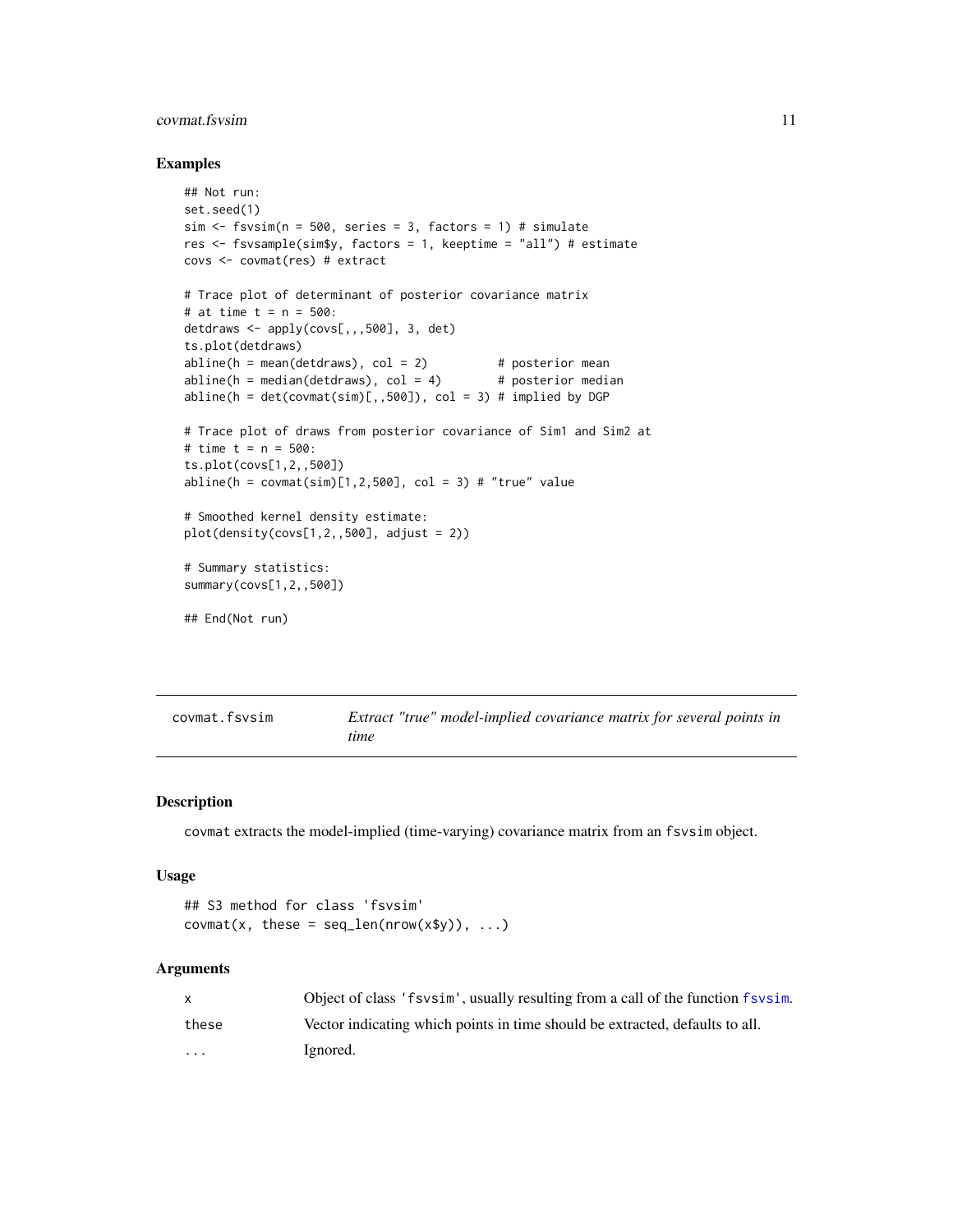# <span id="page-10-0"></span>covmat.fsvsim 11

#### Examples

```
## Not run:
set.seed(1)
sim < fsvsim(n = 500, series = 3, factors = 1) # simulate
res <- fsvsample(sim$y, factors = 1, keeptime = "all") # estimate
covs <- covmat(res) # extract
# Trace plot of determinant of posterior covariance matrix
# at time t = n = 500:
detdraws <- apply(covs[,,,500], 3, det)
ts.plot(detdraws)
abline(h = mean(detdraws), col = 2) # posterior mean
abline(h = median(detdraws), col = 4) # posterior median
abline(h = det(covmat(sim)[,,500]), col = 3) # implied by DGP
# Trace plot of draws from posterior covariance of Sim1 and Sim2 at
# time t = n = 500:
ts.plot(covs[1,2,,500])
abline(h = covmat(sim)[1,2,500], col = 3) # "true" value
# Smoothed kernel density estimate:
plot(density(covs[1,2,,500], adjust = 2))# Summary statistics:
summary(covs[1,2,,500])
## End(Not run)
```
<span id="page-10-1"></span>

| covmat.fsvsim |      | Extract "true" model-implied covariance matrix for several points in |  |  |
|---------------|------|----------------------------------------------------------------------|--|--|
|               | time |                                                                      |  |  |

#### Description

covmat extracts the model-implied (time-varying) covariance matrix from an fsvsim object.

#### Usage

```
## S3 method for class 'fsvsim'
covmat(x, these = seq_length(nrow(x\y)), ...)
```

|                         | Object of class 'f svsim', usually resulting from a call of the function f svsim. |
|-------------------------|-----------------------------------------------------------------------------------|
| these                   | Vector indicating which points in time should be extracted, defaults to all.      |
| $\cdot$ $\cdot$ $\cdot$ | Ignored.                                                                          |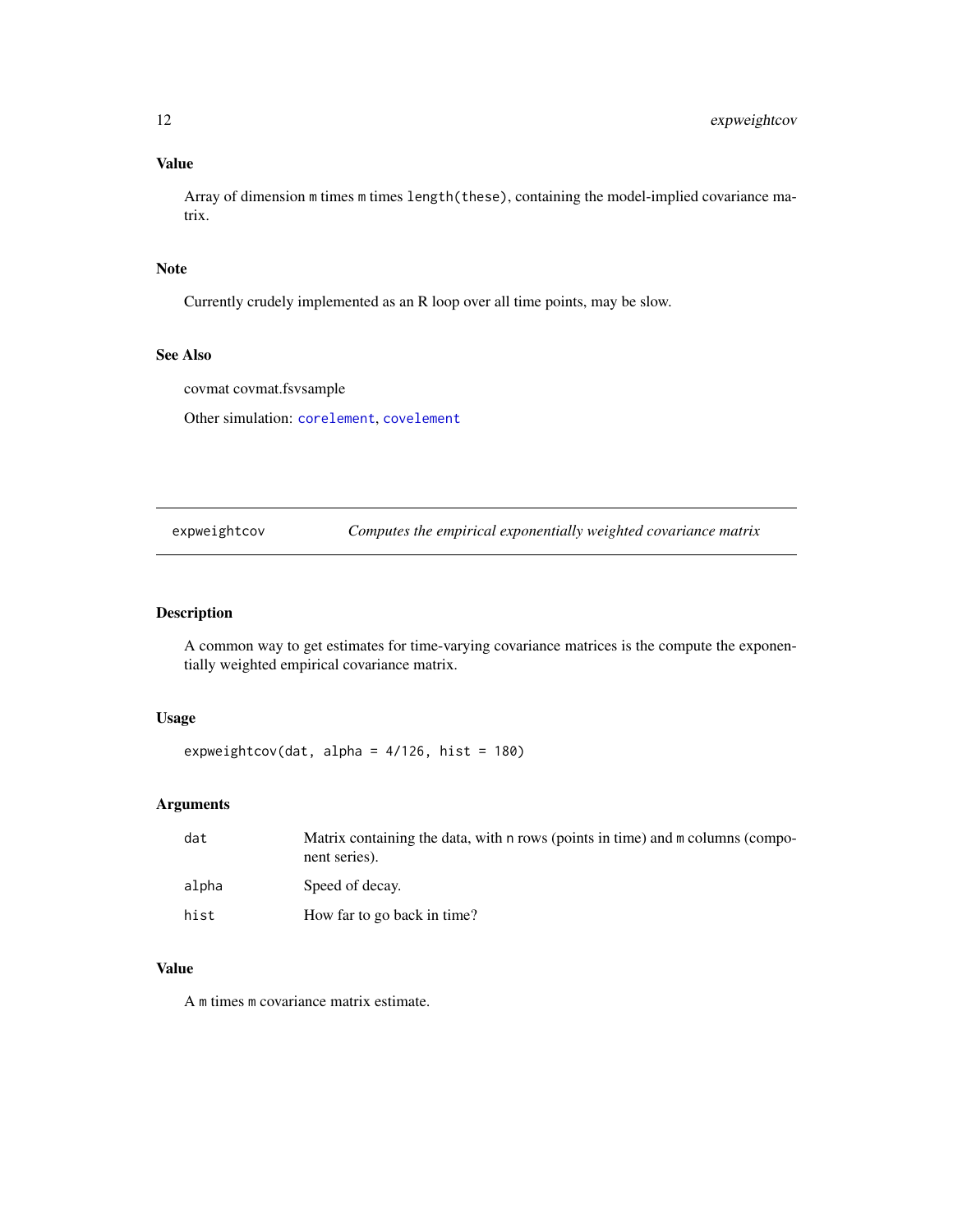# <span id="page-11-0"></span>Value

Array of dimension m times m times length(these), containing the model-implied covariance matrix.

# Note

Currently crudely implemented as an R loop over all time points, may be slow.

# See Also

covmat covmat.fsvsample

Other simulation: [corelement](#page-4-1), [covelement](#page-8-1)

expweightcov *Computes the empirical exponentially weighted covariance matrix*

# Description

A common way to get estimates for time-varying covariance matrices is the compute the exponentially weighted empirical covariance matrix.

# Usage

expweightcov(dat, alpha =  $4/126$ , hist =  $180$ )

# Arguments

| dat   | Matrix containing the data, with n rows (points in time) and m columns (compo-<br>nent series). |
|-------|-------------------------------------------------------------------------------------------------|
| alpha | Speed of decay.                                                                                 |
| hist  | How far to go back in time?                                                                     |

# Value

A m times m covariance matrix estimate.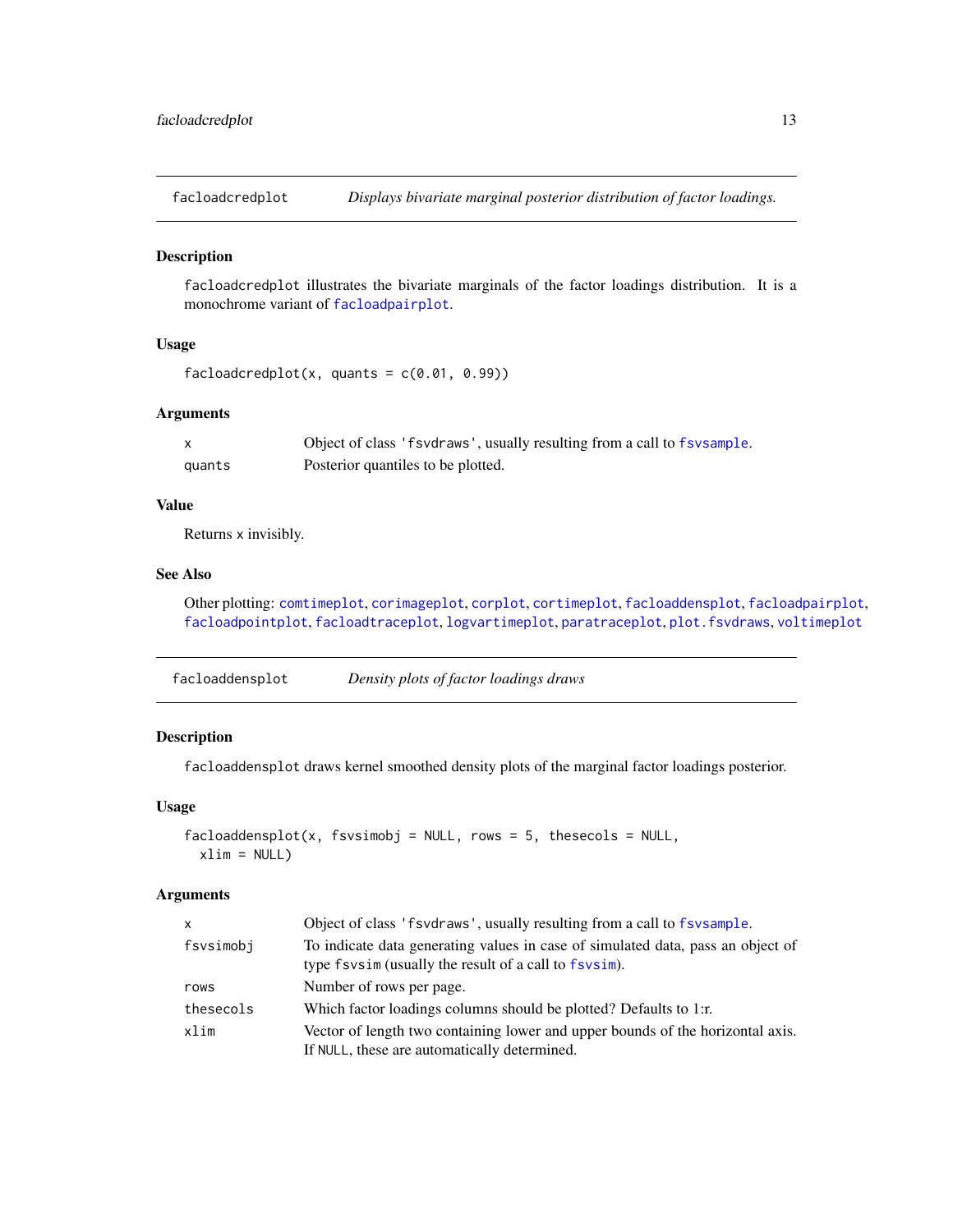<span id="page-12-1"></span><span id="page-12-0"></span>facloadcredplot *Displays bivariate marginal posterior distribution of factor loadings.*

#### Description

facloadcredplot illustrates the bivariate marginals of the factor loadings distribution. It is a monochrome variant of [facloadpairplot](#page-13-1).

# Usage

```
facloadcredplot(x, quants = c(0.01, 0.99))
```
#### Arguments

|        | Object of class 'f svd raws', usually resulting from a call to f sv sample. |
|--------|-----------------------------------------------------------------------------|
| quants | Posterior quantiles to be plotted.                                          |

# Value

Returns x invisibly.

# See Also

Other plotting: [comtimeplot](#page-3-1), [corimageplot](#page-5-1), [corplot](#page-6-1), [cortimeplot](#page-7-1), [facloaddensplot](#page-12-2), [facloadpairplot](#page-13-1), [facloadpointplot](#page-14-1), [facloadtraceplot](#page-14-2), [logvartimeplot](#page-24-1), [paratraceplot](#page-26-1), [plot.fsvdraws](#page-26-2), [voltimeplot](#page-39-1)

<span id="page-12-2"></span>

| facloaddensplot | Density plots of factor loadings draws |  |
|-----------------|----------------------------------------|--|
|                 |                                        |  |

# Description

facloaddensplot draws kernel smoothed density plots of the marginal factor loadings posterior.

# Usage

```
facload density, fsvsimobj = NULL, rows = 5, these cells = NULL,xlim = NULL
```

| $\mathsf{x}$ | Object of class 'f svdraws', usually resulting from a call to f svsample.                                                                |
|--------------|------------------------------------------------------------------------------------------------------------------------------------------|
| fsvsimobj    | To indicate data generating values in case of simulated data, pass an object of<br>type fsvsim (usually the result of a call to fsvsim). |
| rows         | Number of rows per page.                                                                                                                 |
| thesecols    | Which factor loadings columns should be plotted? Defaults to 1:r.                                                                        |
| xlim         | Vector of length two containing lower and upper bounds of the horizontal axis.<br>If NULL, these are automatically determined.           |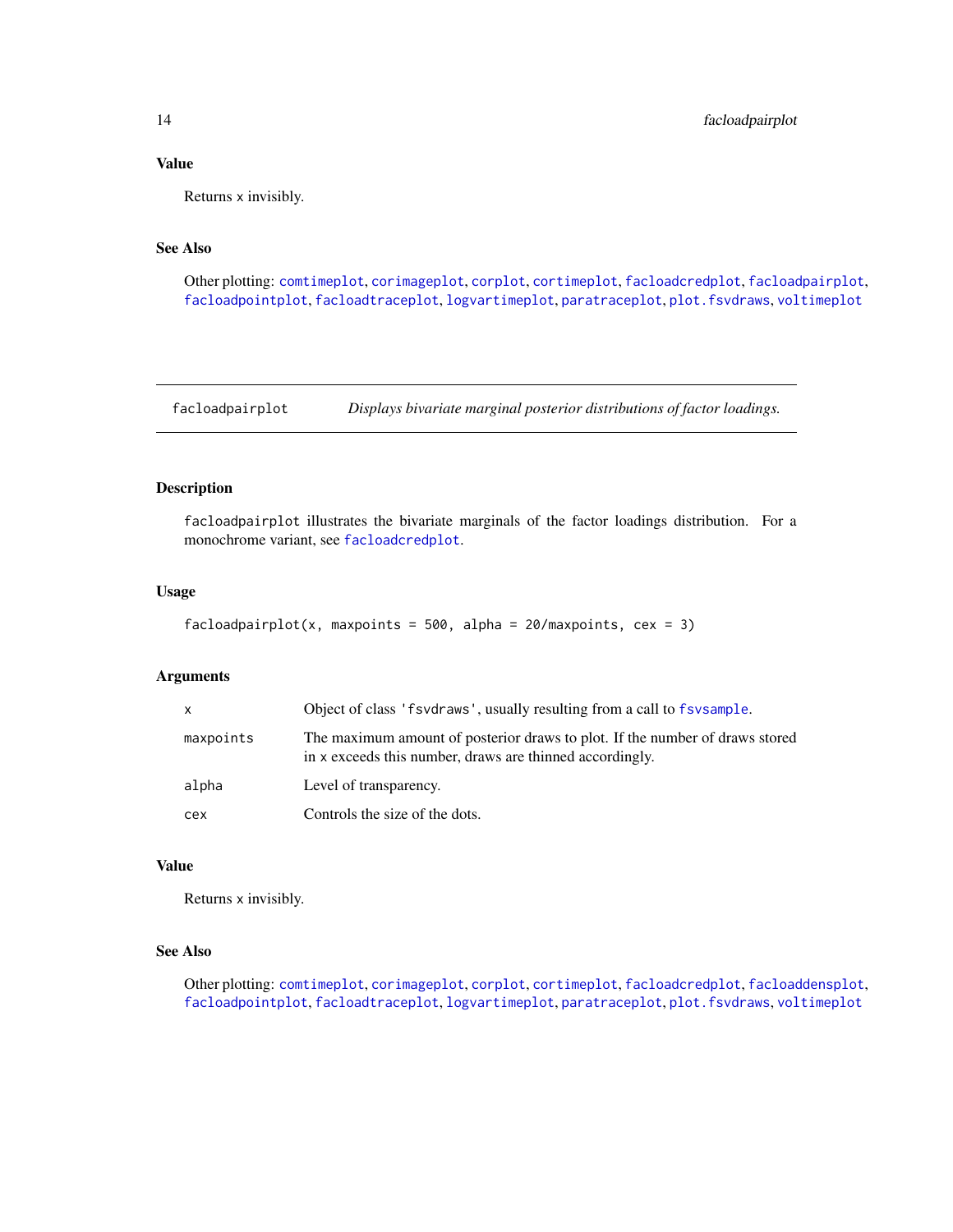#### <span id="page-13-0"></span>Value

Returns x invisibly.

# See Also

Other plotting: [comtimeplot](#page-3-1), [corimageplot](#page-5-1), [corplot](#page-6-1), [cortimeplot](#page-7-1), [facloadcredplot](#page-12-1), [facloadpairplot](#page-13-1), [facloadpointplot](#page-14-1), [facloadtraceplot](#page-14-2), [logvartimeplot](#page-24-1), [paratraceplot](#page-26-1), [plot.fsvdraws](#page-26-2), [voltimeplot](#page-39-1)

<span id="page-13-1"></span>facloadpairplot *Displays bivariate marginal posterior distributions of factor loadings.*

# Description

facloadpairplot illustrates the bivariate marginals of the factor loadings distribution. For a monochrome variant, see [facloadcredplot](#page-12-1).

#### Usage

```
facloadpairplot(x, maxpoints = 500, alpha = 20/maxpoints, cex = 3)
```
# Arguments

| <b>X</b>  | Object of class 'f svd raws', usually resulting from a call to f sysample.                                                               |
|-----------|------------------------------------------------------------------------------------------------------------------------------------------|
| maxpoints | The maximum amount of posterior draws to plot. If the number of draws stored<br>in x exceeds this number, draws are thinned accordingly. |
| alpha     | Level of transparency.                                                                                                                   |
| cex       | Controls the size of the dots.                                                                                                           |

#### Value

Returns x invisibly.

# See Also

Other plotting: [comtimeplot](#page-3-1), [corimageplot](#page-5-1), [corplot](#page-6-1), [cortimeplot](#page-7-1), [facloadcredplot](#page-12-1), [facloaddensplot](#page-12-2), [facloadpointplot](#page-14-1), [facloadtraceplot](#page-14-2), [logvartimeplot](#page-24-1), [paratraceplot](#page-26-1), [plot.fsvdraws](#page-26-2), [voltimeplot](#page-39-1)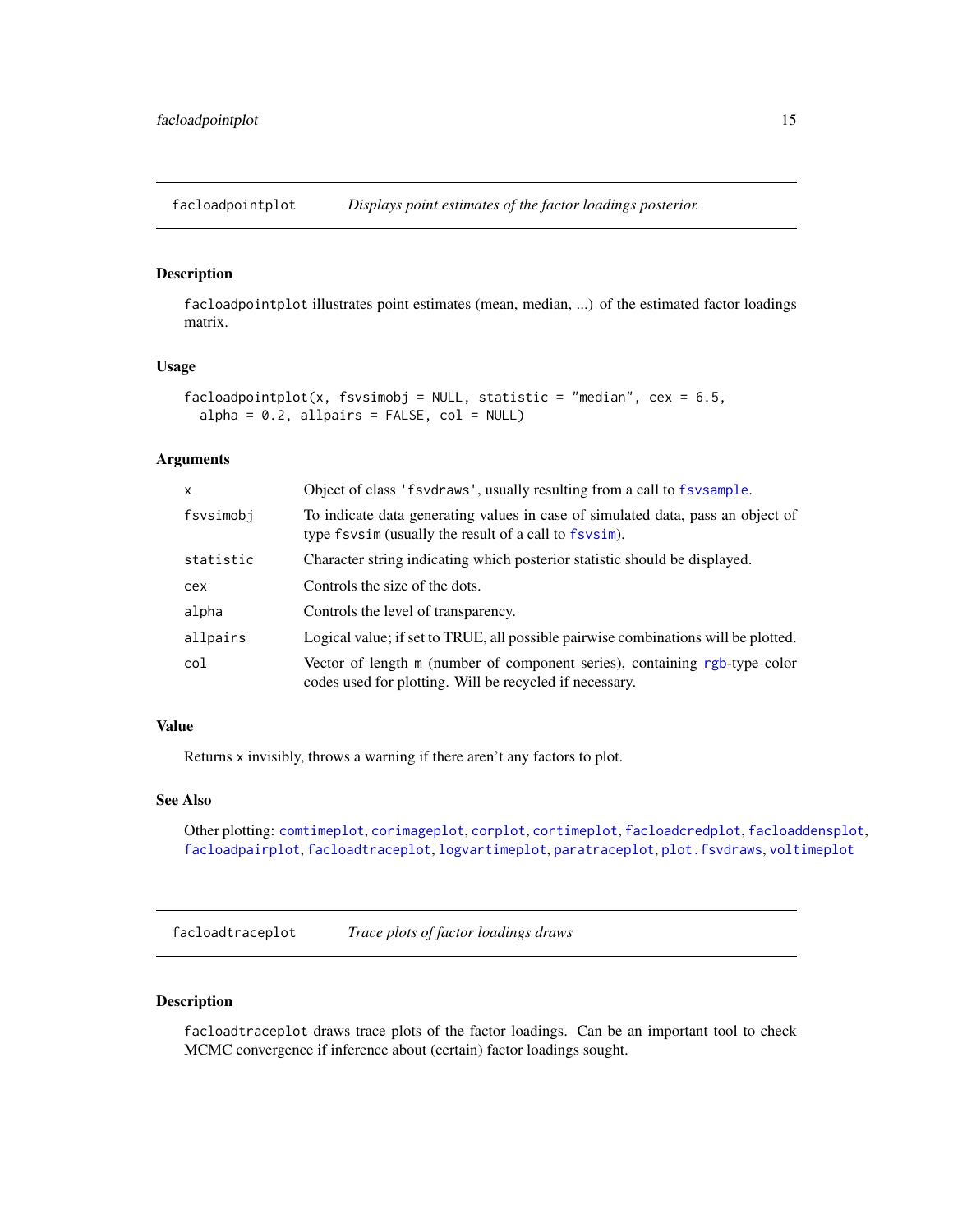<span id="page-14-1"></span><span id="page-14-0"></span>facloadpointplot *Displays point estimates of the factor loadings posterior.*

# Description

facloadpointplot illustrates point estimates (mean, median, ...) of the estimated factor loadings matrix.

# Usage

```
facloadpointplot(x, fsvsimobj = NULL, statistic = "median", cex = 6.5,
  alpha = 0.2, allpairs = FALSE, col = NULL
```
#### Arguments

| x         | Object of class 'f svd raws', usually resulting from a call to f sv sample.                                                              |
|-----------|------------------------------------------------------------------------------------------------------------------------------------------|
| fsvsimobj | To indicate data generating values in case of simulated data, pass an object of<br>type fsvsim (usually the result of a call to fsvsim). |
| statistic | Character string indicating which posterior statistic should be displayed.                                                               |
| cex       | Controls the size of the dots.                                                                                                           |
| alpha     | Controls the level of transparency.                                                                                                      |
| allpairs  | Logical value; if set to TRUE, all possible pairwise combinations will be plotted.                                                       |
| col       | Vector of length m (number of component series), containing rgb-type color<br>codes used for plotting. Will be recycled if necessary.    |

# Value

Returns x invisibly, throws a warning if there aren't any factors to plot.

#### See Also

Other plotting: [comtimeplot](#page-3-1), [corimageplot](#page-5-1), [corplot](#page-6-1), [cortimeplot](#page-7-1), [facloadcredplot](#page-12-1), [facloaddensplot](#page-12-2), [facloadpairplot](#page-13-1), [facloadtraceplot](#page-14-2), [logvartimeplot](#page-24-1), [paratraceplot](#page-26-1), [plot.fsvdraws](#page-26-2), [voltimeplot](#page-39-1)

<span id="page-14-2"></span>facloadtraceplot *Trace plots of factor loadings draws*

# Description

facloadtraceplot draws trace plots of the factor loadings. Can be an important tool to check MCMC convergence if inference about (certain) factor loadings sought.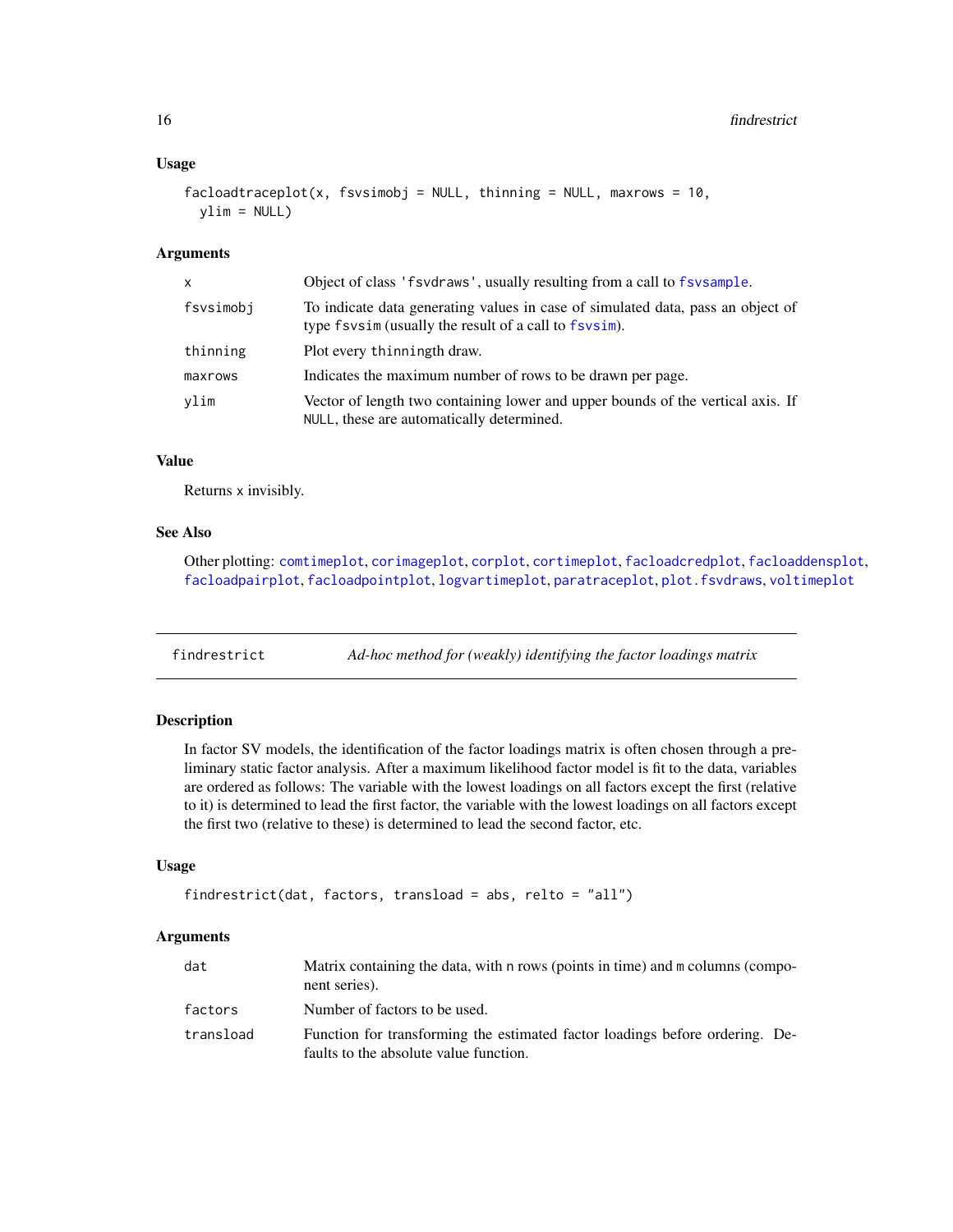#### <span id="page-15-0"></span>Usage

```
facloadtraceplot(x, fsvsimobj = NULL, thinning = NULL, maxrows = 10,ylim = NULL)
```
#### Arguments

| x         | Object of class 'f svd raws', usually resulting from a call to f sv sample.                                                              |
|-----------|------------------------------------------------------------------------------------------------------------------------------------------|
| fsvsimobj | To indicate data generating values in case of simulated data, pass an object of<br>type fsvsim (usually the result of a call to fsvsim). |
| thinning  | Plot every thinningth draw.                                                                                                              |
| maxrows   | Indicates the maximum number of rows to be drawn per page.                                                                               |
| vlim      | Vector of length two containing lower and upper bounds of the vertical axis. If<br>NULL, these are automatically determined.             |

#### Value

Returns x invisibly.

# See Also

Other plotting: [comtimeplot](#page-3-1), [corimageplot](#page-5-1), [corplot](#page-6-1), [cortimeplot](#page-7-1), [facloadcredplot](#page-12-1), [facloaddensplot](#page-12-2), [facloadpairplot](#page-13-1), [facloadpointplot](#page-14-1), [logvartimeplot](#page-24-1), [paratraceplot](#page-26-1), [plot.fsvdraws](#page-26-2), [voltimeplot](#page-39-1)

<span id="page-15-1"></span>findrestrict *Ad-hoc method for (weakly) identifying the factor loadings matrix*

#### Description

In factor SV models, the identification of the factor loadings matrix is often chosen through a preliminary static factor analysis. After a maximum likelihood factor model is fit to the data, variables are ordered as follows: The variable with the lowest loadings on all factors except the first (relative to it) is determined to lead the first factor, the variable with the lowest loadings on all factors except the first two (relative to these) is determined to lead the second factor, etc.

# Usage

```
findrestrict(dat, factors, transload = abs, relto = "all")
```

| dat       | Matrix containing the data, with n rows (points in time) and m columns (compo-<br>nent series).                        |
|-----------|------------------------------------------------------------------------------------------------------------------------|
| factors   | Number of factors to be used.                                                                                          |
| transload | Function for transforming the estimated factor loadings before ordering. De-<br>faults to the absolute value function. |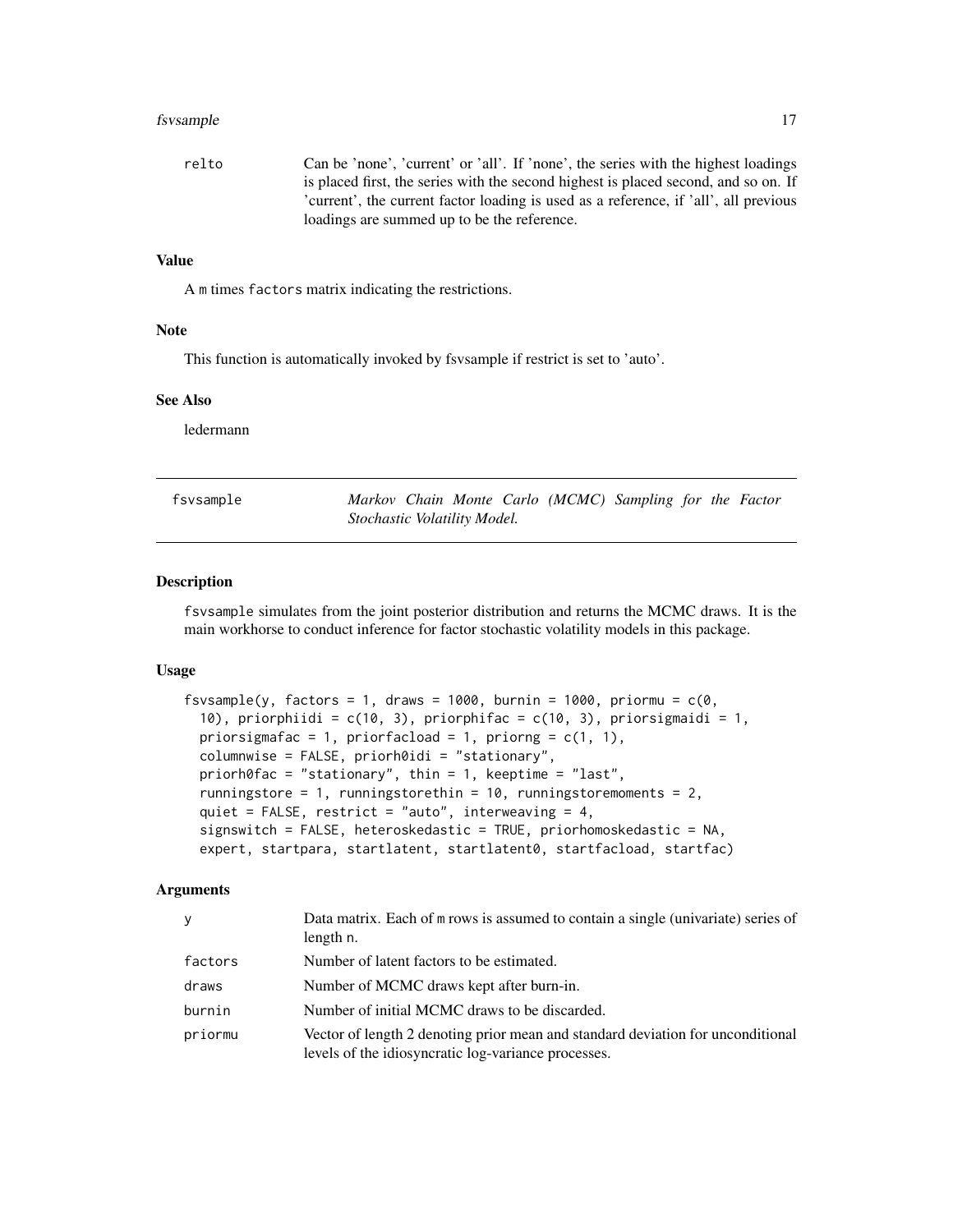#### <span id="page-16-0"></span>fsvsample to the state of the state of the state of the state of the state of the state of the state of the state of the state of the state of the state of the state of the state of the state of the state of the state of t

relto Can be 'none', 'current' or 'all'. If 'none', the series with the highest loadings is placed first, the series with the second highest is placed second, and so on. If 'current', the current factor loading is used as a reference, if 'all', all previous loadings are summed up to be the reference.

# Value

A m times factors matrix indicating the restrictions.

#### Note

This function is automatically invoked by fsvsample if restrict is set to 'auto'.

#### See Also

ledermann

<span id="page-16-1"></span>

| fsvsample |                              |  |  | Markov Chain Monte Carlo (MCMC) Sampling for the Factor |  |  |
|-----------|------------------------------|--|--|---------------------------------------------------------|--|--|
|           | Stochastic Volatility Model. |  |  |                                                         |  |  |

#### Description

fsvsample simulates from the joint posterior distribution and returns the MCMC draws. It is the main workhorse to conduct inference for factor stochastic volatility models in this package.

#### Usage

```
fsvsample(y, factors = 1, draws = 1000, burnin = 1000, priormu = c(0,10), priorphiidi = c(10, 3), priorphifac = c(10, 3), priorsigmaidi = 1,
 priorsigmafac = 1, priorfacload = 1, priorng = c(1, 1),
  columnwise = FALSE, priorh0idi = "stationary",
  priorh0fac = "stationary", thin = 1, keeptime = "last",
  runningstore = 1, runningstorethin = 10, runningstoremoments = 2,
  quiet = FALSE, restrict = "auto", interweaving = 4,
  signswitch = FALSE, heteroskedastic = TRUE, priorhomoskedastic = NA,
  expert, startpara, startlatent, startlatent0, startfacload, startfac)
```

| y       | Data matrix. Each of m rows is assumed to contain a single (univariate) series of<br>length n.                                         |
|---------|----------------------------------------------------------------------------------------------------------------------------------------|
| factors | Number of latent factors to be estimated.                                                                                              |
| draws   | Number of MCMC draws kept after burn-in.                                                                                               |
| burnin  | Number of initial MCMC draws to be discarded.                                                                                          |
| priormu | Vector of length 2 denoting prior mean and standard deviation for unconditional<br>levels of the idiosyncratic log-variance processes. |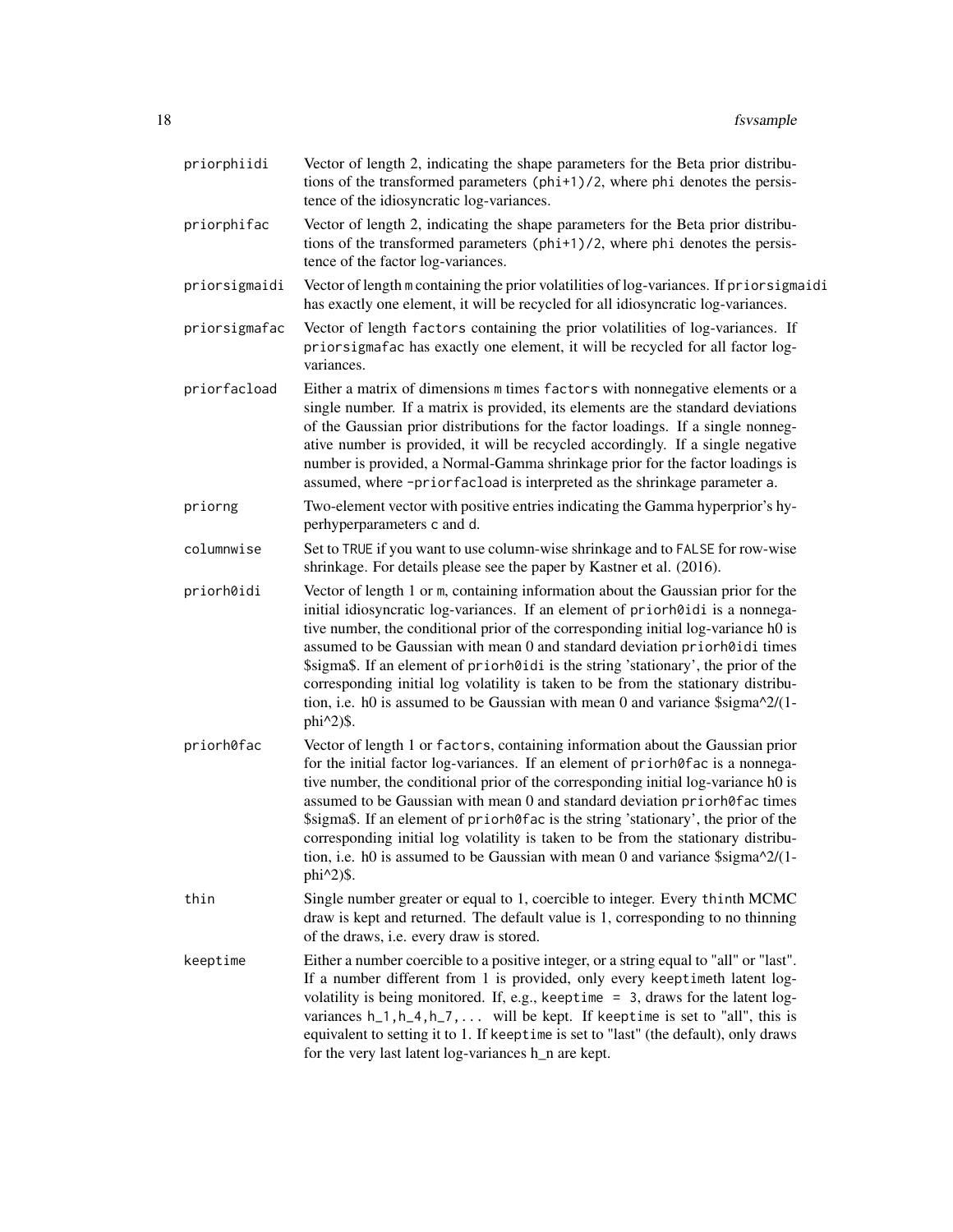| priorphiidi   | Vector of length 2, indicating the shape parameters for the Beta prior distribu-<br>tions of the transformed parameters (phi+1)/2, where phi denotes the persis-<br>tence of the idiosyncratic log-variances.                                                                                                                                                                                                                                                                                                                                                                                                                              |
|---------------|--------------------------------------------------------------------------------------------------------------------------------------------------------------------------------------------------------------------------------------------------------------------------------------------------------------------------------------------------------------------------------------------------------------------------------------------------------------------------------------------------------------------------------------------------------------------------------------------------------------------------------------------|
| priorphifac   | Vector of length 2, indicating the shape parameters for the Beta prior distribu-<br>tions of the transformed parameters (phi+1)/2, where phi denotes the persis-<br>tence of the factor log-variances.                                                                                                                                                                                                                                                                                                                                                                                                                                     |
| priorsigmaidi | Vector of length m containing the prior volatilities of log-variances. If priorsigmaidi<br>has exactly one element, it will be recycled for all idiosyncratic log-variances.                                                                                                                                                                                                                                                                                                                                                                                                                                                               |
| priorsigmafac | Vector of length factors containing the prior volatilities of log-variances. If<br>priorsigmafac has exactly one element, it will be recycled for all factor log-<br>variances.                                                                                                                                                                                                                                                                                                                                                                                                                                                            |
| priorfacload  | Either a matrix of dimensions m times factors with nonnegative elements or a<br>single number. If a matrix is provided, its elements are the standard deviations<br>of the Gaussian prior distributions for the factor loadings. If a single nonneg-<br>ative number is provided, it will be recycled accordingly. If a single negative<br>number is provided, a Normal-Gamma shrinkage prior for the factor loadings is<br>assumed, where -priorfacload is interpreted as the shrinkage parameter a.                                                                                                                                      |
| priorng       | Two-element vector with positive entries indicating the Gamma hyperprior's hy-<br>perhyperparameters c and d.                                                                                                                                                                                                                                                                                                                                                                                                                                                                                                                              |
| columnwise    | Set to TRUE if you want to use column-wise shrinkage and to FALSE for row-wise<br>shrinkage. For details please see the paper by Kastner et al. (2016).                                                                                                                                                                                                                                                                                                                                                                                                                                                                                    |
| priorh0idi    | Vector of length 1 or m, containing information about the Gaussian prior for the<br>initial idiosyncratic log-variances. If an element of priorh0idi is a nonnega-<br>tive number, the conditional prior of the corresponding initial log-variance h0 is<br>assumed to be Gaussian with mean 0 and standard deviation priorh0idi times<br>\$sigma\$. If an element of priorh0idi is the string 'stationary', the prior of the<br>corresponding initial log volatility is taken to be from the stationary distribu-<br>tion, i.e. h0 is assumed to be Gaussian with mean 0 and variance $\sigma \sim 2/(1 - \frac{1}{2})$<br>phi^2)\$.      |
| priorh0fac    | Vector of length 1 or factors, containing information about the Gaussian prior<br>for the initial factor log-variances. If an element of priorh0fac is a nonnega-<br>tive number, the conditional prior of the corresponding initial log-variance h0 is<br>assumed to be Gaussian with mean 0 and standard deviation priorh0fac times<br>\$sigma\$. If an element of priorh0fac is the string 'stationary', the prior of the<br>corresponding initial log volatility is taken to be from the stationary distribu-<br>tion, i.e. h0 is assumed to be Gaussian with mean 0 and variance $\frac{\sigma}{2}(1-\sigma)$<br>phi $\binom{2}{3}$ . |
| thin          | Single number greater or equal to 1, coercible to integer. Every thinth MCMC<br>draw is kept and returned. The default value is 1, corresponding to no thinning<br>of the draws, i.e. every draw is stored.                                                                                                                                                                                                                                                                                                                                                                                                                                |
| keeptime      | Either a number coercible to a positive integer, or a string equal to "all" or "last".<br>If a number different from 1 is provided, only every keeptimeth latent log-<br>volatility is being monitored. If, e.g., keeptime = 3, draws for the latent log-<br>variances $h_1, h_4, h_7, \ldots$ will be kept. If keeptime is set to "all", this is<br>equivalent to setting it to 1. If keeptime is set to "last" (the default), only draws<br>for the very last latent log-variances h_n are kept.                                                                                                                                         |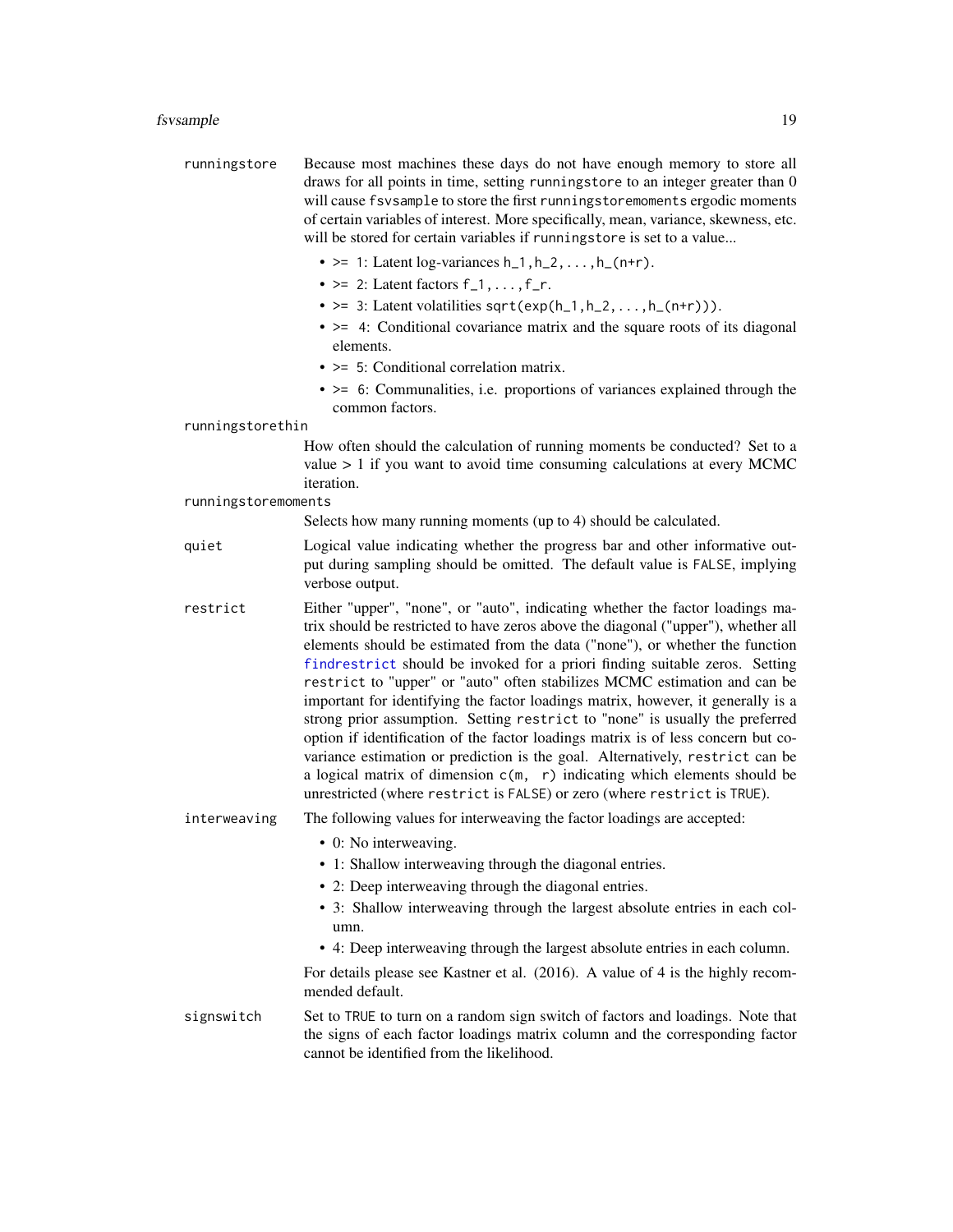#### <span id="page-18-0"></span>fsvsample to the state of the state of the state of the state of the state of the state of the state of the state of the state of the state of the state of the state of the state of the state of the state of the state of t

- runningstore Because most machines these days do not have enough memory to store all draws for all points in time, setting runningstore to an integer greater than 0 will cause fsvsample to store the first runningstoremoments ergodic moments of certain variables of interest. More specifically, mean, variance, skewness, etc. will be stored for certain variables if runningstore is set to a value...
	- $> = 1$ : Latent log-variances h<sub>1</sub>, h<sub>-2</sub>,..., h<sub>-</sub>(n+r).
	- $> = 2$ : Latent factors  $f_1, \ldots, f_r$ .
	- $>=$  3: Latent volatilities sqrt(exp(h\_1,h\_2,...,h\_(n+r))).
	- $\bullet$   $\geq$  4: Conditional covariance matrix and the square roots of its diagonal elements.
	- $>$  = 5: Conditional correlation matrix.
	- $\bullet$   $\geq$  6: Communalities, i.e. proportions of variances explained through the common factors.

#### runningstorethin

How often should the calculation of running moments be conducted? Set to a value  $> 1$  if you want to avoid time consuming calculations at every MCMC iteration.

#### runningstoremoments

Selects how many running moments (up to 4) should be calculated.

- quiet Logical value indicating whether the progress bar and other informative output during sampling should be omitted. The default value is FALSE, implying verbose output.
- restrict Either "upper", "none", or "auto", indicating whether the factor loadings matrix should be restricted to have zeros above the diagonal ("upper"), whether all elements should be estimated from the data ("none"), or whether the function [findrestrict](#page-15-1) should be invoked for a priori finding suitable zeros. Setting restrict to "upper" or "auto" often stabilizes MCMC estimation and can be important for identifying the factor loadings matrix, however, it generally is a strong prior assumption. Setting restrict to "none" is usually the preferred option if identification of the factor loadings matrix is of less concern but covariance estimation or prediction is the goal. Alternatively, restrict can be a logical matrix of dimension  $c(m, r)$  indicating which elements should be unrestricted (where restrict is FALSE) or zero (where restrict is TRUE).

#### interweaving The following values for interweaving the factor loadings are accepted:

- 0: No interweaving.
- 1: Shallow interweaving through the diagonal entries.
- 2: Deep interweaving through the diagonal entries.
- 3: Shallow interweaving through the largest absolute entries in each column.
- 4: Deep interweaving through the largest absolute entries in each column.

For details please see Kastner et al. (2016). A value of 4 is the highly recommended default.

signswitch Set to TRUE to turn on a random sign switch of factors and loadings. Note that the signs of each factor loadings matrix column and the corresponding factor cannot be identified from the likelihood.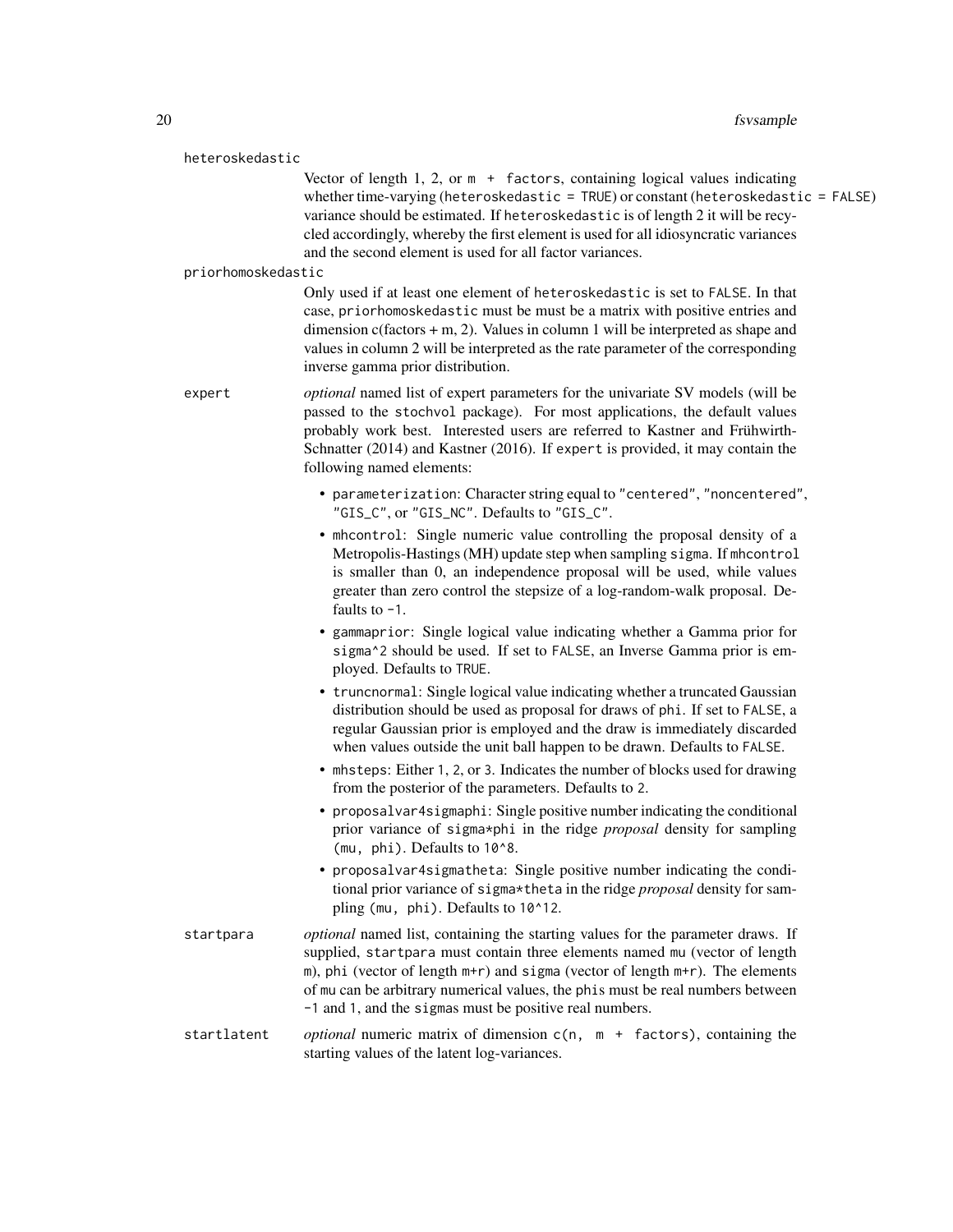#### heteroskedastic

Vector of length  $1, 2$ , or  $m +$  factors, containing logical values indicating whether time-varying (heteroskedastic = TRUE) or constant (heteroskedastic = FALSE) variance should be estimated. If heteroskedastic is of length 2 it will be recycled accordingly, whereby the first element is used for all idiosyncratic variances and the second element is used for all factor variances.

#### priorhomoskedastic

Only used if at least one element of heteroskedastic is set to FALSE. In that case, priorhomoskedastic must be must be a matrix with positive entries and dimension  $c$ (factors  $+$  m, 2). Values in column 1 will be interpreted as shape and values in column 2 will be interpreted as the rate parameter of the corresponding inverse gamma prior distribution.

expert *optional* named list of expert parameters for the univariate SV models (will be passed to the stochvol package). For most applications, the default values probably work best. Interested users are referred to Kastner and Frühwirth-Schnatter (2014) and Kastner (2016). If expert is provided, it may contain the following named elements:

- parameterization: Character string equal to "centered", "noncentered", "GIS\_C", or "GIS\_NC". Defaults to "GIS\_C".
- mhcontrol: Single numeric value controlling the proposal density of a Metropolis-Hastings (MH) update step when sampling sigma. If mhcontrol is smaller than 0, an independence proposal will be used, while values greater than zero control the stepsize of a log-random-walk proposal. Defaults to -1.
- gammaprior: Single logical value indicating whether a Gamma prior for sigma^2 should be used. If set to FALSE, an Inverse Gamma prior is employed. Defaults to TRUE.
- truncnormal: Single logical value indicating whether a truncated Gaussian distribution should be used as proposal for draws of phi. If set to FALSE, a regular Gaussian prior is employed and the draw is immediately discarded when values outside the unit ball happen to be drawn. Defaults to FALSE.
- mhsteps: Either 1, 2, or 3. Indicates the number of blocks used for drawing from the posterior of the parameters. Defaults to 2.
- proposalvar4sigmaphi: Single positive number indicating the conditional prior variance of sigma\*phi in the ridge *proposal* density for sampling (mu, phi). Defaults to 10^8.
- proposalvar4sigmatheta: Single positive number indicating the conditional prior variance of sigma\*theta in the ridge *proposal* density for sampling (mu, phi). Defaults to 10^12.
- startpara *optional* named list, containing the starting values for the parameter draws. If supplied, startpara must contain three elements named mu (vector of length m), phi (vector of length m+r) and sigma (vector of length m+r). The elements of mu can be arbitrary numerical values, the phis must be real numbers between -1 and 1, and the sigmas must be positive real numbers.
- startlatent *optional* numeric matrix of dimension c(n, m + factors), containing the starting values of the latent log-variances.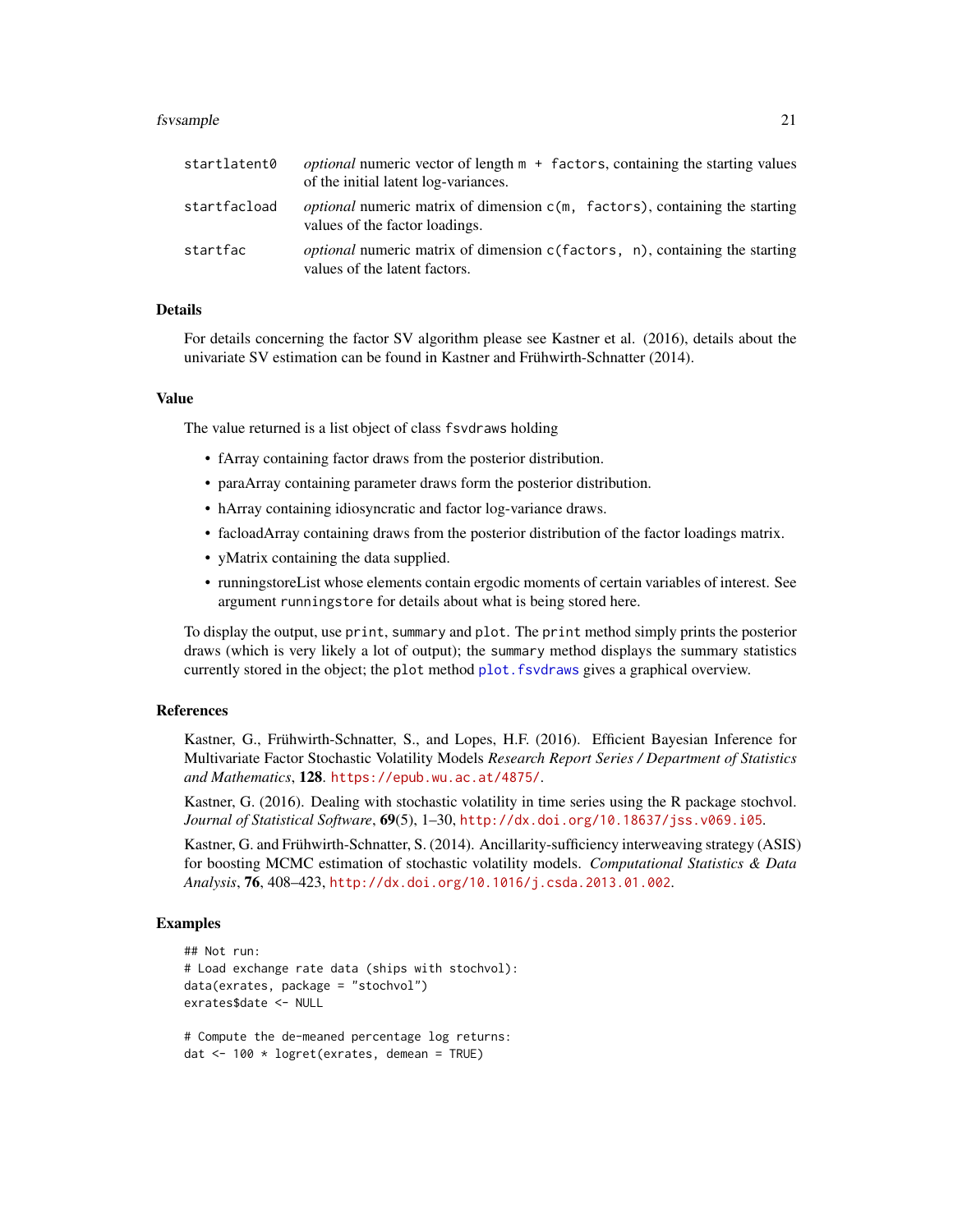#### <span id="page-20-0"></span>fsvsample 21

| startlatent0 | <i>optional</i> numeric vector of length $m +$ factors, containing the starting values<br>of the initial latent log-variances.  |
|--------------|---------------------------------------------------------------------------------------------------------------------------------|
| startfacload | <i>optional</i> numeric matrix of dimension $c(m, \text{ factors})$ , containing the starting<br>values of the factor loadings. |
| startfac     | <i>optional</i> numeric matrix of dimension c(factors, n), containing the starting<br>values of the latent factors.             |

# Details

For details concerning the factor SV algorithm please see Kastner et al. (2016), details about the univariate SV estimation can be found in Kastner and Frühwirth-Schnatter (2014).

#### Value

The value returned is a list object of class fsvdraws holding

- fArray containing factor draws from the posterior distribution.
- paraArray containing parameter draws form the posterior distribution.
- hArray containing idiosyncratic and factor log-variance draws.
- facloadArray containing draws from the posterior distribution of the factor loadings matrix.
- yMatrix containing the data supplied.
- runningstoreList whose elements contain ergodic moments of certain variables of interest. See argument runningstore for details about what is being stored here.

To display the output, use print, summary and plot. The print method simply prints the posterior draws (which is very likely a lot of output); the summary method displays the summary statistics currently stored in the object; the plot method [plot.fsvdraws](#page-26-2) gives a graphical overview.

#### References

Kastner, G., Frühwirth-Schnatter, S., and Lopes, H.F. (2016). Efficient Bayesian Inference for Multivariate Factor Stochastic Volatility Models *Research Report Series / Department of Statistics and Mathematics*, 128. <https://epub.wu.ac.at/4875/>.

Kastner, G. (2016). Dealing with stochastic volatility in time series using the R package stochvol. *Journal of Statistical Software*, 69(5), 1–30, <http://dx.doi.org/10.18637/jss.v069.i05>.

Kastner, G. and Frühwirth-Schnatter, S. (2014). Ancillarity-sufficiency interweaving strategy (ASIS) for boosting MCMC estimation of stochastic volatility models. *Computational Statistics & Data Analysis*, 76, 408–423, <http://dx.doi.org/10.1016/j.csda.2013.01.002>.

#### Examples

```
## Not run:
# Load exchange rate data (ships with stochvol):
data(exrates, package = "stochvol")
exrates$date <- NULL
```
# Compute the de-meaned percentage log returns: dat <- 100 \* logret(exrates, demean = TRUE)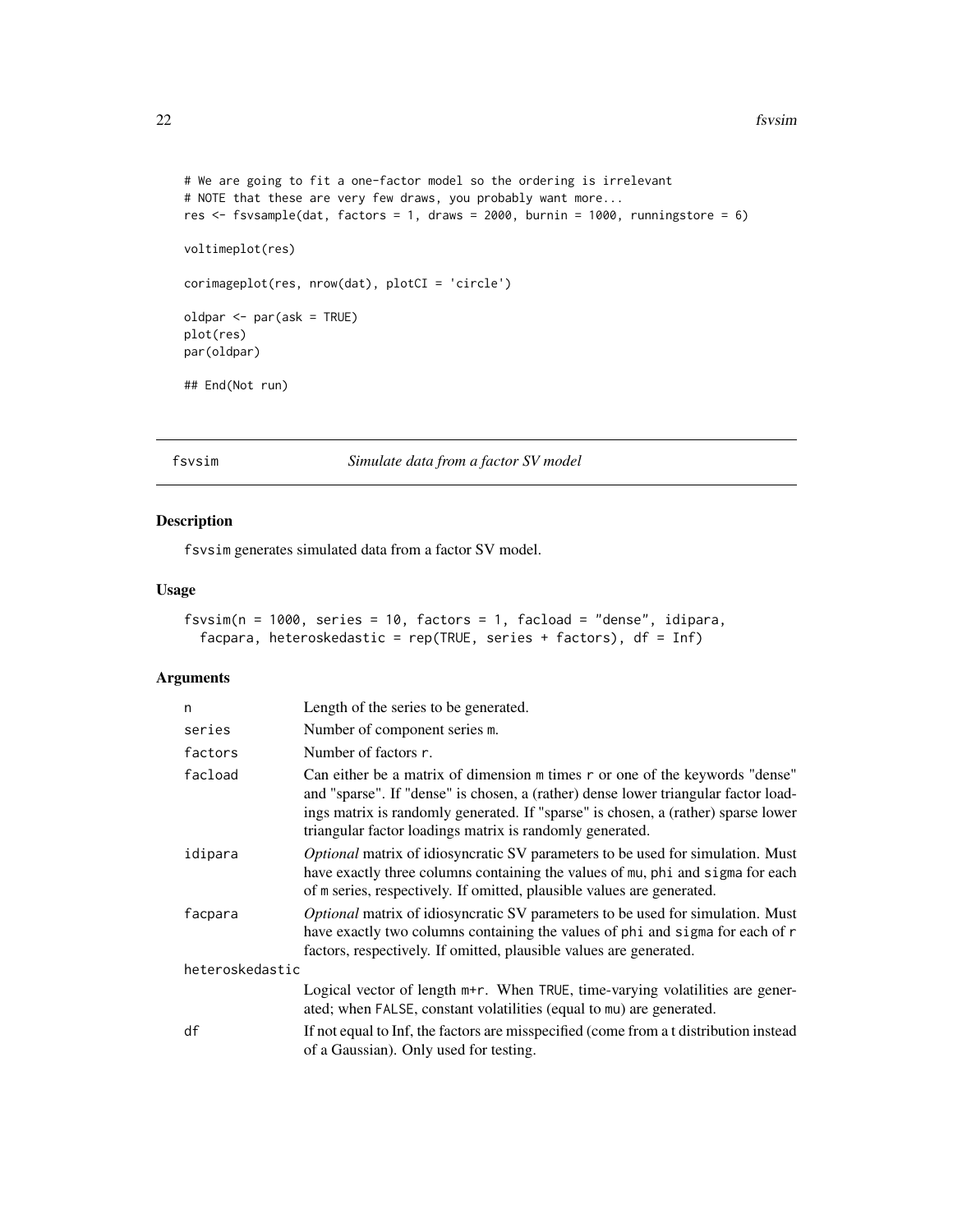```
# We are going to fit a one-factor model so the ordering is irrelevant
# NOTE that these are very few draws, you probably want more...
res \le fsvsample(dat, factors = 1, draws = 2000, burnin = 1000, runningstore = 6)
voltimeplot(res)
corimageplot(res, nrow(dat), plotCI = 'circle')
oldpar <- par(ask = TRUE)
plot(res)
par(oldpar)
## End(Not run)
```
<span id="page-21-1"></span>fsvsim *Simulate data from a factor SV model*

#### Description

fsvsim generates simulated data from a factor SV model.

# Usage

```
fsvsim(n = 1000, series = 10, factors = 1, facload = "dense", idipara,
  facpara, heteroskedastic = rep(TRUE, series + factors), df = Inf)
```

| n               | Length of the series to be generated.                                                                                                                                                                                                                                                                               |
|-----------------|---------------------------------------------------------------------------------------------------------------------------------------------------------------------------------------------------------------------------------------------------------------------------------------------------------------------|
| series          | Number of component series m.                                                                                                                                                                                                                                                                                       |
| factors         | Number of factors r.                                                                                                                                                                                                                                                                                                |
| facload         | Can either be a matrix of dimension m times r or one of the keywords "dense"<br>and "sparse". If "dense" is chosen, a (rather) dense lower triangular factor load-<br>ings matrix is randomly generated. If "sparse" is chosen, a (rather) sparse lower<br>triangular factor loadings matrix is randomly generated. |
| idipara         | Optional matrix of idiosyncratic SV parameters to be used for simulation. Must<br>have exactly three columns containing the values of mu, phi and sigma for each<br>of m series, respectively. If omitted, plausible values are generated.                                                                          |
| facpara         | <i>Optional</i> matrix of idiosyncratic SV parameters to be used for simulation. Must<br>have exactly two columns containing the values of phi and sigma for each of r<br>factors, respectively. If omitted, plausible values are generated.                                                                        |
| heteroskedastic |                                                                                                                                                                                                                                                                                                                     |
|                 | Logical vector of length $m+r$ . When TRUE, time-varying volatilities are gener-<br>ated; when FALSE, constant volatilities (equal to mu) are generated.                                                                                                                                                            |
| df              | If not equal to Inf, the factors are misspecified (come from a t distribution instead)<br>of a Gaussian). Only used for testing.                                                                                                                                                                                    |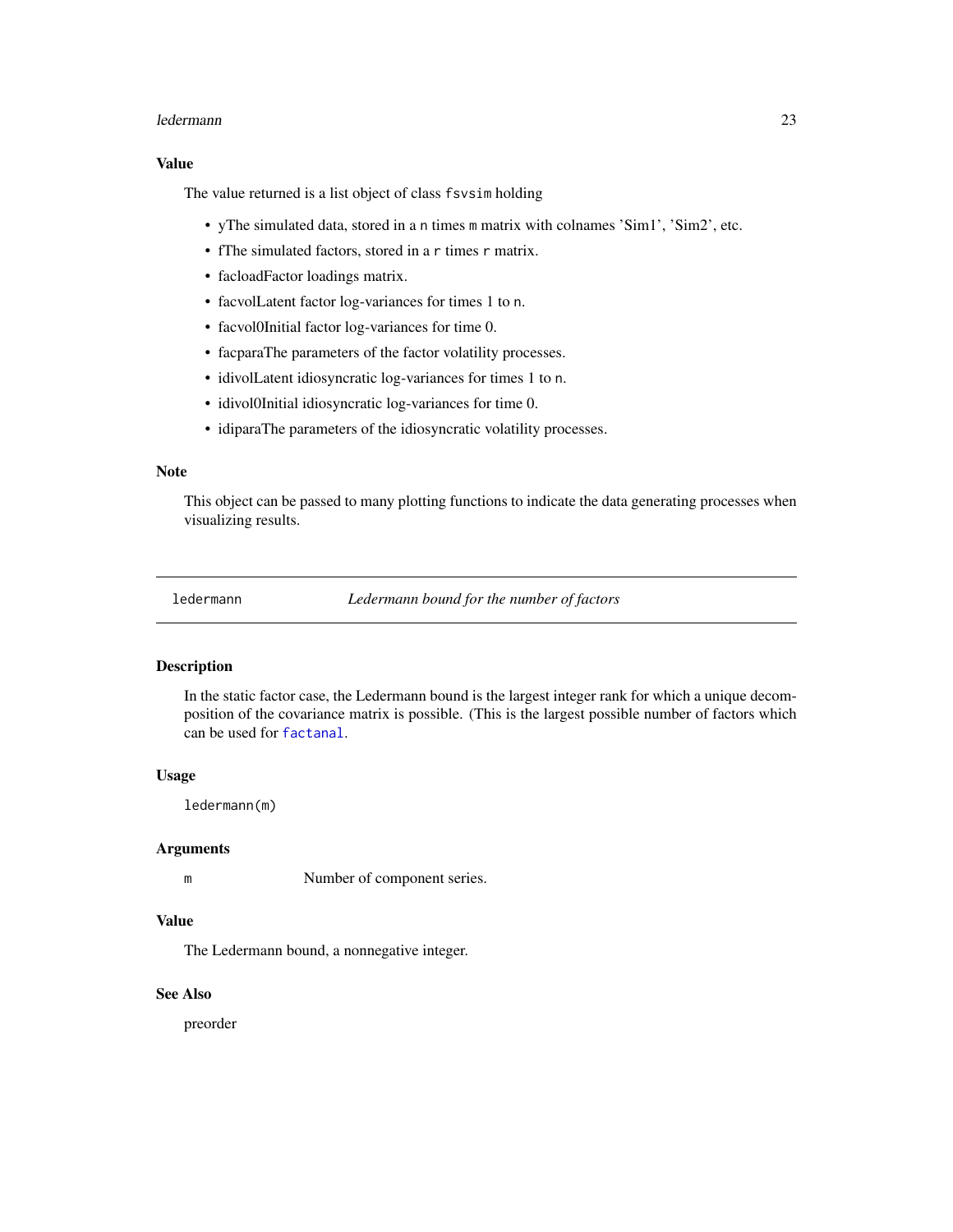#### <span id="page-22-0"></span>ledermann 23

#### Value

The value returned is a list object of class fsvsim holding

- yThe simulated data, stored in a n times m matrix with colnames 'Sim1', 'Sim2', etc.
- fThe simulated factors, stored in a r times r matrix.
- facloadFactor loadings matrix.
- facvolLatent factor log-variances for times 1 to n.
- facvol0Initial factor log-variances for time 0.
- facparaThe parameters of the factor volatility processes.
- idivolLatent idiosyncratic log-variances for times 1 to n.
- idivol0Initial idiosyncratic log-variances for time 0.
- idiparaThe parameters of the idiosyncratic volatility processes.

# Note

This object can be passed to many plotting functions to indicate the data generating processes when visualizing results.

ledermann *Ledermann bound for the number of factors*

#### Description

In the static factor case, the Ledermann bound is the largest integer rank for which a unique decomposition of the covariance matrix is possible. (This is the largest possible number of factors which can be used for [factanal](#page-0-0).

#### Usage

ledermann(m)

#### Arguments

m Number of component series.

#### Value

The Ledermann bound, a nonnegative integer.

### See Also

preorder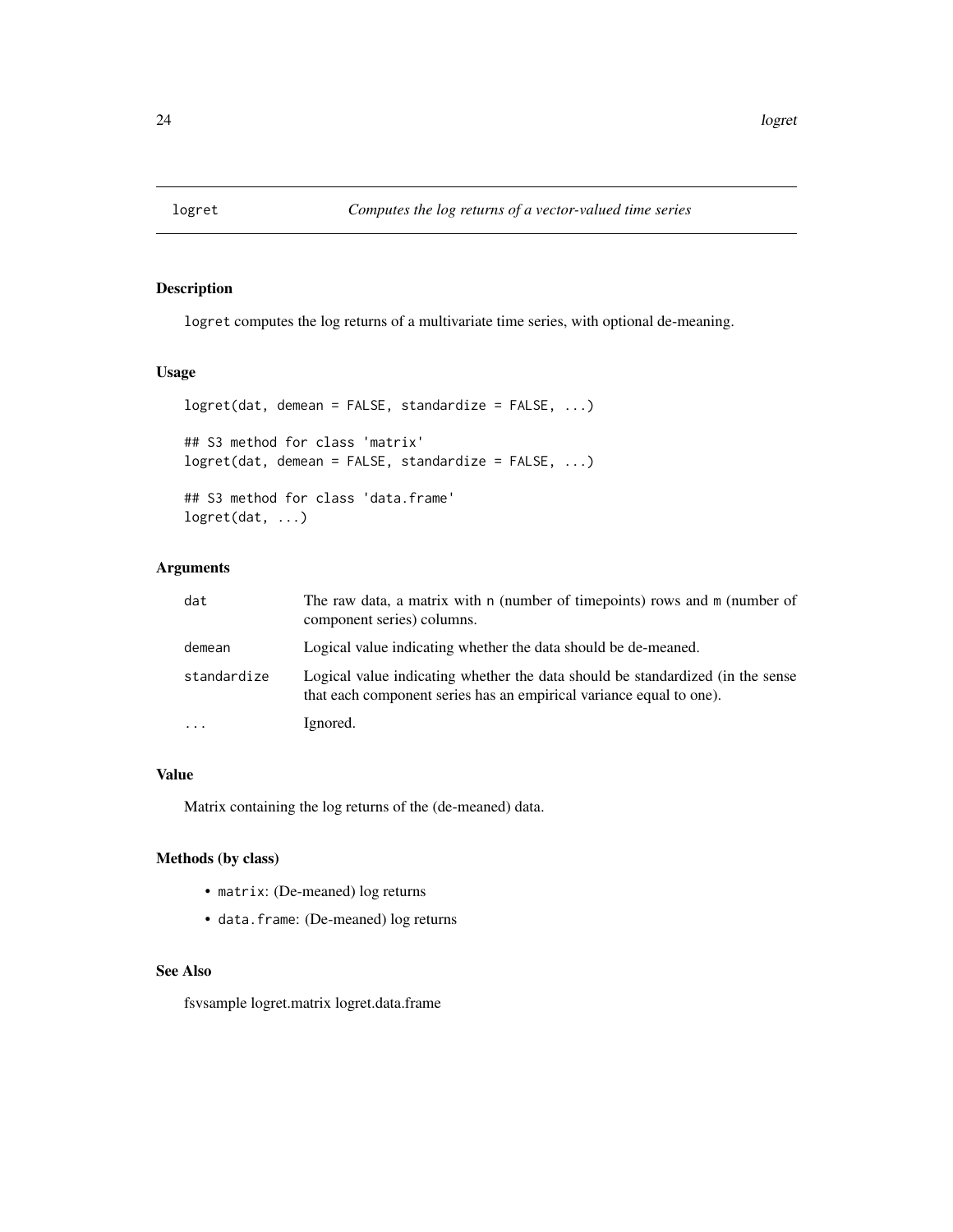<span id="page-23-0"></span>

# Description

logret computes the log returns of a multivariate time series, with optional de-meaning.

# Usage

```
logret(dat, demean = FALSE, standardize = FALSE, ...)
## S3 method for class 'matrix'
logret(dat, demean = FALSE, standardize = FALSE, ...)
## S3 method for class 'data.frame'
logret(dat, ...)
```
# Arguments

| dat         | The raw data, a matrix with n (number of timepoints) rows and m (number of<br>component series) columns.                                              |
|-------------|-------------------------------------------------------------------------------------------------------------------------------------------------------|
| demean      | Logical value indicating whether the data should be de-meaned.                                                                                        |
| standardize | Logical value indicating whether the data should be standardized (in the sense<br>that each component series has an empirical variance equal to one). |
|             | Ignored.                                                                                                                                              |

# Value

Matrix containing the log returns of the (de-meaned) data.

# Methods (by class)

- matrix: (De-meaned) log returns
- data.frame: (De-meaned) log returns

#### See Also

fsvsample logret.matrix logret.data.frame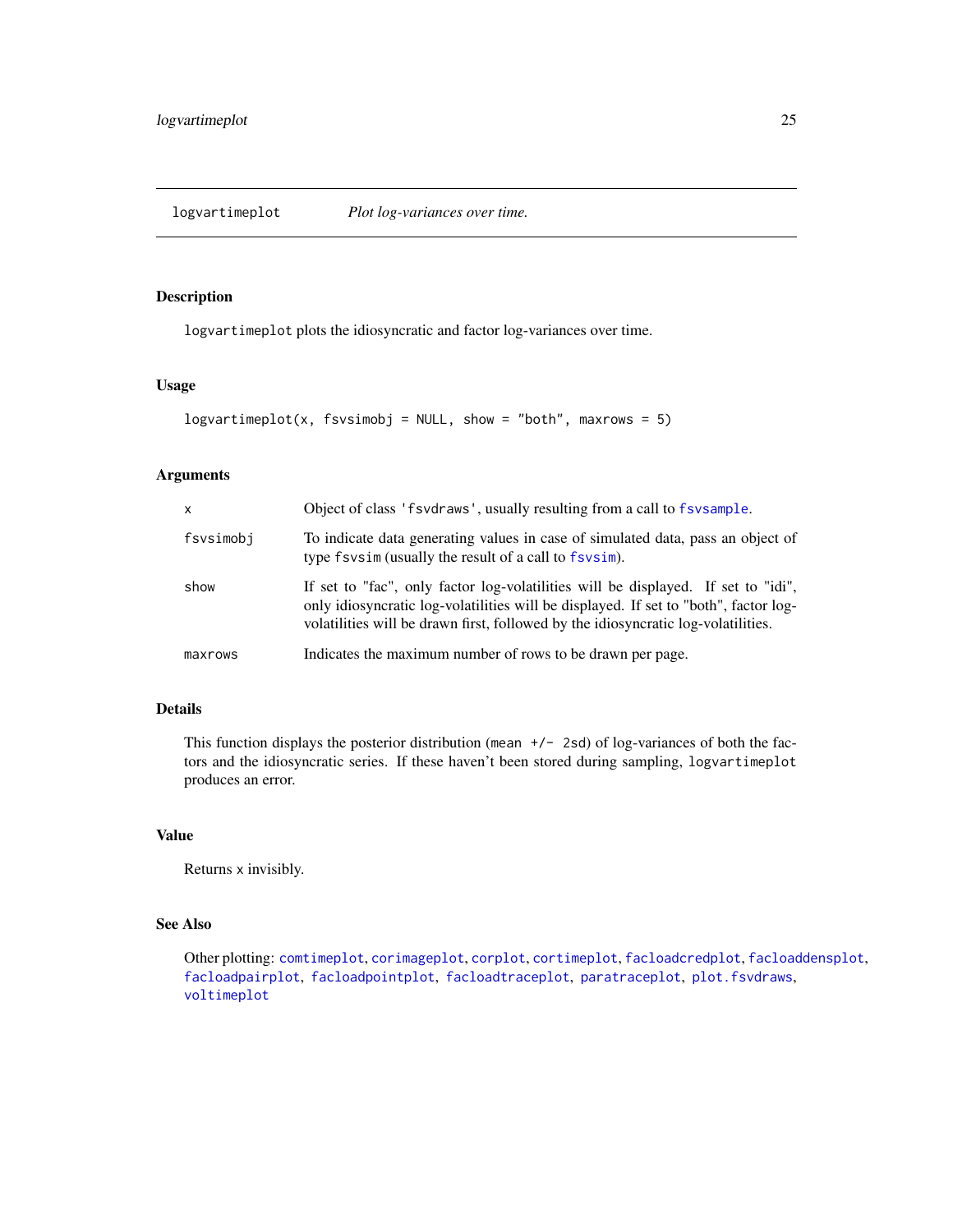<span id="page-24-1"></span><span id="page-24-0"></span>logvartimeplot *Plot log-variances over time.*

# Description

logvartimeplot plots the idiosyncratic and factor log-variances over time.

#### Usage

```
logvariantimeplot(x, fsvsimobj = NULL, show = "both", maxrows = 5)
```
## Arguments

| X.        | Object of class 'f svdraws', usually resulting from a call to f svsample.                                                                                                                                                                                      |
|-----------|----------------------------------------------------------------------------------------------------------------------------------------------------------------------------------------------------------------------------------------------------------------|
| fsvsimobj | To indicate data generating values in case of simulated data, pass an object of<br>type fsvsim (usually the result of a call to fsvsim).                                                                                                                       |
| show      | If set to "fac", only factor log-volatilities will be displayed. If set to "idi",<br>only idiosyncratic log-volatilities will be displayed. If set to "both", factor log-<br>volatilities will be drawn first, followed by the idiosyncratic log-volatilities. |
| maxrows   | Indicates the maximum number of rows to be drawn per page.                                                                                                                                                                                                     |

# Details

This function displays the posterior distribution (mean  $+/-$  2sd) of log-variances of both the factors and the idiosyncratic series. If these haven't been stored during sampling, logvartimeplot produces an error.

# Value

Returns x invisibly.

# See Also

Other plotting: [comtimeplot](#page-3-1), [corimageplot](#page-5-1), [corplot](#page-6-1), [cortimeplot](#page-7-1), [facloadcredplot](#page-12-1), [facloaddensplot](#page-12-2), [facloadpairplot](#page-13-1), [facloadpointplot](#page-14-1), [facloadtraceplot](#page-14-2), [paratraceplot](#page-26-1), [plot.fsvdraws](#page-26-2), [voltimeplot](#page-39-1)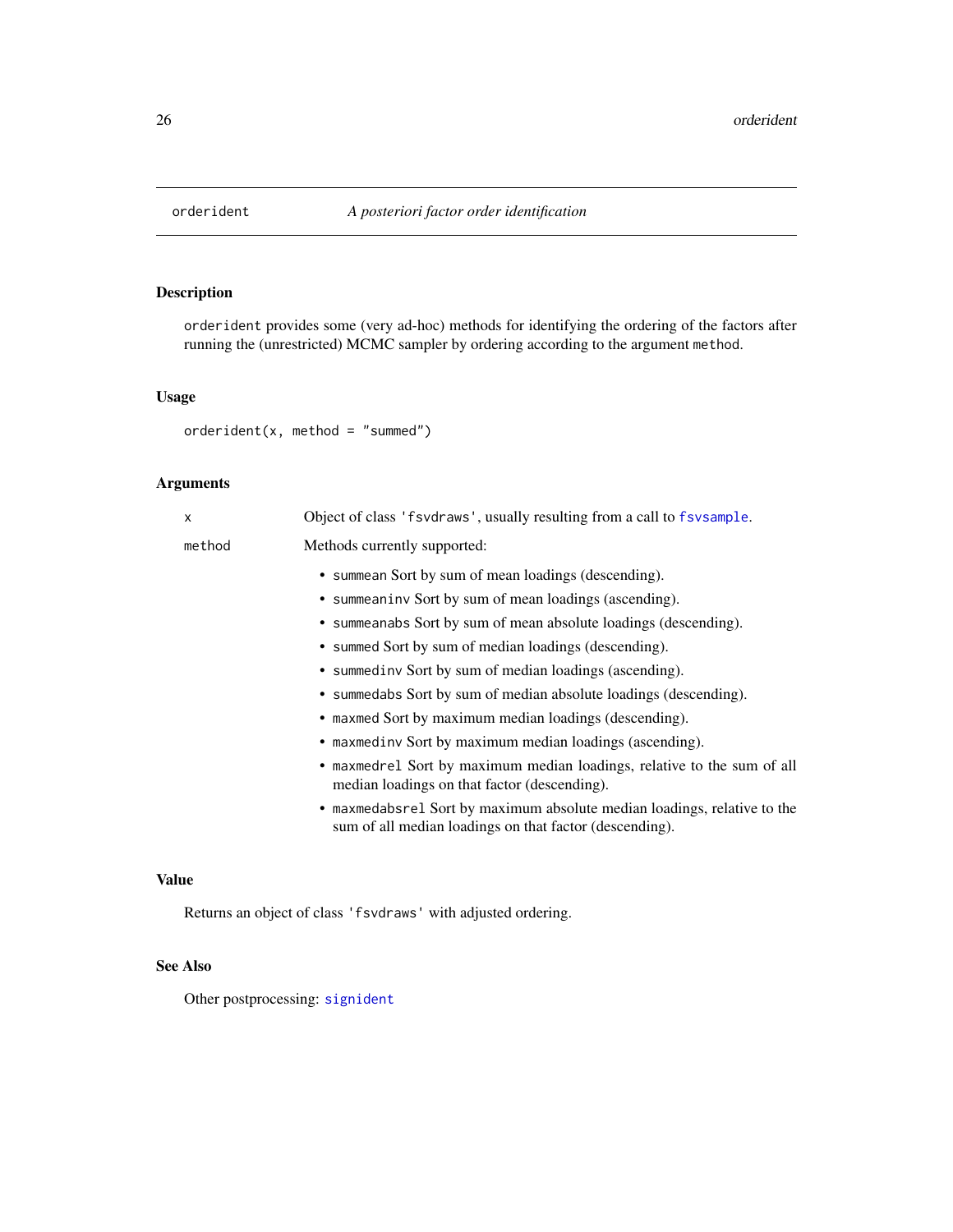<span id="page-25-1"></span><span id="page-25-0"></span>

# Description

orderident provides some (very ad-hoc) methods for identifying the ordering of the factors after running the (unrestricted) MCMC sampler by ordering according to the argument method.

#### Usage

```
orderident(x, method = "summed")
```
# Arguments

| X      | Object of class 'f svdraws', usually resulting from a call to f svsample.                                                           |
|--------|-------------------------------------------------------------------------------------------------------------------------------------|
| method | Methods currently supported:                                                                                                        |
|        | • summean Sort by sum of mean loadings (descending).                                                                                |
|        | • summeaniny Sort by sum of mean loadings (ascending).                                                                              |
|        | • summeanabs Sort by sum of mean absolute loadings (descending).                                                                    |
|        | • summed Sort by sum of median loadings (descending).                                                                               |
|        | • summediny Sort by sum of median loadings (ascending).                                                                             |
|        | • summedabs Sort by sum of median absolute loadings (descending).                                                                   |
|        | • maxmed Sort by maximum median loadings (descending).                                                                              |
|        | • maxmedinv Sort by maximum median loadings (ascending).                                                                            |
|        | • maxmedrel Sort by maximum median loadings, relative to the sum of all<br>median loadings on that factor (descending).             |
|        | • maxmedabsrel Sort by maximum absolute median loadings, relative to the<br>sum of all median loadings on that factor (descending). |
|        |                                                                                                                                     |
|        |                                                                                                                                     |

# Value

Returns an object of class 'fsvdraws' with adjusted ordering.

# See Also

Other postprocessing: [signident](#page-38-1)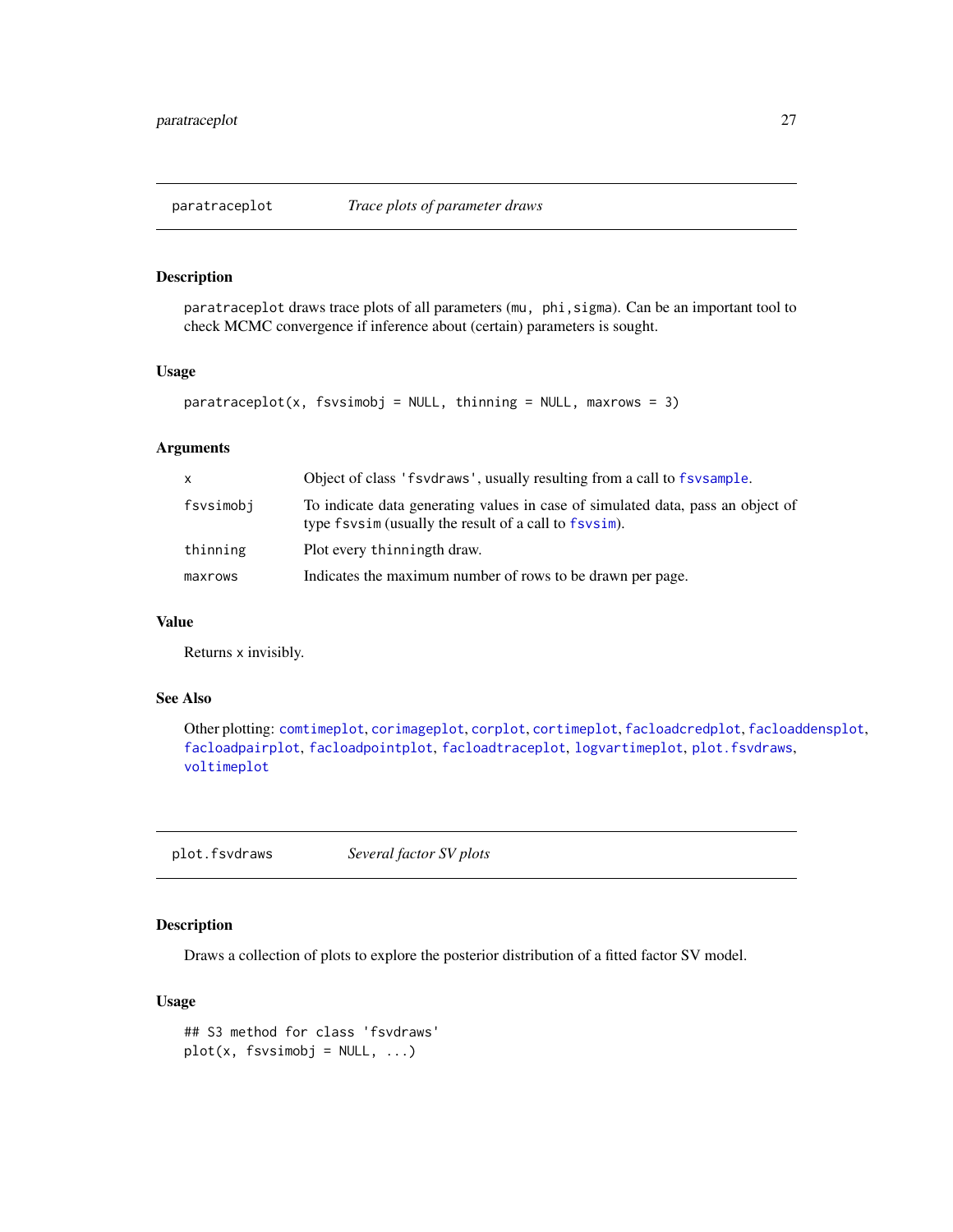<span id="page-26-1"></span><span id="page-26-0"></span>

#### Description

paratraceplot draws trace plots of all parameters (mu, phi,sigma). Can be an important tool to check MCMC convergence if inference about (certain) parameters is sought.

# Usage

```
paratracephot(x, fsvsimobj = NULL, thinning = NULL, maxrows = 3)
```
#### Arguments

| X         | Object of class 'f svd raws', usually resulting from a call to f sysample.                                                               |  |
|-----------|------------------------------------------------------------------------------------------------------------------------------------------|--|
| fsvsimobj | To indicate data generating values in case of simulated data, pass an object of<br>type fsysim (usually the result of a call to fsysim). |  |
| thinning  | Plot every thinningth draw.                                                                                                              |  |
| maxrows   | Indicates the maximum number of rows to be drawn per page.                                                                               |  |

#### Value

Returns x invisibly.

#### See Also

Other plotting: [comtimeplot](#page-3-1), [corimageplot](#page-5-1), [corplot](#page-6-1), [cortimeplot](#page-7-1), [facloadcredplot](#page-12-1), [facloaddensplot](#page-12-2), [facloadpairplot](#page-13-1), [facloadpointplot](#page-14-1), [facloadtraceplot](#page-14-2), [logvartimeplot](#page-24-1), [plot.fsvdraws](#page-26-2), [voltimeplot](#page-39-1)

<span id="page-26-2"></span>plot.fsvdraws *Several factor SV plots*

# Description

Draws a collection of plots to explore the posterior distribution of a fitted factor SV model.

# Usage

## S3 method for class 'fsvdraws'  $plot(x, fsvsimobj = NULL, ...)$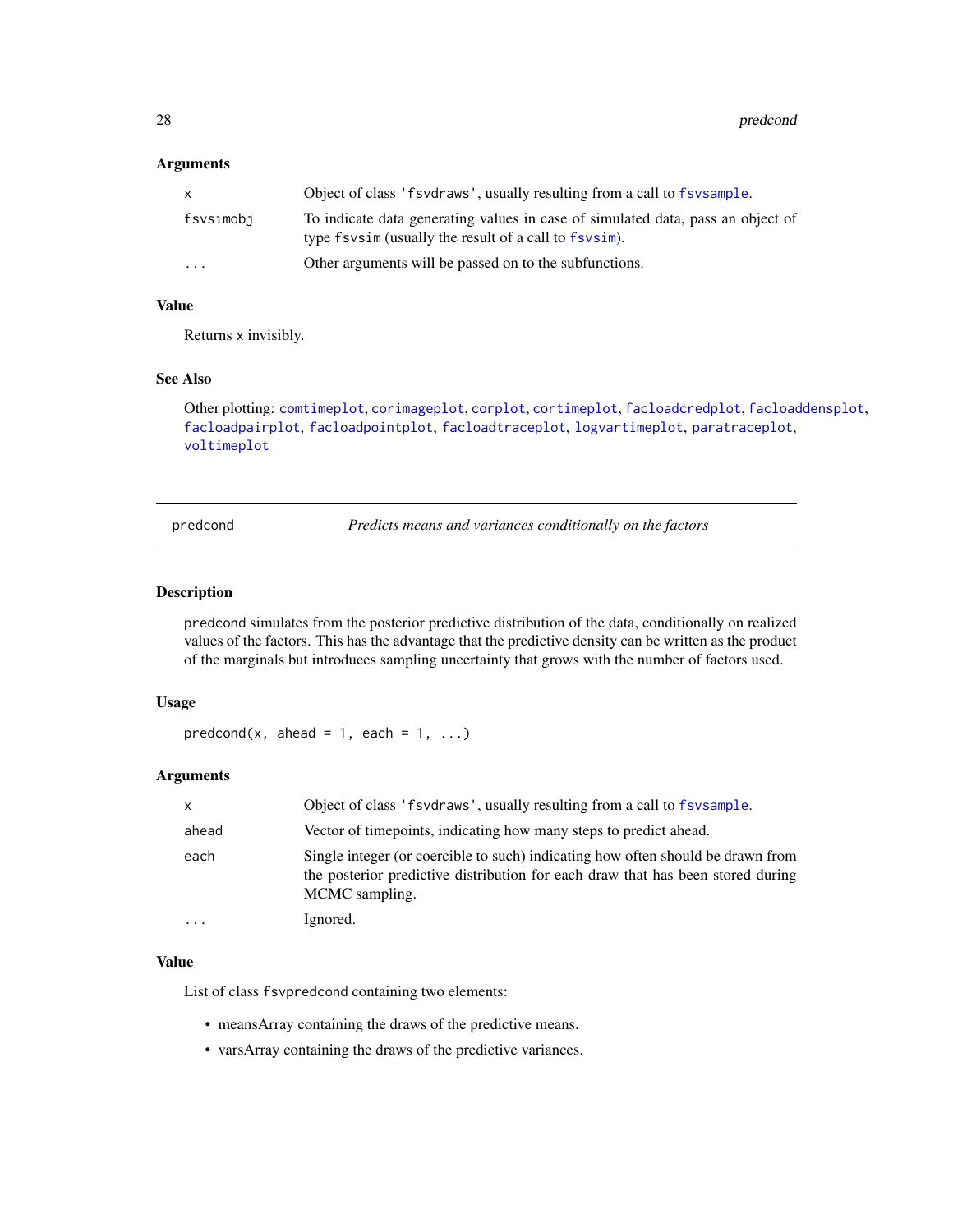#### <span id="page-27-0"></span>Arguments

| $\mathsf{x}$ | Object of class 'f svdraws', usually resulting from a call to f sysample.                                                                |
|--------------|------------------------------------------------------------------------------------------------------------------------------------------|
| fsvsimobj    | To indicate data generating values in case of simulated data, pass an object of<br>type fsysim (usually the result of a call to fsysim). |
| $\cdots$     | Other arguments will be passed on to the subfunctions.                                                                                   |

# Value

Returns x invisibly.

# See Also

```
Other plotting: comtimeplot, corimageplot, corplot, cortimeplot, facloadcredplot, facloaddensplot,
facloadpairplot, facloadpointplot, facloadtraceplot, logvartimeplot, paratraceplot,
voltimeplot
```
<span id="page-27-1"></span>predcond *Predicts means and variances conditionally on the factors*

# Description

predcond simulates from the posterior predictive distribution of the data, conditionally on realized values of the factors. This has the advantage that the predictive density can be written as the product of the marginals but introduces sampling uncertainty that grows with the number of factors used.

#### Usage

```
predcond(x, ahead = 1, each = 1, ...)
```
#### Arguments

| $\mathsf{x}$            | Object of class 'f svd raws', usually resulting from a call to f sv sample.                                                                                                          |
|-------------------------|--------------------------------------------------------------------------------------------------------------------------------------------------------------------------------------|
| ahead                   | Vector of timepoints, indicating how many steps to predict ahead.                                                                                                                    |
| each                    | Single integer (or coercible to such) indicating how often should be drawn from<br>the posterior predictive distribution for each draw that has been stored during<br>MCMC sampling. |
| $\cdot$ $\cdot$ $\cdot$ | Ignored.                                                                                                                                                                             |

#### Value

List of class fsvpredcond containing two elements:

- meansArray containing the draws of the predictive means.
- varsArray containing the draws of the predictive variances.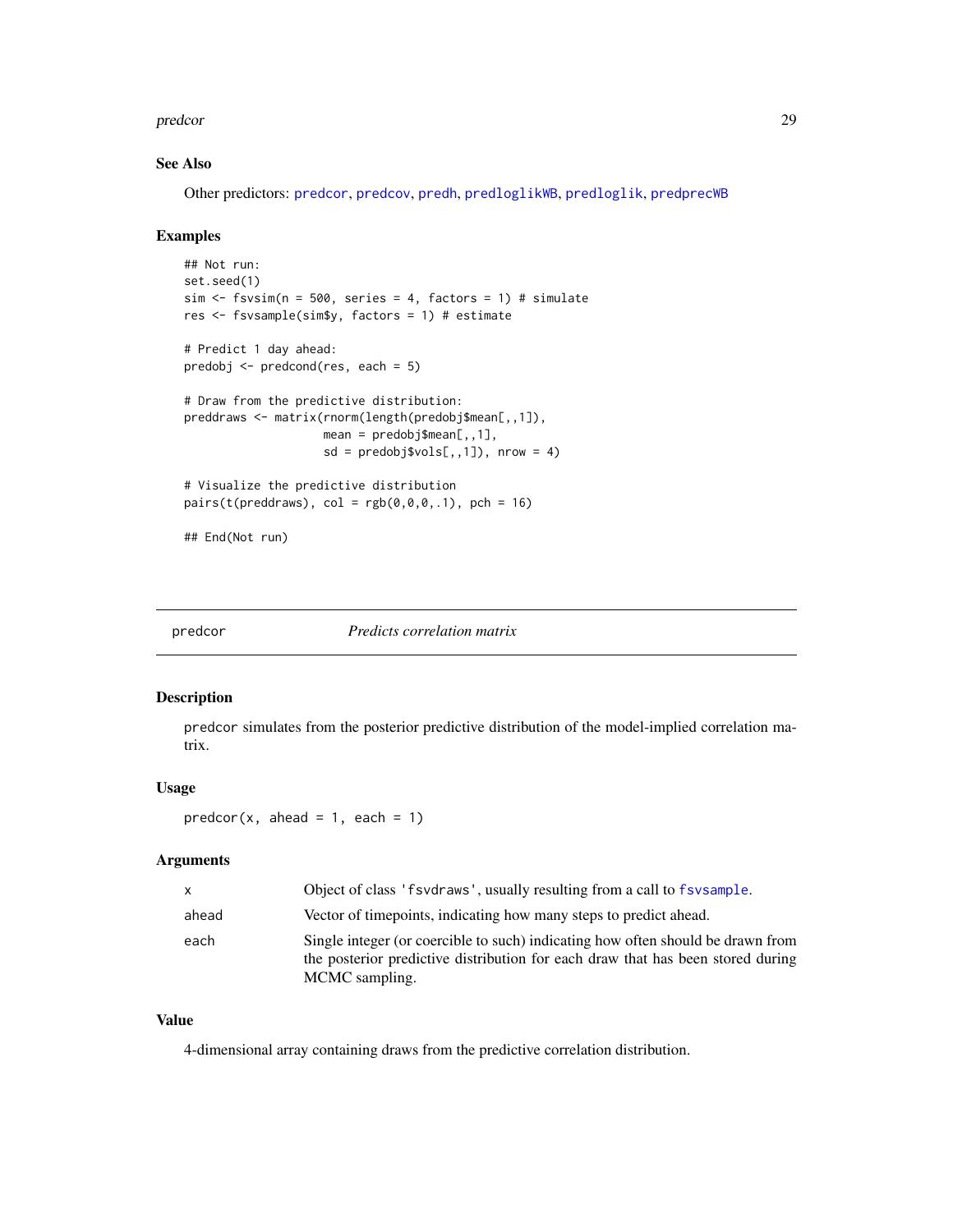#### <span id="page-28-0"></span>predcor 29

# See Also

Other predictors: [predcor](#page-28-1), [predcov](#page-29-1), [predh](#page-30-1), [predloglikWB](#page-33-1), [predloglik](#page-31-1), [predprecWB](#page-34-1)

#### Examples

```
## Not run:
set.seed(1)
sim < fsvsim(n = 500, series = 4, factors = 1) # simulate
res <- fsvsample(sim$y, factors = 1) # estimate
# Predict 1 day ahead:
predobj <- predcond(res, each = 5)
# Draw from the predictive distribution:
preddraws <- matrix(rnorm(length(predobj$mean[,,1]),
                    mean = predobj$mean[, 1],sd = predobj\$vols[, 1]), nrow = 4)
# Visualize the predictive distribution
pairs(t(preddraws), col = rgb(0,0,0,.1), pch = 16)## End(Not run)
```
<span id="page-28-1"></span>

predcor *Predicts correlation matrix*

#### Description

predcor simulates from the posterior predictive distribution of the model-implied correlation matrix.

#### Usage

```
predcor(x, ahead = 1, each = 1)
```
#### Arguments

| X     | Object of class 'f svd raws', usually resulting from a call to f sysample.                                                                                                           |
|-------|--------------------------------------------------------------------------------------------------------------------------------------------------------------------------------------|
| ahead | Vector of time points, indicating how many steps to predict ahead.                                                                                                                   |
| each  | Single integer (or coercible to such) indicating how often should be drawn from<br>the posterior predictive distribution for each draw that has been stored during<br>MCMC sampling. |

# Value

4-dimensional array containing draws from the predictive correlation distribution.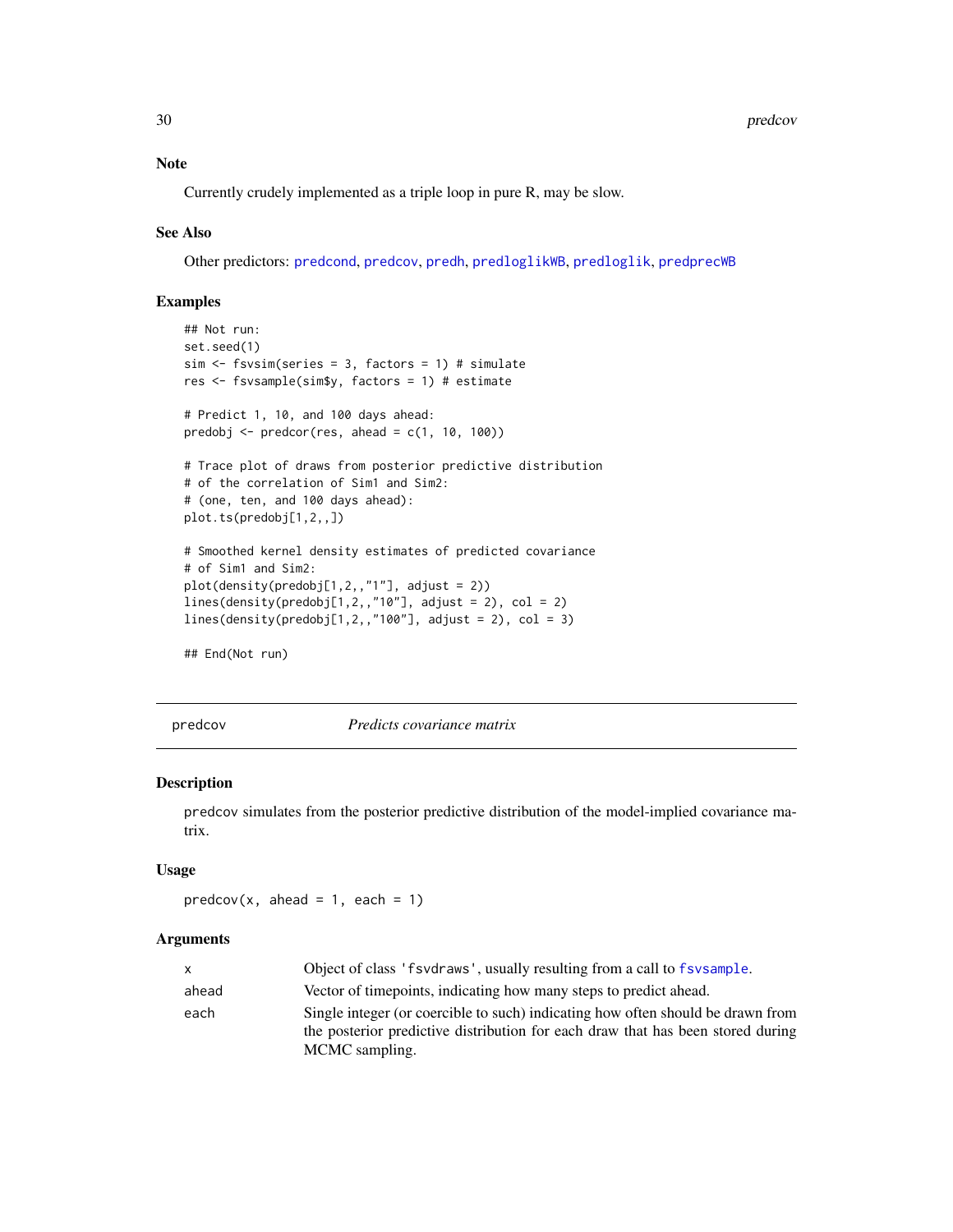#### Note

Currently crudely implemented as a triple loop in pure R, may be slow.

#### See Also

Other predictors: [predcond](#page-27-1), [predcov](#page-29-1), [predh](#page-30-1), [predloglikWB](#page-33-1), [predloglik](#page-31-1), [predprecWB](#page-34-1)

#### Examples

```
## Not run:
set.seed(1)
sim \le fsvsim(series = 3, factors = 1) # simulate
res <- fsvsample(sim$y, factors = 1) # estimate
# Predict 1, 10, and 100 days ahead:
predobj \leq predcor(res, ahead = c(1, 10, 100))
# Trace plot of draws from posterior predictive distribution
# of the correlation of Sim1 and Sim2:
# (one, ten, and 100 days ahead):
plot.ts(predobj[1,2,,])
# Smoothed kernel density estimates of predicted covariance
# of Sim1 and Sim2:
plot(density(predobj[1,2,,"1"], adjust = 2))
lines(density(predobj[1,2,,"10"], adjust = 2), col = 2)
lines(density(predobj[1,2,,"100"], adjust = 2), col = 3)
## End(Not run)
```
<span id="page-29-1"></span>

predcov *Predicts covariance matrix*

#### Description

predcov simulates from the posterior predictive distribution of the model-implied covariance matrix.

#### Usage

```
predcov(x, ahead = 1, each = 1)
```

| X     | Object of class 'f svd raws', usually resulting from a call to f sv sample.                                                                                                          |
|-------|--------------------------------------------------------------------------------------------------------------------------------------------------------------------------------------|
| ahead | Vector of timepoints, indicating how many steps to predict ahead.                                                                                                                    |
| each  | Single integer (or coercible to such) indicating how often should be drawn from<br>the posterior predictive distribution for each draw that has been stored during<br>MCMC sampling. |

<span id="page-29-0"></span>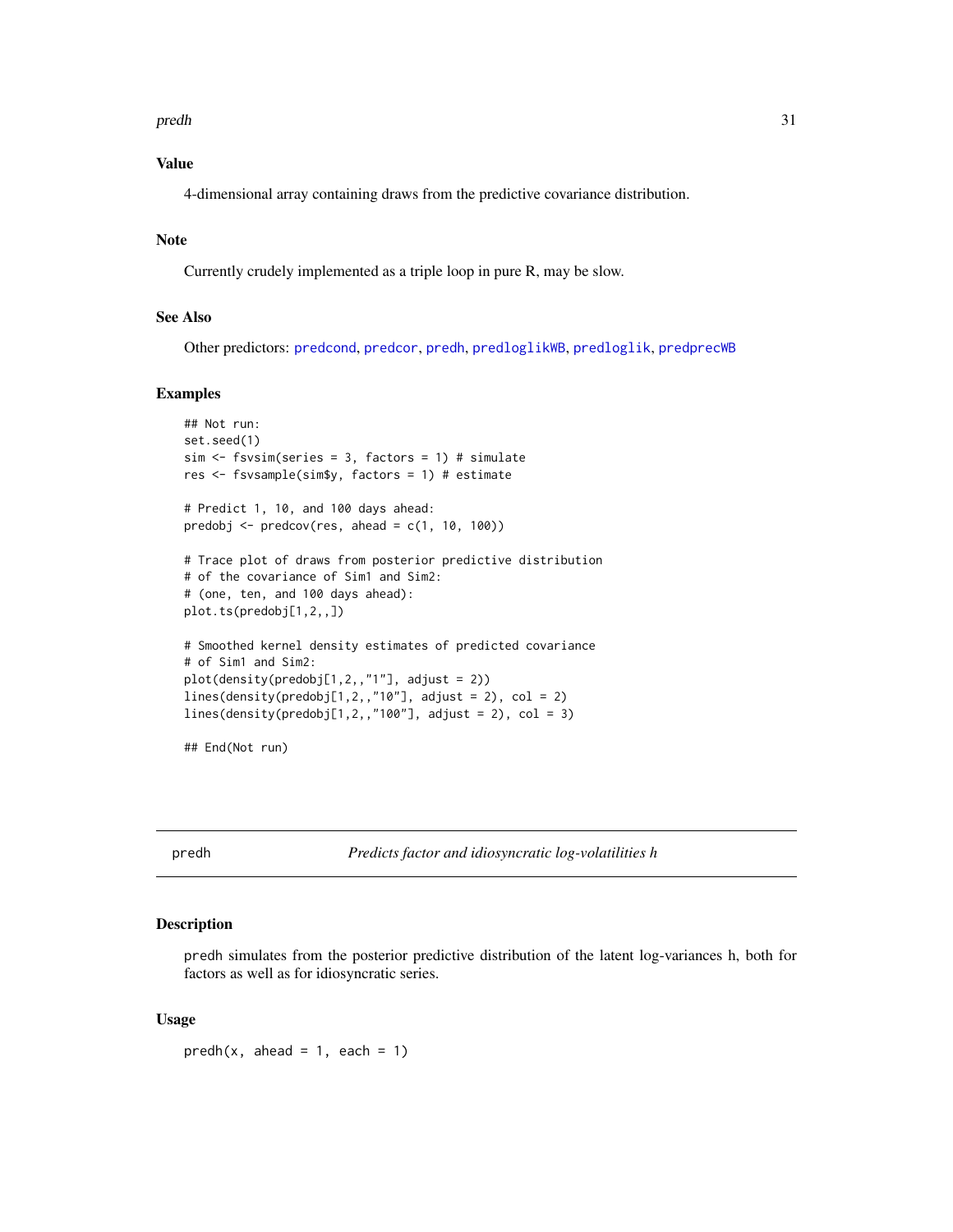#### <span id="page-30-0"></span>predh 31

# Value

4-dimensional array containing draws from the predictive covariance distribution.

# Note

Currently crudely implemented as a triple loop in pure R, may be slow.

# See Also

Other predictors: [predcond](#page-27-1), [predcor](#page-28-1), [predh](#page-30-1), [predloglikWB](#page-33-1), [predloglik](#page-31-1), [predprecWB](#page-34-1)

#### Examples

```
## Not run:
set.seed(1)
sim <- fsvsim(series = 3, factors = 1) # simulate
res <- fsvsample(sim$y, factors = 1) # estimate
# Predict 1, 10, and 100 days ahead:
predobj \leq predcov(res, ahead = c(1, 10, 100))
# Trace plot of draws from posterior predictive distribution
# of the covariance of Sim1 and Sim2:
# (one, ten, and 100 days ahead):
plot.ts(predobj[1,2,,])
# Smoothed kernel density estimates of predicted covariance
# of Sim1 and Sim2:
plot(density(predobj[1,2,,"1"], adjust = 2))
lines(density(predobj[1,2,,"10"], adjust = 2), col = 2)
lines(density(predobj[1,2,,"100"], adjust = 2), col = 3)
```
## End(Not run)

<span id="page-30-1"></span>predh *Predicts factor and idiosyncratic log-volatilities h*

# Description

predh simulates from the posterior predictive distribution of the latent log-variances h, both for factors as well as for idiosyncratic series.

#### Usage

 $predh(x, ahead = 1, each = 1)$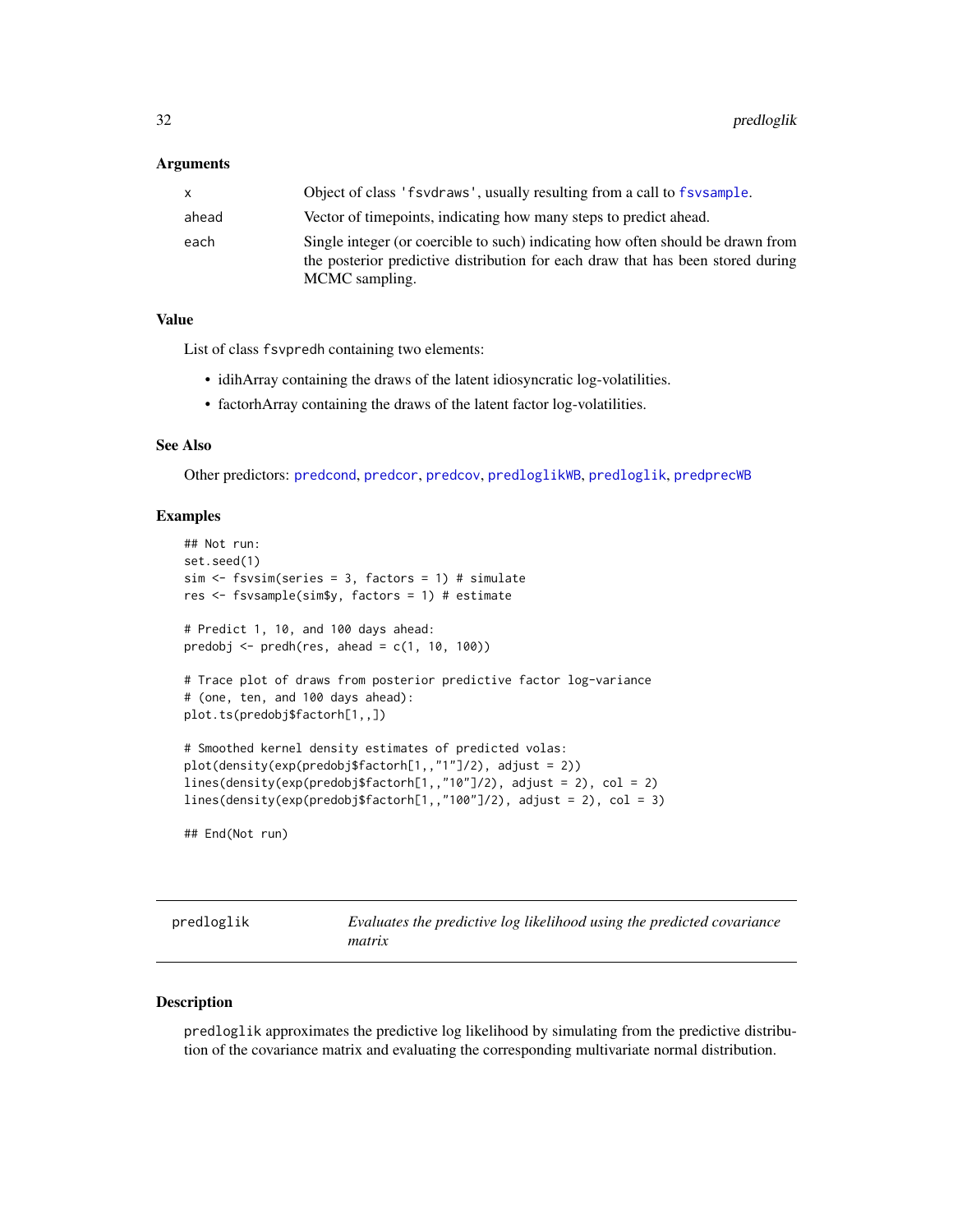#### <span id="page-31-0"></span>Arguments

| x.    | Object of class 'f svd raws', usually resulting from a call to f sv sample.                                                                                                          |
|-------|--------------------------------------------------------------------------------------------------------------------------------------------------------------------------------------|
| ahead | Vector of timepoints, indicating how many steps to predict ahead.                                                                                                                    |
| each  | Single integer (or coercible to such) indicating how often should be drawn from<br>the posterior predictive distribution for each draw that has been stored during<br>MCMC sampling. |

#### Value

List of class fsvpredh containing two elements:

- idihArray containing the draws of the latent idiosyncratic log-volatilities.
- factorhArray containing the draws of the latent factor log-volatilities.

# See Also

Other predictors: [predcond](#page-27-1), [predcor](#page-28-1), [predcov](#page-29-1), [predloglikWB](#page-33-1), [predloglik](#page-31-1), [predprecWB](#page-34-1)

#### Examples

```
## Not run:
set.seed(1)
sim < fsvsim(series = 3, factors = 1) # simulate
res <- fsvsample(sim$y, factors = 1) # estimate
# Predict 1, 10, and 100 days ahead:
predobj <- predh(res, ahead = c(1, 10, 100))# Trace plot of draws from posterior predictive factor log-variance
# (one, ten, and 100 days ahead):
plot.ts(predobj$factorh[1,,])
# Smoothed kernel density estimates of predicted volas:
plot(density(exp(predobj$factorh[1,,"1"]/2), adjust = 2))
lines(density(exp(predobj$factorh[1,,"10"]/2), adjust = 2), col = 2)
lines(density(exp(predobj$factorh[1,,"100"]/2), adjust = 2), col = 3)
## End(Not run)
```
<span id="page-31-1"></span>

| predloglik | Evaluates the predictive log likelihood using the predicted covariance |
|------------|------------------------------------------------------------------------|
|            | matrix                                                                 |

# Description

predloglik approximates the predictive log likelihood by simulating from the predictive distribution of the covariance matrix and evaluating the corresponding multivariate normal distribution.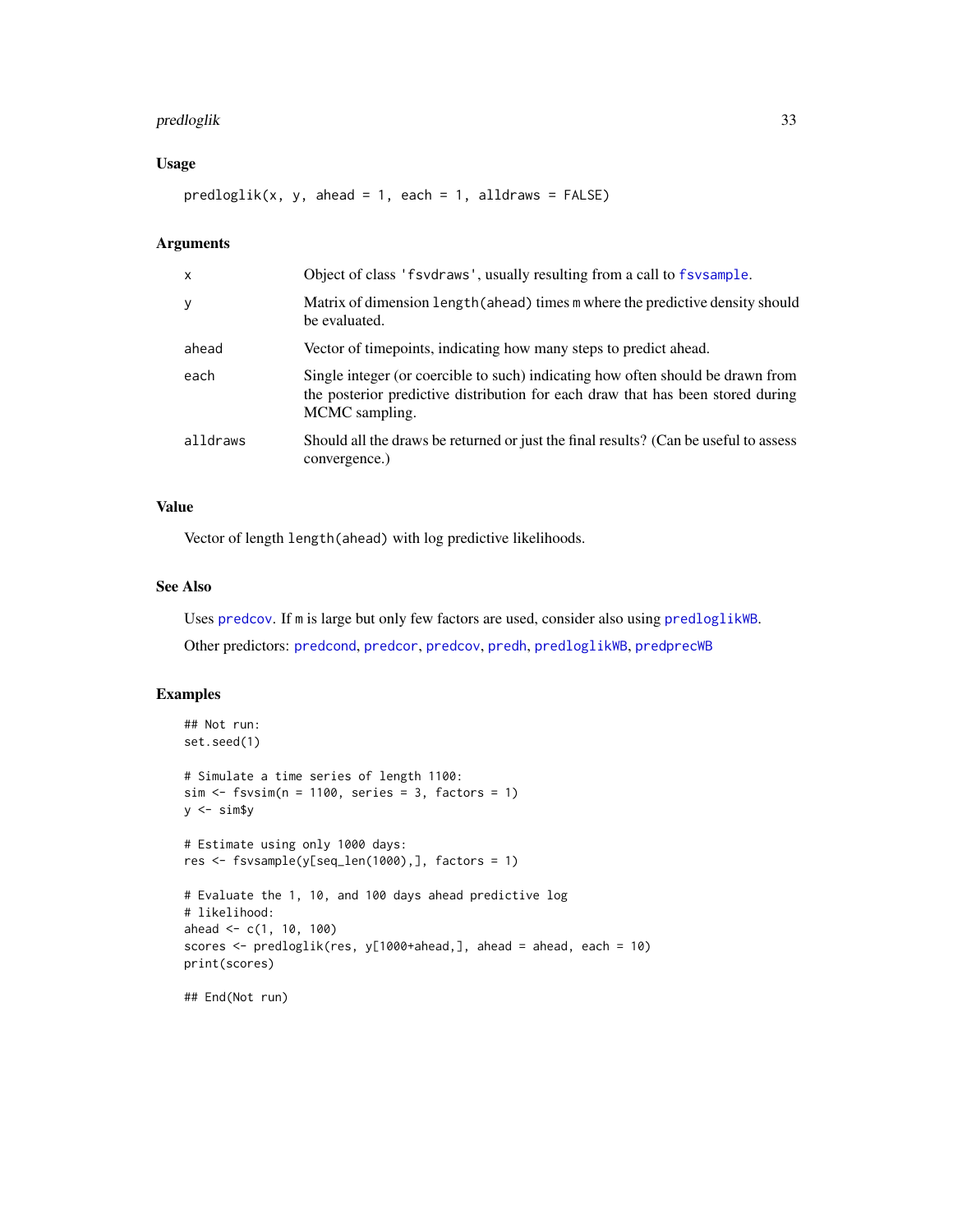# <span id="page-32-0"></span>predloglik 33

# Usage

 $predloglik(x, y, ahead = 1, each = 1, all draws = FALSE)$ 

## Arguments

| X        | Object of class 'f svdraws', usually resulting from a call to f sysample.                                                                                                            |
|----------|--------------------------------------------------------------------------------------------------------------------------------------------------------------------------------------|
| y        | Matrix of dimension length (ahead) times m where the predictive density should<br>be evaluated.                                                                                      |
| ahead    | Vector of timepoints, indicating how many steps to predict ahead.                                                                                                                    |
| each     | Single integer (or coercible to such) indicating how often should be drawn from<br>the posterior predictive distribution for each draw that has been stored during<br>MCMC sampling. |
| alldraws | Should all the draws be returned or just the final results? (Can be useful to assess<br>convergence.)                                                                                |

# Value

Vector of length length(ahead) with log predictive likelihoods.

# See Also

Uses [predcov](#page-29-1). If m is large but only few factors are used, consider also using [predloglikWB](#page-33-1).

Other predictors: [predcond](#page-27-1), [predcor](#page-28-1), [predcov](#page-29-1), [predh](#page-30-1), [predloglikWB](#page-33-1), [predprecWB](#page-34-1)

# Examples

```
## Not run:
set.seed(1)
# Simulate a time series of length 1100:
sim < fsvsim(n = 1100, series = 3, factors = 1)y \le -\sin\frac{\pi}{3}y# Estimate using only 1000 days:
res <- fsvsample(y[seq_len(1000),], factors = 1)
# Evaluate the 1, 10, and 100 days ahead predictive log
# likelihood:
ahead <- c(1, 10, 100)
scores <- predloglik(res, y[1000+ahead,], ahead = ahead, each = 10)
print(scores)
## End(Not run)
```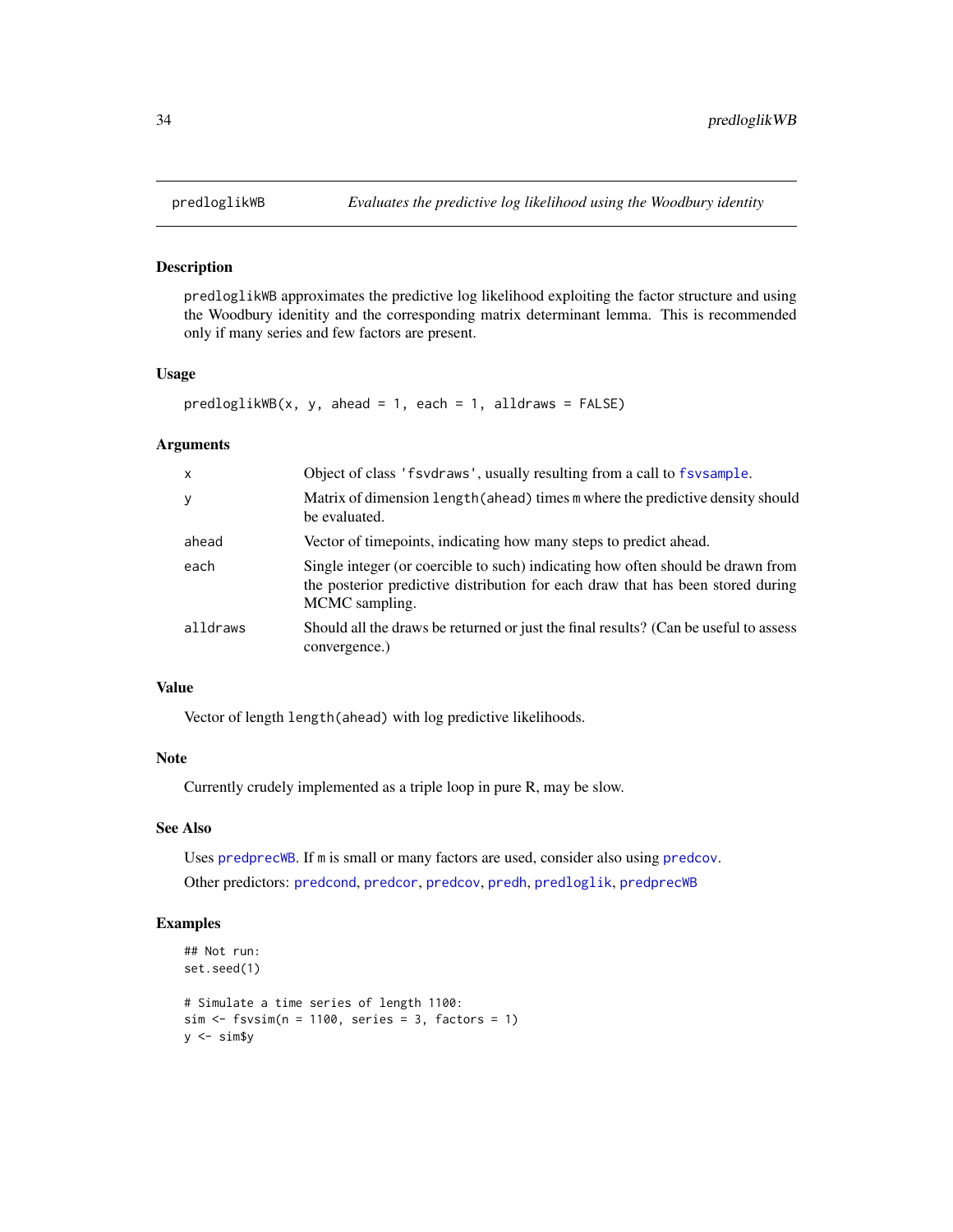#### Description

predloglikWB approximates the predictive log likelihood exploiting the factor structure and using the Woodbury idenitity and the corresponding matrix determinant lemma. This is recommended only if many series and few factors are present.

#### Usage

```
predloglikWB(x, y, ahead = 1, each = 1, alldraws = FALSE)
```
#### Arguments

| $\mathsf{x}$ | Object of class 'f svd raws', usually resulting from a call to f sv sample.                                                                                                          |
|--------------|--------------------------------------------------------------------------------------------------------------------------------------------------------------------------------------|
| y            | Matrix of dimension length (ahead) times m where the predictive density should<br>be evaluated.                                                                                      |
| ahead        | Vector of timepoints, indicating how many steps to predict ahead.                                                                                                                    |
| each         | Single integer (or coercible to such) indicating how often should be drawn from<br>the posterior predictive distribution for each draw that has been stored during<br>MCMC sampling. |
| alldraws     | Should all the draws be returned or just the final results? (Can be useful to assess<br>convergence.)                                                                                |

# Value

Vector of length length(ahead) with log predictive likelihoods.

#### Note

Currently crudely implemented as a triple loop in pure R, may be slow.

#### See Also

Uses [predprecWB](#page-34-1). If m is small or many factors are used, consider also using [predcov](#page-29-1).

Other predictors: [predcond](#page-27-1), [predcor](#page-28-1), [predcov](#page-29-1), [predh](#page-30-1), [predloglik](#page-31-1), [predprecWB](#page-34-1)

# Examples

```
## Not run:
set.seed(1)
# Simulate a time series of length 1100:
sim < - fsvsim(n = 1100, series = 3, factors = 1)
y \le -\sin\frac{\pi}{3}y
```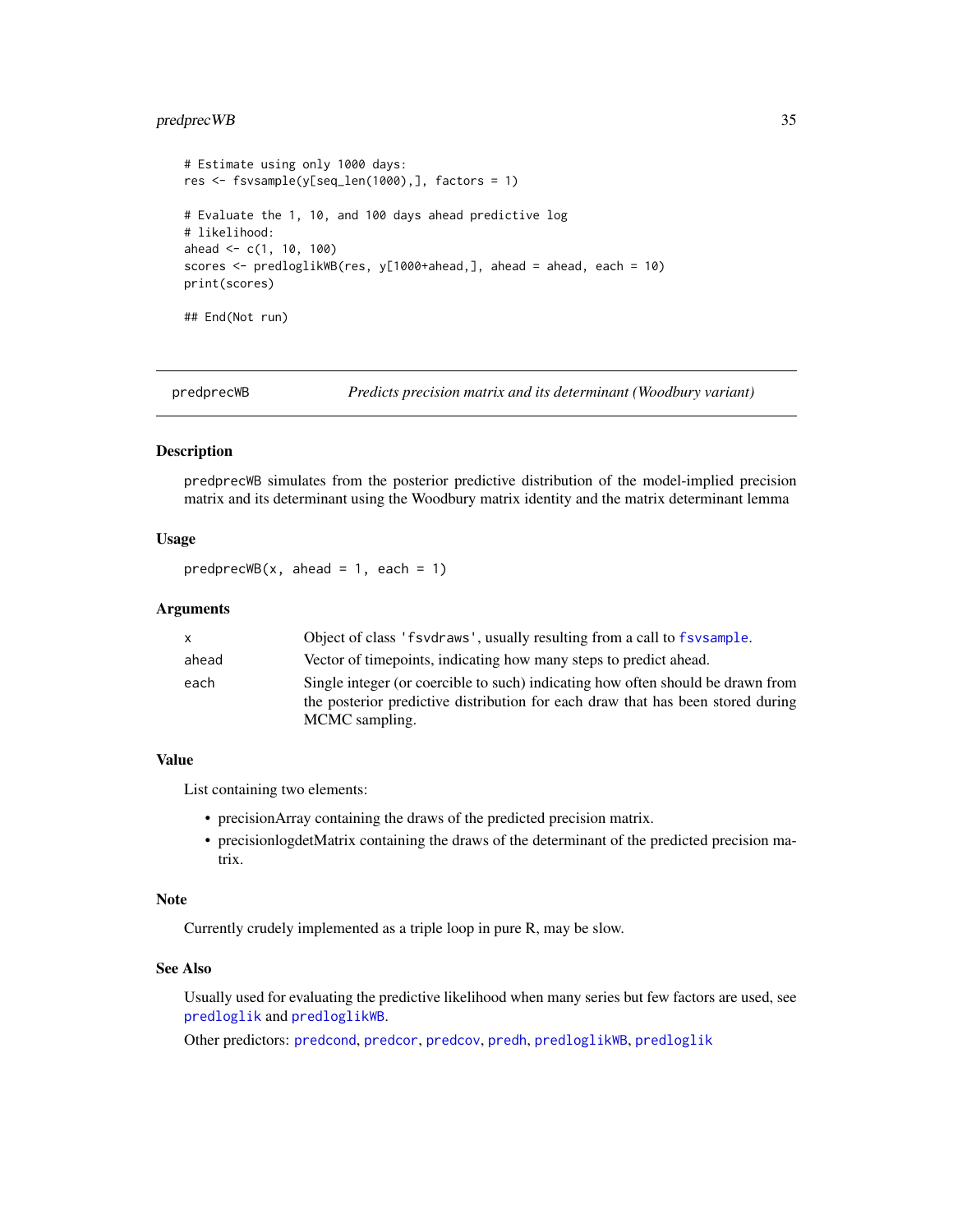# <span id="page-34-0"></span>predprecWB 35

```
# Estimate using only 1000 days:
res <- fsvsample(y[seq_len(1000),], factors = 1)
# Evaluate the 1, 10, and 100 days ahead predictive log
# likelihood:
ahead <-c(1, 10, 100)scores <- predloglikWB(res, y[1000+ahead,], ahead = ahead, each = 10)
print(scores)
## End(Not run)
```
<span id="page-34-1"></span>

predprecWB *Predicts precision matrix and its determinant (Woodbury variant)*

#### **Description**

predprecWB simulates from the posterior predictive distribution of the model-implied precision matrix and its determinant using the Woodbury matrix identity and the matrix determinant lemma

# Usage

 $predprecWB(x, ahead = 1, each = 1)$ 

### Arguments

| x.    | Object of class 'f svdraws', usually resulting from a call to f svsample.                                                                                          |
|-------|--------------------------------------------------------------------------------------------------------------------------------------------------------------------|
| ahead | Vector of timepoints, indicating how many steps to predict ahead.                                                                                                  |
| each  | Single integer (or coercible to such) indicating how often should be drawn from<br>the posterior predictive distribution for each draw that has been stored during |
|       | MCMC sampling.                                                                                                                                                     |
|       |                                                                                                                                                                    |

#### Value

List containing two elements:

- precisionArray containing the draws of the predicted precision matrix.
- precisionlogdetMatrix containing the draws of the determinant of the predicted precision matrix.

#### Note

Currently crudely implemented as a triple loop in pure R, may be slow.

#### See Also

Usually used for evaluating the predictive likelihood when many series but few factors are used, see [predloglik](#page-31-1) and [predloglikWB](#page-33-1).

Other predictors: [predcond](#page-27-1), [predcor](#page-28-1), [predcov](#page-29-1), [predh](#page-30-1), [predloglikWB](#page-33-1), [predloglik](#page-31-1)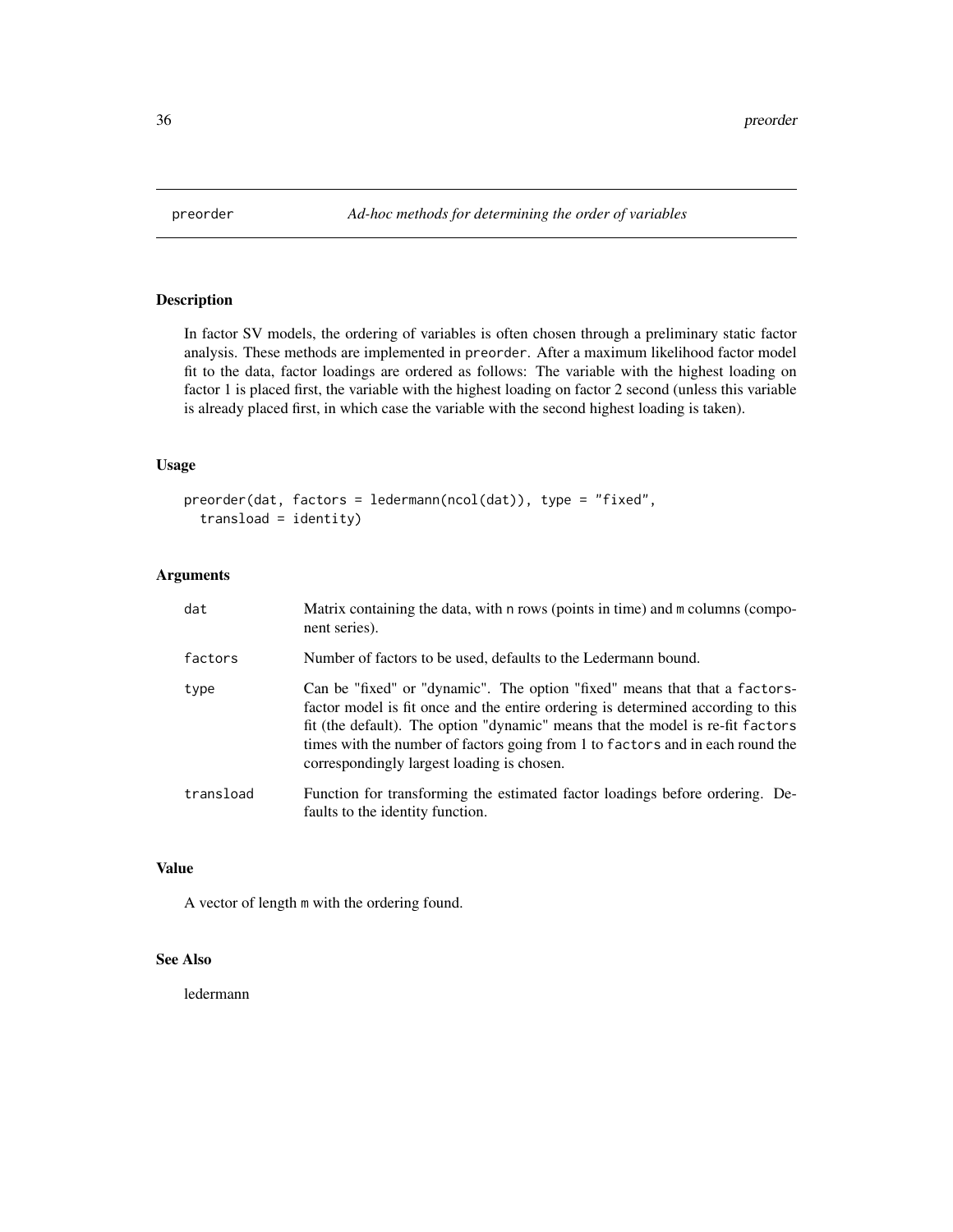<span id="page-35-0"></span>

# Description

In factor SV models, the ordering of variables is often chosen through a preliminary static factor analysis. These methods are implemented in preorder. After a maximum likelihood factor model fit to the data, factor loadings are ordered as follows: The variable with the highest loading on factor 1 is placed first, the variable with the highest loading on factor 2 second (unless this variable is already placed first, in which case the variable with the second highest loading is taken).

# Usage

```
preorder(dat, factors = ledermann(ncol(dat)), type = "fixed",
  transload = identity)
```
# Arguments

| dat       | Matrix containing the data, with n rows (points in time) and m columns (compo-<br>nent series).                                                                                                                                                                                                                                                                                  |
|-----------|----------------------------------------------------------------------------------------------------------------------------------------------------------------------------------------------------------------------------------------------------------------------------------------------------------------------------------------------------------------------------------|
| factors   | Number of factors to be used, defaults to the Ledermann bound.                                                                                                                                                                                                                                                                                                                   |
| type      | Can be "fixed" or "dynamic". The option "fixed" means that that a factors-<br>factor model is fit once and the entire ordering is determined according to this<br>fit (the default). The option "dynamic" means that the model is re-fit factors<br>times with the number of factors going from 1 to factors and in each round the<br>correspondingly largest loading is chosen. |
| transload | Function for transforming the estimated factor loadings before ordering. De-<br>faults to the identity function.                                                                                                                                                                                                                                                                 |

#### Value

A vector of length m with the ordering found.

# See Also

ledermann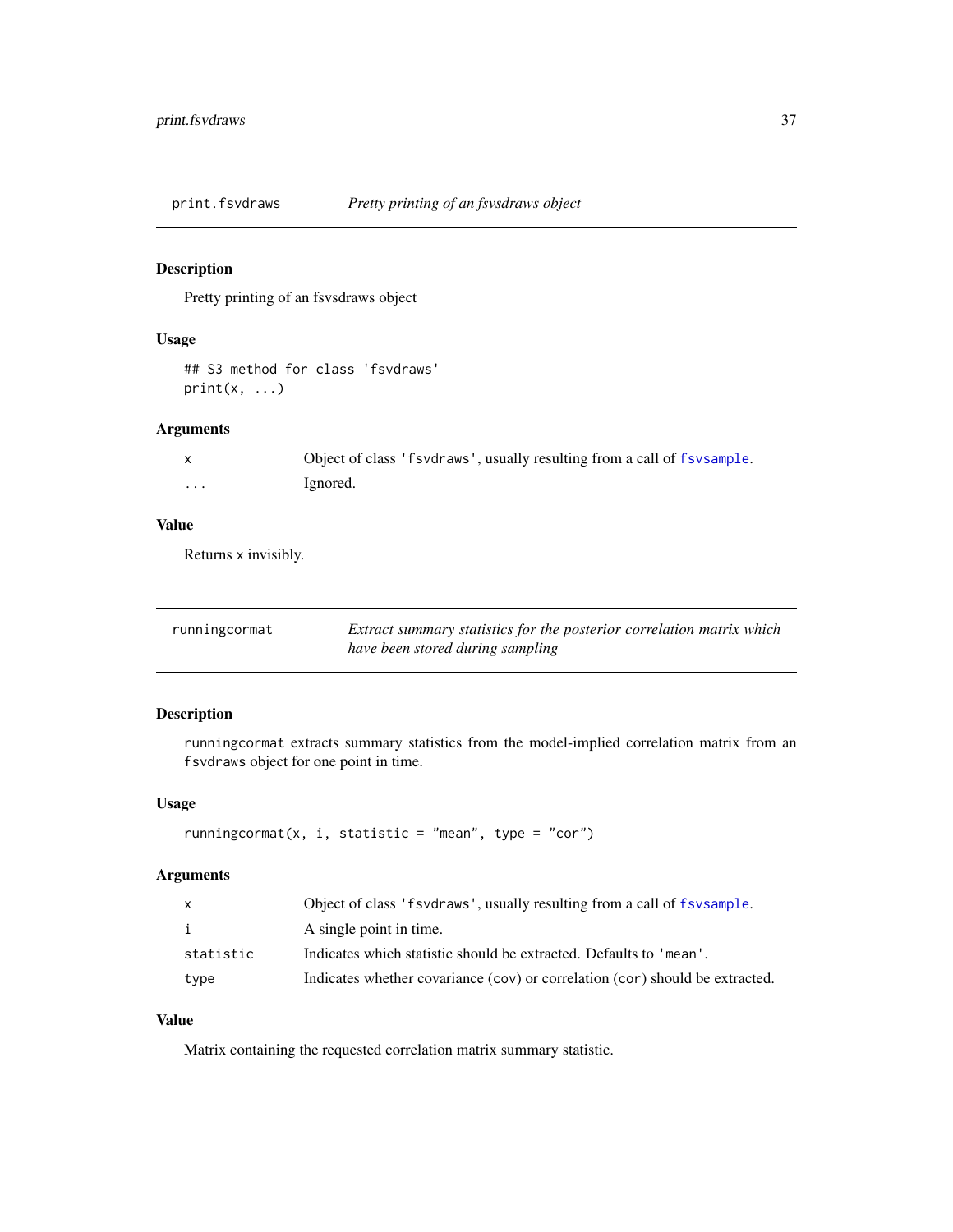<span id="page-36-0"></span>print.fsvdraws *Pretty printing of an fsvsdraws object*

# Description

Pretty printing of an fsvsdraws object

# Usage

```
## S3 method for class 'fsvdraws'
print(x, \ldots)
```
# Arguments

|   | Object of class 'f svd raws', usually resulting from a call of f sy sample. |
|---|-----------------------------------------------------------------------------|
| . | Ignored.                                                                    |

# Value

Returns x invisibly.

<span id="page-36-1"></span>

| runningcormat | Extract summary statistics for the posterior correlation matrix which |
|---------------|-----------------------------------------------------------------------|
|               | have been stored during sampling                                      |

# Description

runningcormat extracts summary statistics from the model-implied correlation matrix from an fsvdraws object for one point in time.

# Usage

```
runningcormat(x, i, statistic = "mean", type = "cor")
```
#### Arguments

| $\mathsf{x}$ | Object of class 'f svd raws', usually resulting from a call of f sysample.   |
|--------------|------------------------------------------------------------------------------|
| i            | A single point in time.                                                      |
| statistic    | Indicates which statistic should be extracted. Defaults to 'mean'.           |
| type         | Indicates whether covariance (cov) or correlation (cor) should be extracted. |

# Value

Matrix containing the requested correlation matrix summary statistic.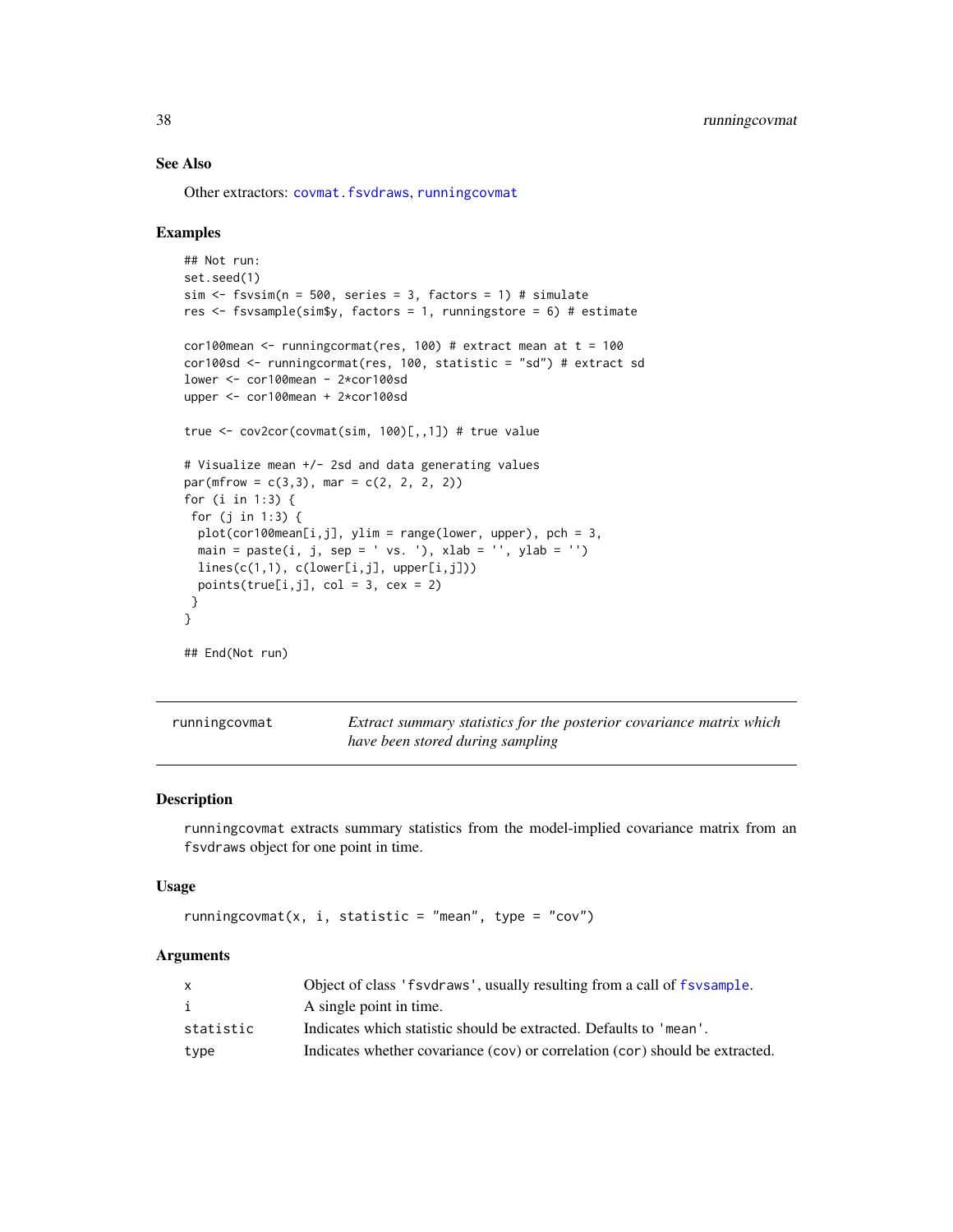#### See Also

Other extractors: [covmat.fsvdraws](#page-9-1), [runningcovmat](#page-37-1)

#### Examples

```
## Not run:
set.seed(1)
sim \le fsvsim(n = 500, series = 3, factors = 1) # simulate
res \leq fsvsample(sim$y, factors = 1, runningstore = 6) # estimate
cor100mean \le- runningcormat(res, 100) # extract mean at t = 100
cor100sd <- runningcormat(res, 100, statistic = "sd") # extract sd
lower <- cor100mean - 2*cor100sd
upper <- cor100mean + 2*cor100sd
true <- cov2cor(covmat(sim, 100)[,,1]) # true value
# Visualize mean +/- 2sd and data generating values
par(mfrow = c(3,3), mar = c(2, 2, 2, 2))for (i in 1:3) {
 for (j in 1:3) {
  plot(cor100mean[i,j], ylim = range(lower, upper), pch = 3,
  main = paste(i, j, sep = ' vs. '), xlab = ''', ylab = ''')lines(c(1,1), c(lower[i,j], upper[i,j]))
  points(true[i,j], col = 3, cex = 2)
 }
}
## End(Not run)
```
<span id="page-37-1"></span>

| runningcovmat | Extract summary statistics for the posterior covariance matrix which |
|---------------|----------------------------------------------------------------------|
|               | have been stored during sampling                                     |

#### Description

runningcovmat extracts summary statistics from the model-implied covariance matrix from an fsvdraws object for one point in time.

#### Usage

```
runningcovmat(x, i, statistic = "mean", type = "cov")
```

|           | Object of class 'f svd raws', usually resulting from a call of f sysample.   |
|-----------|------------------------------------------------------------------------------|
|           | A single point in time.                                                      |
| statistic | Indicates which statistic should be extracted. Defaults to 'mean'.           |
| type      | Indicates whether covariance (cov) or correlation (cor) should be extracted. |

<span id="page-37-0"></span>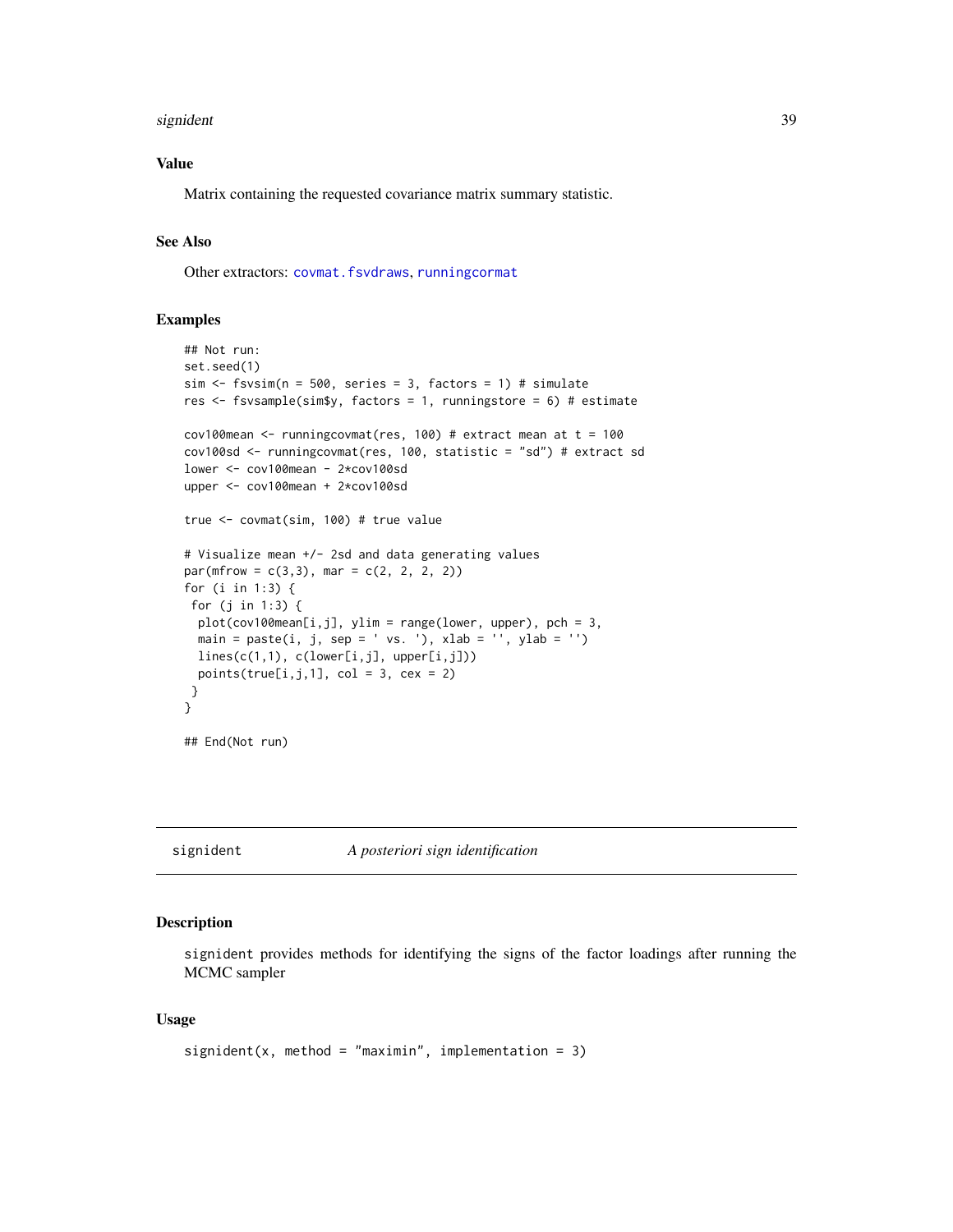#### <span id="page-38-0"></span>signident 39

# Value

Matrix containing the requested covariance matrix summary statistic.

# See Also

Other extractors: [covmat.fsvdraws](#page-9-1), [runningcormat](#page-36-1)

#### Examples

```
## Not run:
set.seed(1)
sim \le fsvsim(n = 500, series = 3, factors = 1) # simulate
res <- fsvsample(sim$y, factors = 1, runningstore = 6) # estimate
cov100mean <- runningcovmat(res, 100) # extract mean at t = 100
cov100sd <- runningcovmat(res, 100, statistic = "sd") # extract sd
lower <- cov100mean - 2*cov100sd
upper <- cov100mean + 2*cov100sd
true <- covmat(sim, 100) # true value
# Visualize mean +/- 2sd and data generating values
par(mfrow = c(3, 3), mar = c(2, 2, 2, 2))for (i in 1:3) {
 for (j in 1:3) {
  plot(cov100mean[i,j], ylim = range(lower, upper), pch = 3,
  main = paste(i, j, sep = ' vs. '), xlab = '', ylab = '')
  lines(c(1,1), c(lower[i,j], upper[i,j]))points(true[i,j,1], col = 3, cex = 2)
 }
}
## End(Not run)
```
<span id="page-38-1"></span>signident *A posteriori sign identification*

# Description

signident provides methods for identifying the signs of the factor loadings after running the MCMC sampler

#### Usage

```
signident(x, method = "maximin", implementation = 3)
```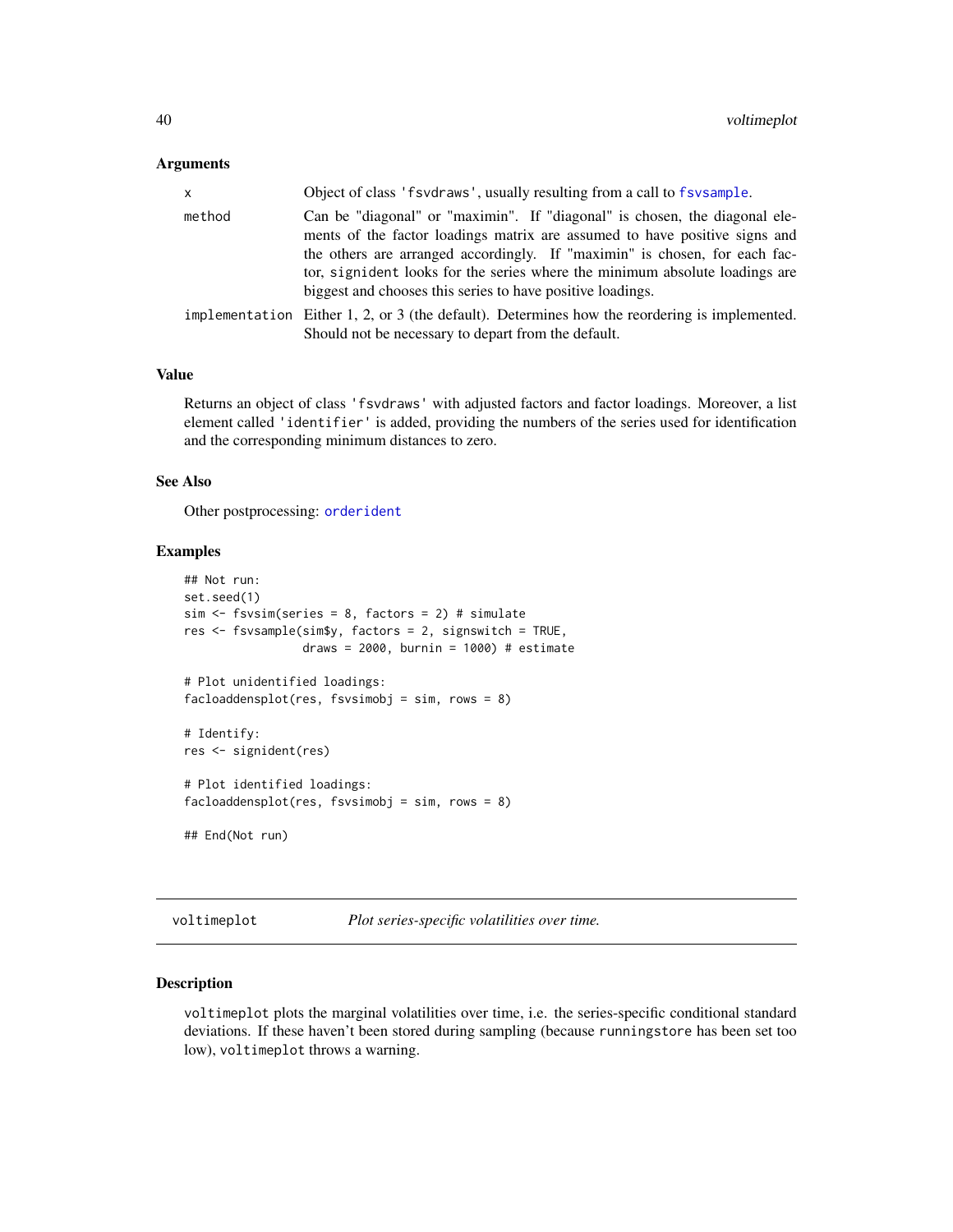#### <span id="page-39-0"></span>Arguments

| <b>X</b> | Object of class 'f svd raws', usually resulting from a call to f sv sample.                                                                                                                                                                                                                                           |
|----------|-----------------------------------------------------------------------------------------------------------------------------------------------------------------------------------------------------------------------------------------------------------------------------------------------------------------------|
| method   | Can be "diagonal" or "maximin". If "diagonal" is chosen, the diagonal ele-<br>ments of the factor loadings matrix are assumed to have positive signs and<br>the others are arranged accordingly. If "maximin" is chosen, for each fac-<br>tor, signident looks for the series where the minimum absolute loadings are |
|          | biggest and chooses this series to have positive loadings.                                                                                                                                                                                                                                                            |
|          | implementation Either 1, 2, or 3 (the default). Determines how the reordering is implemented.<br>Should not be necessary to depart from the default.                                                                                                                                                                  |

#### Value

Returns an object of class 'fsvdraws' with adjusted factors and factor loadings. Moreover, a list element called 'identifier' is added, providing the numbers of the series used for identification and the corresponding minimum distances to zero.

# See Also

Other postprocessing: [orderident](#page-25-1)

#### Examples

```
## Not run:
set.seed(1)
sim < fsvsim(series = 8, factors = 2) # simulate
res <- fsvsample(sim$y, factors = 2, signswitch = TRUE,
                draws = 2000, burnin = 1000) # estimate
# Plot unidentified loadings:
facload density, fsvsimobj = sim, rows = 8)# Identify:
res <- signident(res)
# Plot identified loadings:
facload density, fsvsimobj = sim, rows = 8)## End(Not run)
```
<span id="page-39-1"></span>voltimeplot *Plot series-specific volatilities over time.*

# Description

voltimeplot plots the marginal volatilities over time, i.e. the series-specific conditional standard deviations. If these haven't been stored during sampling (because runningstore has been set too low), voltimeplot throws a warning.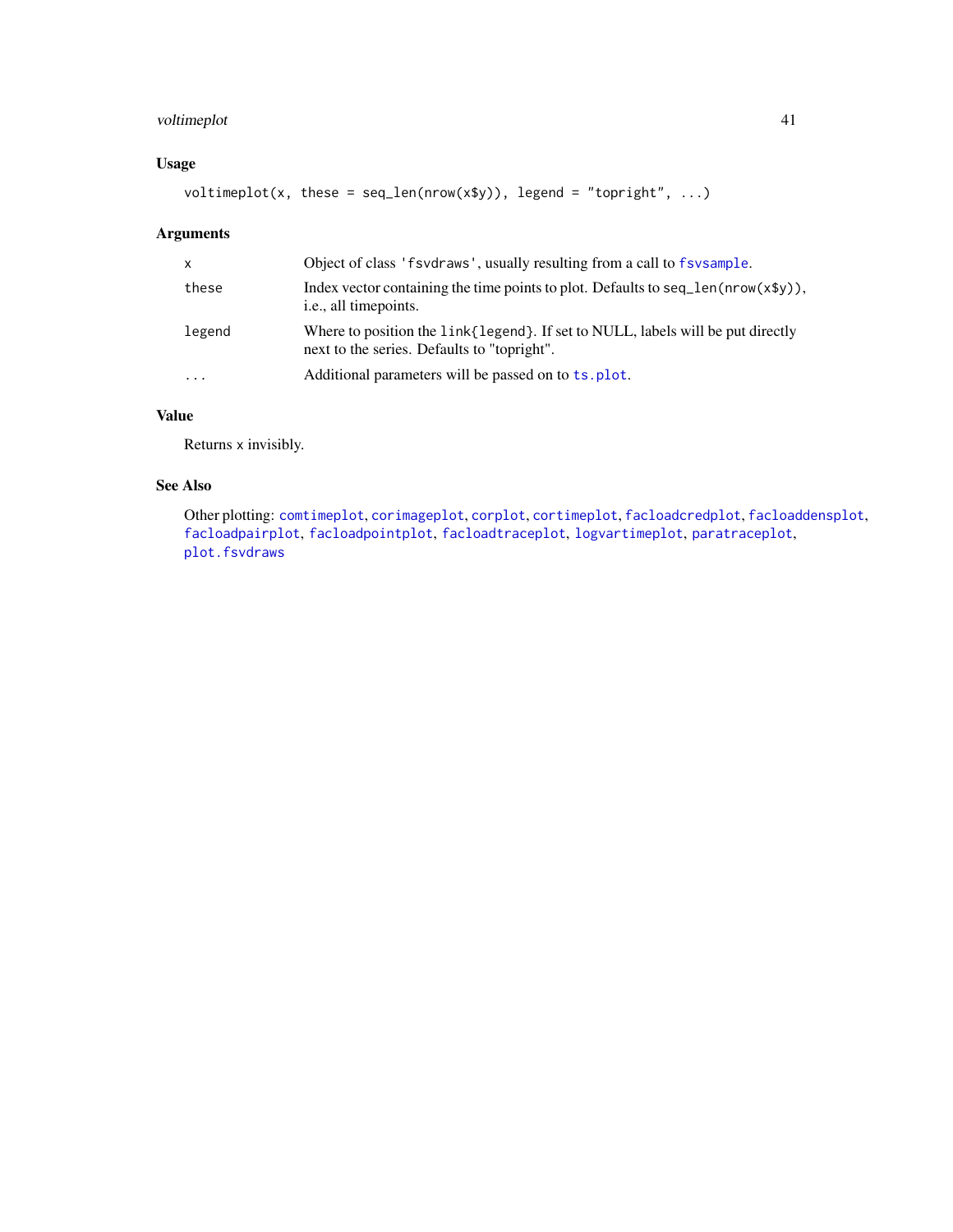# <span id="page-40-0"></span>voltimeplot 41

# Usage

voltimeplot(x, these = seq\_len(nrow(x\$y)), legend = "topright", ...)

# Arguments

| X         | Object of class 'f svd raws', usually resulting from a call to f sysample.                                                        |
|-----------|-----------------------------------------------------------------------------------------------------------------------------------|
| these     | Index vector containing the time points to plot. Defaults to seq $len(nrow(x\$ y)),<br><i>i.e.</i> , all timepoints.              |
| legend    | Where to position the link { legend }. If set to NULL, labels will be put directly<br>next to the series. Defaults to "topright". |
| $\ddotsc$ | Additional parameters will be passed on to ts. plot.                                                                              |

# Value

Returns x invisibly.

# See Also

Other plotting: [comtimeplot](#page-3-1), [corimageplot](#page-5-1), [corplot](#page-6-1), [cortimeplot](#page-7-1), [facloadcredplot](#page-12-1), [facloaddensplot](#page-12-2), [facloadpairplot](#page-13-1), [facloadpointplot](#page-14-1), [facloadtraceplot](#page-14-2), [logvartimeplot](#page-24-1), [paratraceplot](#page-26-1), [plot.fsvdraws](#page-26-2)